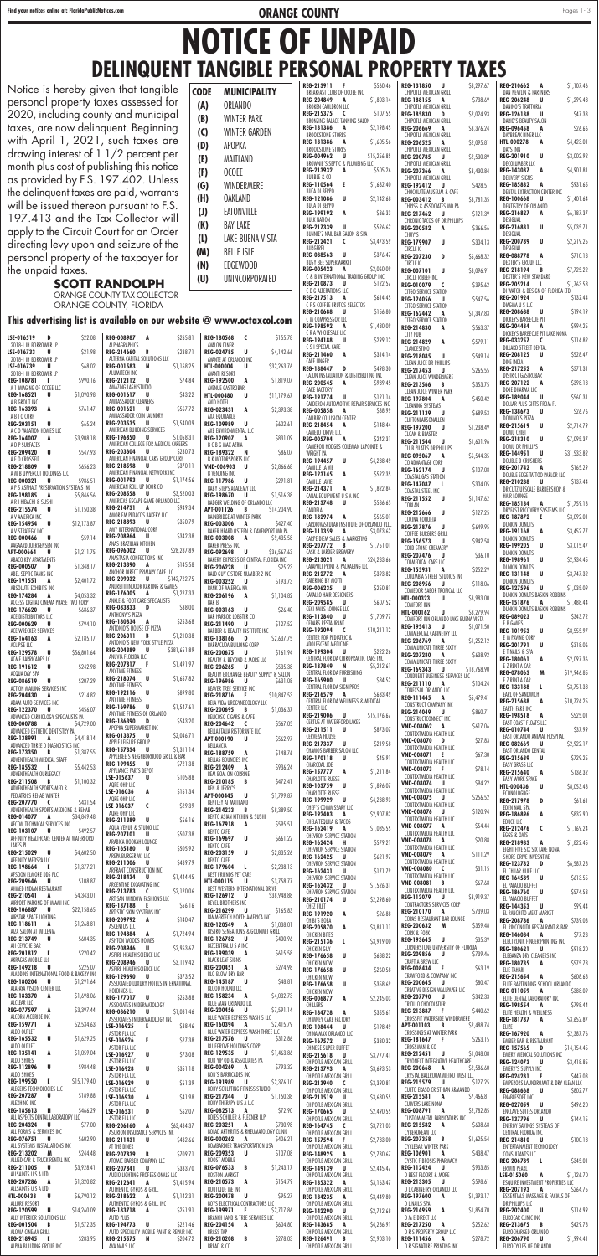| \$22.08<br>LSE-016519<br>D                                                       | REG-008987 A<br>\$265.81                                                   | REG-180568 C<br>\$155.78                                                          | C R A WHOLESALE LLC<br>\$299.12<br>REG-194188 U                        | CITY PUB<br>\$579.11<br>REG-214829<br>A                                        | DICKEYS BARBECUE PIT LAKE NONA<br>REG-033257 C<br>\$114.82                 |
|----------------------------------------------------------------------------------|----------------------------------------------------------------------------|-----------------------------------------------------------------------------------|------------------------------------------------------------------------|--------------------------------------------------------------------------------|----------------------------------------------------------------------------|
| 2018-1 IH BORROWER LP<br>LSE-016733<br>\$21.98<br>U                              | ALPHAGRAPHICS<br>\$238.71<br>REG-214660 B                                  | AVALON DINER<br><b>REG-024785</b><br>\$4,142.66<br>U                              | C S I SPECIAL CARE<br>REG-211460<br>A<br>\$314.14                      | CLANDESTINO<br><b>REG-218085</b><br>U<br>\$549.14                              | DILLARD STREET DENTAL<br>REG-208125<br>\$528.47<br>U                       |
| 2018-1 IH BORROWER LP<br>\$68.02<br>LSE-016739<br>U                              | ALTERNA CAPITAL SOLUTIONS LLC<br>REG-001583 N<br>\$1,168.25                | AVANTE AT ORLANDO INC<br><b>HTL-000004</b><br>\$32,263.76<br>U                    | CAFE LINGER<br>REG-188447 D<br>\$498.30                                | <b>CLEAN JUICE DR PHILLIPS</b>                                                 | DINE INDIA<br><b>REG-217252</b><br>\$371.31<br>A                           |
| 2018-1 IH BORROWER LP<br><b>REG-108781</b><br>\$990.16<br>Æ.                     | ALUMITECH INC<br>U<br>\$74.84<br>REG-212112                                | AVANTI RESORT<br><b>REG-192500</b><br>\$1,819.07<br>A                             | CAJUN INSTALLATION & DISTRIBUTING INC                                  | <b>REG-217453</b><br>\$265.55<br>U<br>CLEAN JUICE WINDERMERE                   | DISTRICT GASTROBAR                                                         |
| A 1 IMAGING OF OCOEE LLC                                                         | AMAZING LASH STUDIO                                                        | AVENUE GASTROBAR                                                                  | <b>REG-200545</b><br>A<br>\$989.45<br>CAKE FACTORY                     | <b>REG-213566</b><br>\$353.75<br>$\overline{B}$<br>CLEAN JUICE WINTER PARK     | \$398.18<br>REG-207122<br>A<br>DIXIE DHARMA LLC                            |
| <b>REG-168521</b><br>U<br>\$1,090.98<br>A B GROUT INC                            | \$43.22<br>REG-001617 U<br>AMBASSADOR CLEANERS                             | <b>HTL-000480</b><br>U<br>\$11,179.67<br>AVID HOTEL                               | REG-191774<br>U<br>\$121.14<br>CALDERON AUTOMOTIVE REPAIR SERVICES INC | <b>REG-197804</b><br>\$450.42<br>A<br><b>CLEANING SYSTEMS</b>                  | REG-189044 U<br>\$560.31<br>DOLLAR PLUS GIFTS FROM FL                      |
| <b>REG-163393</b><br>A<br>\$761.47<br>A B I O CORP                               | \$567.72<br><b>REG-001621</b><br>U<br>AMBASSADOR COIN LAUNDRY              | <b>REG-023431</b><br>A<br>\$2,393.38<br>AXA EQUITABLE                             | <b>REG-005858</b><br>A<br>\$38.99<br><b>CALIBER COLLISION CENTER</b>   | REG-211139 U<br>\$689.53                                                       | \$26.76<br><b>REG-138673</b><br>U U<br>DOMINO'S PIZZA                      |
| REG-203151<br>U<br>\$65.24<br>A C O VACATION HOMES LLC                           | REG-203535 U<br>\$1,540.09<br>AMERICAN BUILDING SERVICES                   | <b>REG-109989</b><br><b>U</b><br>\$602.61<br>AXE ENVIRONMENTAL LLC                | REG-218454 A<br>\$148.44                                               | CLIFTONLARSONALLEN<br>REG-197200 U<br>\$1,238.49                               | REG-215619 U<br>\$2,714.79                                                 |
| REG-164007<br>\$3,908.18<br>A                                                    | REG-196850 U<br>\$1,058.31                                                 | <b>REG-120907</b><br>\$831.09<br>A                                                | CAMELO IDRIVE LLC<br><b>REG-005704</b><br>\$242.31<br>A                | CLOAK & BLASTER<br>REG-211544 U<br>\$1,601.96                                  | <b>DOMU CHIBI</b><br>REG-218310 U<br>\$7,095.37                            |
| A D P SURFACES<br><b>REG-209420</b><br>U<br>\$547.93                             | AMERICAN COLLEGE FOR MEDICAL CAREERS<br><b>REG-203604</b><br>\$230.73<br>U | B C B G MAX AZRIA<br>REG-189322<br>\$86.07<br><b>N</b>                            | CAMERON HODGES COLEMAN LAPOINTE &<br>WRIGHT PA                         | <b>CLUB PILATES DR PHILLIPS</b><br><b>REG-095067</b><br>\$6,544.35<br>A        | DOMU DR PHILLIPS<br>\$31,533.82<br>REG-144951<br>– U                       |
| A F O CROSSFIT<br><b>REG-218809</b><br>\$656.23<br>U                             | AMERICAN FINANCIAL CARS GROUP CORP<br>REG-218598 U<br>\$370.11             | <b>B K MOTORSPORTS LLC</b><br>VND-006903 U<br>\$2,866.68                          | $\mathsf{U}$<br><b>REG-194457</b><br>\$4,288.49<br>CAMILLE LA VIE      | CO ADVANTAGE CORP                                                              | DOUBLE D CRUSHERS<br>REG-201742 A<br>\$165.29                              |
| A M B UPPERCUT HOLDINGS LLC<br><b>REG-000321</b><br>\$986.51<br>U                | AMERICAN FINANCIAL NETWORK INC<br>REG-001793 U<br>\$1,174.56               | B VENDING INC<br><b>REG-117986</b><br>\$291.81<br>U                               | REG-123145<br>A<br>\$522.35<br>CAMILLE LAVIE                           | REG-162174 U<br>\$107.08<br>COASTAL GAS STATION                                | DOUBLE EDGE TATTOO PARLOR LLC                                              |
| A P S ASPHALT PRESERVATION SYSTEMS INC<br>REG-198185                             | AMERICAN ROLL UP DOOR CO<br>\$3,520.03<br>REG-208558 U                     | <b>BABY STEPS ACADEMY LLC</b>                                                     | REG-214371<br>A<br>\$1,822.84                                          | REG-147087 L<br>\$304.05<br>COASTAL STEEL INC                                  | <b>REG-210288</b><br>\$137.44<br>U U<br>DR CUTZ UPSCALE BARBERSHOP &       |
| \$5,846.56<br>A<br>A R I HIBACHI & SUSHI                                         | AMERICAS ESCAPE GAME ORLANDO LLC                                           | <b>REG-198670</b><br>\$1,516.38<br>U U<br>BADGER WELDING OF ORLANDO LLC           | CANAL EQUIPMENT U S A INC<br><b>REG-213748</b><br>U<br>\$536.65        | REG-211552 U<br>\$1,147.62<br>COBLAN                                           | HAIR LOUNGE<br>REG-185134<br>A<br>\$1,759.13                               |
| REG-215574<br>\$1,150.38<br>U<br>A V AMERICA INC                                 | REG-214731 A<br>\$949.34<br>AMOR EM PEDACOS BAKERY LLC                     | <b>APT-001126</b><br>\$14,204.90<br>B<br>BAINBRIDGE AT WINTER PARK                | CANDELA<br>REG-182974 A<br>\$565.01                                    | REG-212666 U<br>\$127.25<br>COCINA COQUETA                                     | DRYFAST RECOVERY SYSTEMS LLC<br>REG-187872 E<br>\$3,092.01                 |
| REG-154954 U<br>\$12,173.87<br>A V STRATEGY INC                                  | \$350.79<br>REG-218893 U<br>AMY INTERNATIONAL CORP                         | \$427.40<br><b>REG-003006</b><br>A<br>BAKER HEARD OSTEEN & DAVENPORT MD PA        | CARDIOVASCULAR INSTITUTE OF ORLANDO PLLC<br>REG-111359 A<br>\$3,073.62 | <b>REG-217876</b><br>U U<br>\$649.95                                           | <b>DUNKIN DONUTS</b><br>REG-191168 A<br>\$3,452.77                         |
| <b>REG-000466</b><br>\$59.14<br>U                                                | \$342.38<br>REG-208964 U<br>ANAS BRAZILIAN KITCHEN                         | <b>REG-003008</b><br>\$9,435.58<br>A                                              | CARPE DIEM SALES & MARKETING                                           | COFFEE BURGERS GRILL<br>\$942.58<br><b>REG-156573</b><br>. U                   | DUNKIN DONUTS                                                              |
| AAGAARD JUERGENSEN INC<br>APT-000664<br>\$1,211.75<br>U                          | \$28,287.89<br><b>REG-096002</b><br>U                                      | <b>BAKER PRESS INC</b><br>REG-092698 U<br>\$36,567.63                             | REG-207772 B<br>\$1,751.01<br>CASK & LARDER BREWERY                    | COLD STONE CREAMERY<br>REG-207476 U<br>\$36.10                                 | REG-199205<br><b>U</b><br>\$3,015.47<br><b>DUNKIN DONUTS</b>               |
| ABACO KEY APARTMENTS<br><b>REG-000507</b><br>\$1,348.17<br>D                     | ANASTASIA CONFECTIONS INC<br>REG-213390 A<br>\$145.58                      | BAKERY EXPRESS OF CENTRAL FLORIDA INC<br><b>REG-206228</b><br>\$25.23<br><b>U</b> | REG-213021 A<br>\$24,233.66<br>CATAPULT PRINT & PACKAGING LLC          | COLMEDICAL CARE LLC<br>\$252.29<br>REG-155931<br>A                             | REG-198961 U<br>\$2,934.45<br><b>DUNKIN DONUTS</b>                         |
| ABEL SEPTIC TANKS INC<br>\$2,401.72<br>REG-191551<br>A                           | ANCHOR DIRECT PRIMARY CARE LLC<br>\$142,722.75<br>REG-209032 U             | BALD GUY C STORE NUMBER 2 INC<br><b>REG-003252 U</b><br>\$193.73                  | REG-212772 A<br>\$393.82<br>CATERING BY MOTTI                          | COLUMBIA STREET STUDIOS INC                                                    | REG-131148 U<br>\$3,747.32<br>DUNKIN DONUTS                                |
| ABSOLUTE EXHIBITS INC<br><b>REG-174284</b><br>\$4,053.32<br>A                    | ANDRETTI INDOOR KARTING & GAMES<br>REG-176005 A<br>\$1,227.33              | BANK OF AMERICA NA<br>REG-206196<br>A<br>\$1,104.82                               | <b>REG-006235</b><br>U<br>\$250.81<br>CAVALLO HAIR DESIGNERS           | REG-208956 U<br>\$118.06<br>COMEDOR SABOR TROPICAL LLC                         | <b>REG-127596</b><br>U<br>\$1,035.09<br>DUNKIN DONUTS BASKIN ROBBINS       |
| ACCESS DIGITAL CINEMA PHASE TWO CORP                                             | ANKLE & FOOT CARE SPECIALISTS<br>REG-083833 D<br>\$38.00                   | BAR B                                                                             | <b>REG-209585</b><br>U<br>\$607.52                                     | <b>HTL-000323</b><br>\$3,983.00<br>U<br><b>COMFORT INN</b>                     | REG-151876<br>\$1,488.44<br>A                                              |
| REG-176620<br>\$686.37<br>U<br>ACE DISTRIBUTORS LLC                              | ANTHONY'S PIZZA                                                            | <b>REG-003163</b><br>\$26.40<br>U<br><b>BAR HARBOR LOBSTER CO</b>                 | CECI NAILS LOUNGE LLC<br><b>REG-112840</b><br>\$1,709.77<br>U          | <b>U</b><br>\$8,279.94<br>HTL-000162<br>COMFORT INN ORLANDO LAKE BUENA VISTA   | DUNKIN DONUTS BASKIN ROBBINS<br>REG-089023 U<br>\$343.72                   |
| <b>REG-000629</b><br>\$794.10<br>U<br>ACE WRECKER SERVICES                       | \$253.68<br>REG-180834 A<br>ANTONIO'S HOUSE OF PIZZA                       | REG-211490<br>\$127.52<br>U.<br>BARBER & BEAUTY INSTITUTE INC                     | CEDARS RESTAURANT<br>\$10,211.12<br><b>REG-192094</b><br><b>C</b>      | REG-195413 U<br>\$1,071.50<br>COMMERCIAL CABINETRY LLC                         | E B GAMES<br>U<br>\$8,555.97<br>REG-101953                                 |
| REG-164163<br>\$2,185.17<br>A<br>ACLIPSE LLC                                     | \$1,210.38<br>REG-206011 B<br>ANTONIO'S NEW YORK STYLE PIZZA               | REG-138166<br>\$2,637.75<br>D<br>BARRACUDA BUILDING CORP                          | CENTER FOR PEDIATRIC &<br>ADOLESCENT MEDICINE                          | \$1,252.12<br><b>REG-206769</b><br>A                                           | E M PAVING CORP<br>REG-201791 U<br>\$318.06                                |
| <b>REG-129578</b><br>\$56,801.64<br>U.<br>ACME BARRICADES LC                     | \$381,651.89<br>REG-204389 U<br>ANUVIA FLORIDA LLC                         | <b>REG-200675</b><br><b>U</b><br>\$161.94<br>BEAUTY & BEYOND & MORE LLC           | REG-199304 U<br>\$222.26<br>CENTRAL FLORIDA CHIROPRACTIC CARE INC      | COMMUNICATE THREE SIXTY<br><b>REG-207280</b><br>S638.92<br>A                   | E T NAILS & SPA<br><b>REG-180061</b><br>A<br>\$2,097.36                    |
| REG-191612<br>\$242.98<br>U                                                      | \$1,491.97<br>REG-207817 F<br><b>ANYTIME FITNESS</b>                       | \$535.38<br><b>REG-206265</b><br><b>U</b>                                         | REG-187849 N<br>\$5,212.61                                             | COMMUNICATE THREE SIXTY<br>REG-169343<br>\$18,768.90<br><b>U</b>               | E Z RENT A CAR                                                             |
| ACQUA DAY SPA<br><b>REG-086519</b><br>\$207.29<br>U                              | REG-218074 U<br>\$1,657.82<br>ANYTIME FITNESS                              | BEAUTY EXCHANGE BEAUTY SUPPLY & SALON<br>REG-196986<br>\$631.08<br>U U            | CENTRAL FLORIDA FURBISHING<br>REG-165900 U<br>\$84.52                  | CONDUENT BUSINESS SERVICES LLC<br>REG-211110 A<br>\$104.24                     | <b>REG-078063</b><br>M<br>\$19,946.85<br>E Z RENT A CAR                    |
| ACTION MAILING SERVICES INC<br>\$214.82<br><b>REG-204430</b><br>A                | \$899.80<br>REG-192116 U                                                   | BEAVER TREE SERVICE INC<br>\$10,847.53<br>REG-218716 F                            | CENTRAL FLORIDA SIGN PROS<br>REG-216579 A<br>\$633.49                  | CONEXSOL ORLANDO LLC<br>\$5,479.41<br>REG-111445 A                             | REG-133188<br>$\mathbf{L}$<br>\$3,751.38<br>EARL OF SANDWICH               |
| ADAM AUTO SERVICES INC<br>REG-122370 U<br>\$456.07                               | ANYTIME FITNESS<br>REG-169786 U<br>\$1,547.61                              | BELA VIDA UROGYNECOLOGY LLC<br>REG-200695 B<br>\$1,036.37                         | CENTRAL FLORIDA WELLNESS & MEDICAL<br><b>CENTER LLC</b>                | CONSTRUCT COMPANY INC                                                          | \$10,724.25<br>REG-215638<br>A<br><b>EARTH FARE INC</b>                    |
| ADVANCED CARDIOLOGY SPECIALISTS PA<br><b>REG-000788</b><br>\$4,729.00<br>A       | ANYTIME FITNESS OF ORLANDO<br>\$543.20<br>REG-186390 D                     | BELICOSO CIGARS & CAFE<br>REG-204642 C<br>\$567.05                                | U<br><b>REG-219006</b><br>\$15,176.67<br>CERTUS AT WATERFORD LAKES     | \$860.71<br>REG-214049 U<br>CONSTRUCTCONNECT INC                               | \$525.01<br>REG-198518 A<br>EAST COAST FLOATS LLC                          |
| ADVANCED ESTHETIC DENTISTRY PA                                                   | APOPKA SUPERMARKET INC<br>\$2,046.71<br>REG-013375 U                       | BELLA ITALIA RISTORANTE LLC                                                       | REG-211511<br>\$873.07<br>U<br>CERVEZA HOUSE                           | \$617.06<br>VND-008062 A<br>CONTEXTMEDIA HEALTH LLC                            | \$37.99<br><b>REG-010744</b><br>U<br>EAST ORLANDO ANIMAL HOSPITAL          |
| REG-138991 A<br>\$4,418.14<br>ADVANCED THREE D DIAGNOSTICS INC                   | APPLE LEISURE GROUP<br>REG-157834 U<br>\$1,311.14                          | APT-000190<br>\$562.97<br><b>U</b><br>BELLANCIA                                   | <b>REG-217337</b><br>U<br>\$219.58<br>CHAMOS BARBER SALON LLC          | \$27.83<br>VND-008070 D<br>CONTEXTMEDIA HEALTH LLC                             | <b>REG-082669</b><br>U<br>\$2,922.17<br>EAST ORLANDO DENTAL                |
| REG-173350 B<br>\$1,387.55<br>ADVENTHEALTH MEDICAL STAFF                         | APPLEBEE'S NEIGHBORHOOD GRILL & BAR<br>REG-199455 U<br>\$721.38            | REG-188759 A<br>\$148.76<br>BELLAS BOUNCIES INC                                   | REG-170118<br>\$45.91<br>U                                             | \$67.30<br>VND-008071 E<br>CONTEXTMEDIA HEALTH LLC                             | REG-215639<br>\$729.25<br>U                                                |
| REG-185532 E<br>\$5,442.53<br>ADVENTHEALTH OURLEGACY                             | APPLIANCE PARTS DEPOT                                                      | <b>REG-212409</b><br>\$936.24<br>A<br>BEM BOM ON CORRINE                          | CHARCOAL JOE<br><b>REG-157777</b><br>A<br>\$1,211.84                   | VND-008073 F<br>\$78.14<br>CONTEXTMEDIA HEALTH LLC                             | EASY GRASS LLC<br>REG-215640 A<br>\$136.32                                 |
| REG-211508 B<br>\$1,100.32<br>ADVENTHEALTH SPORTS MED &                          | \$105.88<br>LSE-015637<br>U<br>AQRE OHP LLC                                | \$472.41<br>REG-210185 B<br><b>BEN &amp; JERRY'S</b>                              | <b>CHARLOTTE RUSSE</b><br>REG-103759 U<br>\$1,896.07                   | \$94.22<br>VND-008074 U                                                        | EASY WORK SPACE<br><b>HTL-000436</b><br><b>U</b><br>\$8,053.43             |
| PEDIATRICS REHAB WINTER<br>\$431.54<br>REG-207770 C                              | \$161.34<br>LSE-016036<br>A<br>AQRE OHP LLC                                | APT-000445<br>\$1,799.87<br>U<br>BENTLEY AT MAITLAND                              | CHARLOTTE RUSSE<br>REG-199929 U<br>\$4,238.93                          | CONTEXTMEDIA HEALTH LLC<br>\$256.52<br>VND-008075 U                            | ECONOLOGDGE<br><b>REG-217978</b><br>\$61.61<br>D                           |
| ADVENTHEALTH SPORTS MEDICINE & REHAB                                             | \$29.39<br>LSE-016037<br>$\mathsf{C}$<br>AQRE OHP LLC                      | \$8,389.50<br>REG-214233<br>B                                                     | CHEF'S COMMISSARY LLC<br><b>REG-192403</b><br>\$2,907.82<br>A          | CONTEXTMEDIA HEALTH LLC<br>VND-008076 U<br>\$120.94                            | EDEN NAIL SPA<br><b>REG-186896</b><br>A<br>\$832.90                        |
| REG-014077 A<br>\$34,849.48<br>AECOM TECHNICAL SERVICES INC                      | \$66.16<br>REG-211389 U<br>AQUA VENUE & STUDIO LLC                         | BENTO ASIAN KITCHEN & SUSHI<br>REG-167918<br>\$595.51<br>A                        | CHELA TEQUILA & TACOS<br>REG-162419 A<br>\$1,085.55                    | CONTEXTMEDIA HEALTH LLC<br>VND-008077 A<br>\$54.44                             | EDUCE LLC<br>REG-212476<br>$\epsilon$<br>\$1,169.24                        |
| \$492.57<br>REG-103107 U<br>AFFINITY HEALTHCARE CENTER AT WATERFORD              | \$507.38<br><b>REG-207101</b><br><b>U</b><br>ARABICA HOOKAH LOUNGE         | BENTO CAFE<br>REG-169697 U<br>\$661.22                                            | CHEVRON SERVICE STATION                                                | CONTEXTMEDIA HEALTH LLC<br>\$20.88<br>VND-008078 A                             | EGGS & OATS                                                                |
| LAKES PL<br>REG-215029 U<br>\$4,602.50                                           | \$505.92<br>REG-165180 U                                                   | BENTO CAFE<br>REG-203159 U<br>\$2,835.26                                          | <b>REG-162424</b><br>H<br>\$579.21<br>CHEVRON SERVICE STATION          | CONTEXTMEDIA HEALTH LLC<br>\$111.29<br>VND-008079 A                            | \$1,822.45<br>REG-218983<br>A<br>EIGHT FIVE SIX SIX LAKE NONA              |
| AFFINITY MEDSPA LLC<br>REG-198664 E<br>\$1,377.2]                                | AREPA BURGER WJ LLC<br>\$439.79<br>REG-211006 U                            | BENTO CAFE<br>\$2,238.13<br><b>REG-179604</b><br>$\mathbf{L}$                     | <b>REG-162425</b><br>\$621.97<br>U<br>CHEVRON SERVICE STATION          | CONTEXTMEDIA HEALTH LLC<br>\$31.15                                             | SHORE DRIVE INVESNTME<br>\$6,587.28<br>REG-123782 D                        |
| AFSOON ELMORE DDS PLC<br><b>REG-209646</b><br>\$108.87<br>U                      | ARFRANT CONSTRUCTION INC<br>REG-218434 U<br>\$1,444.45                     | BEST FRIENDS PET CARE<br><b>HTL-000115</b><br>\$3,758.77<br>U.                    | <b>REG-162431</b><br>\$171.79<br>U<br>CHEVRON SERVICE STATION          | VND-008080 C<br>CONTEXTMEDIA HEALTH LLC                                        | EL CHILAR HUFF LLC<br>REG-164589 U<br>\$613.55                             |
| AHMED INDIAN RESTAURANT                                                          | ARGENTINE EXCAVATING INC<br>\$2,120.06<br>REG-213783 C                     | BEST WESTERN INTERNATIONAL DRIVE                                                  | <b>REG-162432</b><br>U<br>\$1,526.31<br>CHEVRON SERVICE STATION        | \$67.68<br>VND-008081 B<br>CONTEXTMEDIA HEALTH LLC                             | EL PALACIO BUFFET<br>REG-186760 U<br>\$574.53                              |
| <b>REG-210541</b><br>\$4,343.01<br>A<br>AIRPORT PARKING OF MIAMI INC             | ARTISAN WINDOW FASHIONS LLC<br>REG-137188 E<br>\$56.16                     | REG-126912 U<br>\$38,948.88<br>BEYEL BROTHERS INC                                 | REG-210174<br>\$2,298.60<br>U<br>CHEZ FILET                            | \$3,919.37<br>REG-112079 U<br>CONTRACTORS SERVICES CORP                        | EL PALACIO BUFFET<br>\$99.44<br>REG-144353 U                               |
| <b>REG-106887</b><br>U<br>\$22,158.65<br>AIRSTAR SPACE LIGHTING                  | ARTISTIC SKIN SYSTEMS INC<br>\$140.47<br>REG-209792 A                      | REG-216299 U<br>\$165.83<br>BIMMERTECH NORTH AMERICA INC                          | REG-191920<br>A<br>\$26.88<br><b>CHIBI'S BOBA</b>                      | REG-210170 A<br>\$739.03<br>COPAS RESTAURANT BAR LOUNGE                        | EL RANCHITO MEAT MARKET<br><b>REG-208786</b><br>\$739.03                   |
| REG-118611<br>\$1,268.81<br>A<br>AIZA SALON AT MILLENIA                          | <b>ASCENTUS LLC</b>                                                        | <b>REG-120549</b><br>\$1,038.01<br>A<br>BISTRO SENSATIONS & GOURMET GRILL         | <b>REG-205870</b><br>A<br>\$3,811.11                                   | REG-200632 M<br>\$359.48<br>CORK & FORK                                        | A<br>EL RINCONCITO RESTAURANT & BAR                                        |
| REG-213749<br>\$604.35<br>U<br>AJI CEVICHE BAR                                   | <b>REG-194884</b><br>\$1,724.94<br>A<br>ASHTON WOODS HOMES                 | REG-126782 U<br>\$400.96<br>BIZCENTRAL U S A INC                                  | <b>CHICKEN BITES</b><br>REG-215136<br>л.<br>\$3,919.00                 | \$35.39<br>REG-193645 U                                                        | \$77.23<br><b>REG-146084</b><br>A<br>ELECTRONIC FINGER PRINTING INC        |
| <b>REG-201812</b><br>\$220.42<br>- F                                             | <b>REG-208946</b><br>\$2,963.67<br><b>U</b><br>ASPIRE HEALTH SCIENCE LLC   | REG-199039 A<br>\$615.58                                                          | CHICKEN GUY<br>REG-176658<br>U<br>\$688.22                             | CORNERSTONE UNIVERSITY OF FLORIDA<br><b>REG-209856</b><br><b>U</b><br>S739.46  | <b>REG-180621</b><br>\$918.20<br>U.<br>ELEGANZA DRY CLEANERS INC           |
| AKRAGAS MOBILE LLC<br>REG-149218<br>\$225.07<br>U                                | \$3,119.42<br>REG-208946 U<br>ASPIRE HEALTH SCIENCE LLC                    | <b>BLACK LEAF SIGNS</b><br>REG-200451 A<br>\$274.98                               | <b>CHICKEN NOW</b><br>REG-176658<br>U<br>\$260.58                      | CRAFT A BREW LLC<br>\$63.19<br><b>REG-008434</b><br>- E                        | <b>REG-180735</b><br>\$575.78<br>A<br>ELIE TAHARI                          |
| ALADDINS INTERNATIONAL FOOD & BAKERY INC<br><b>REG-180204</b><br>U<br>\$1,291.64 | REG-129690 U<br>\$373.52<br>ASSOCIATED LUXURY HOTELS INTERNATIONAL         | BLO BLOW DRY BAR<br>U<br>\$48.81<br>REG-145187                                    | CHICKEN NOW<br>U<br>REG-176658<br>\$358.69                             | CRAWFORD & COMPANY INC<br><b>REG-200645</b><br>\$80.47<br>U U                  | REG-215654 A<br>\$608.68<br>ELITE BARTENDING SCHOOL ORLANDO                |
| ALAFAYA VISION CENTER LLC<br>REG-183370 A<br>\$1,698.06                          | <b>HOLDINGS LL</b><br>REG-177017 U<br>\$263.88                             | BLOOD HOUND LLC<br><b>REG-158234</b><br>A<br>\$4,032.73                           | CHICKEN NOW<br>REG-006877<br>A<br>\$2,245.03                           | CREATIVE DESIGN WALLPAPER LLC<br>REG-207790 U<br>\$342.33                      | \$388.09<br>REG-011059 A<br>ELITE DENTAL LABORATORY INC                    |
| ALCLEAR LLC<br><b>REG-077597</b><br>\$3,397.44<br>A                              | ASSOCIATES IN DERMATOLOGY<br>REG-086210 U<br>\$1,031.46                    | BLUE MAN ORLANDO LLC<br><b>REG-200456</b><br>\$7,591.14<br><b>U</b>               | CHILLERS<br><b>REG-184728</b><br>\$355.61<br>A                         | CRIOLLO CHOCOLATIER<br>REG-213887 F<br>\$440.62                                | \$798.44<br>REG-198554 A<br>ELITE HEALTH & WELLNESS                        |
| ALCORN MCBRIDE INC<br>REG-159771<br>\$2,534.63<br>A                              | ASSOCIATES IN DERMATOLOGY INC                                              | BLUE WATER EXPRESS WASH 5 LLC<br>\$2,415.79<br>REG-160394 A                       | CHIMNEY CAKE FACTORY                                                   | CROSSFIT WATERSIDE WINDERMERE<br>APT-001103 B<br>\$2,488.74                    | \$3,652.87<br>REG-181787<br>A                                              |
| ALDO OUTLET<br><b>REG-165532</b><br>U                                            | LSE-016925<br>E.<br>\$38.46<br>ASTOR FLA LLC                               | BLUE WATER EXPRESS WASH THREE LLC<br><b>REG-217576</b>                            | <b>REG-108444</b><br>U<br>\$198.49<br>CHINA MAX ORLANDO LLC            | CROSSINGS AT WINTER PARK                                                       | ELIZE<br><b>REG-167920</b><br>\$2,387.76<br>A                              |
| \$1,629.25<br>ALDO OUTLET                                                        | \$27.38<br>LSE-016926<br>F.<br>ASTOR FLA LLC                               | U<br>\$312.86<br><b>BLUEGROVE HOLDINGS CORP</b>                                   | <b>REG-167572</b><br><b>U</b><br>\$330.32<br>CHINESE SUPER BUFFET      | REG-181647 F<br>\$263.15<br>CROSSMAN & CO                                      | <b>EMBER BAR &amp; RESTAURANT</b><br><b>REG-157565</b><br>\$14,154.45<br>D |
| REG-135141<br>A<br>\$1,059.04<br>ALDO SHOES                                      | LSE-016927<br>U<br>\$73.08<br>ASTOR FLA LLC                                | REG-129535 U<br>\$1,463.86<br>BOB YIP OD & ASSOCIATES PA                          | REG-215618<br>\$3,777.41<br>U<br>CHIPOTLE MEXICAN GRILL                | <b>REG-212451</b><br>\$1,048.08<br><b>U</b><br>CRYONEXT INTEGRATIVE HEALTHCARE | EMERY MEDICAL SOLUTIONS INC<br><b>REG-124073</b><br>\$3,418.85<br>U        |
| REG-112896<br>U<br>\$984.48<br>ALDO SHOES                                        | LSE-016928<br>U<br>\$351.18<br>ASTOR FLA LLC                               | \$793.32<br>REG-004269 A<br><b>BOB'S BARRICADES INC</b>                           | <b>REG-213793</b><br>\$3,693.53<br>A<br>CHIPOTLE MEXICAN GRILL         | REG-200668 A<br>\$2,586.60<br>CRYSTAL BALLROOM METRO WEST LLC                  | EMERY'S SUPPLY INC<br>\$447.03<br>REG-024281 F                             |
| REG-199550 E<br>\$15,179.40<br>ALEGEUS TECHNOLOGIES LLC                          | LSE-016929<br>U<br>\$61.39<br>ASTOR FLA LLC                                | REG-191989 U<br>\$2,376.10<br><b>BODY SCULPTING FITNESS STUDIO</b>                | REG-213940 C<br>\$3,390.81<br>CHIPOTLE MEXICAN GRILL                   | \$127.25<br>REG-215579 U<br>CUETO ERASO CRISTHIAN ARMANDO                      | EMPERORS LAUNDROMAT & DRY CLEAN LLC<br>REG-088668 U<br>\$802.77            |
| <b>REG-207287</b><br>\$189.88<br>U<br>ALEXHINO INC                               | \$41.98<br>LSE-016930<br>A                                                 | \$1,150.38<br>REG-217344 U<br>BODY THERAPY U S A LLC                              | REG-211519 U<br>\$3,680.55                                             | REG-215581 A<br>\$7,466.81<br>CULVERS LAKE NONA                                | ENABLESOFT INC                                                             |
| REG-185613<br>\$466.29<br>H<br>ALL ASPECTS DENTAL LABORATORY LLC                 | ASTOR FLA LLC<br>\$62.07<br>LSE-016531<br>D                                | REG-082513 A<br>\$72.90<br>BOIES SCHILLER & FLEXNER LLP                           | CHIPOTLE MEXICAN GRILL<br>\$2,490.55<br>REG-170665 U                   | REG-008791 A<br>\$2,782.85                                                     | REG-027059 U<br>\$496.20<br>ENCLAVE SUITES ORLANDO                         |
| REG-204324 U<br>\$77.00                                                          | ASTOR FLA LLC<br>REG-206160 A<br>\$63,434.37                               | \$730.98<br>REG-203251 A                                                          | CHIPOTLE MEXICAN GRILL<br>REG-164745 C<br>\$3,721.03                   | CUSTOM METAL FABRICATORS INC<br>REG-215582 A<br>\$608.68                       | \$144.15<br><b>REG-137796</b><br>U<br>ENERGY SAVINGS SYSTEMS OF            |
| ALL FORMS & SERVICES INC<br>\$602.90<br><b>REG-076751</b><br>U                   | ASURION INSURANCE SERVICES INC<br>REG-211431 U<br>\$432.66                 | BOLAD ARTHRITIS & RHEUMATOLOGY CLINIC<br>REG-000262 A<br>\$406.21                 | CHIPOTLE MEXICAN GRILL<br>REG-157594 F<br>\$2,783.00                   | CYBERDREAM LLC<br>REG-207358 B<br>\$1,625.54                                   | CENTRAL FLORIDA INC<br>\$100.18<br>REG-214810 U                            |
| ALL SYSTEMS INSTALLATIONS INC<br><b>REG-213202</b><br>M<br>\$244.48              | AT THE DINER<br>REG-207839 B<br>\$709.71                                   | <b>BOMBARDIER TRANSPORTATION USA</b><br>REG-209353<br>$\mathsf{U}$<br>\$107.08    | CHIPOTLE MEXICAN GRILL<br>REG-148925 A<br>\$2,730.67                   | CYCLEBAR WINTER PARK<br>\$438.47<br>REG-106901 A                               | ENTERTAINMENT TECHNOLOGY<br>CONSULTANTS LLC                                |
| ALLIED CAR & TRUCK RENTAL INC<br>REG-211005<br>U<br>\$3,928.41                   | ATOMIC BARBER COMPANY LLC<br>REG-207841 U<br>\$333.70                      | <b>BOOST MOBILE</b><br>REG-076533 B<br>\$1,243.17                                 | CHIPOTLE MEXICAN GRILL<br>REG-149139 U<br>\$2,445.47                   | CYSTIC FIBROSIS PHARMACY<br>\$933.85<br>REG-112424 U                           | REG-206789 L<br>\$345.01<br>ERWIN PEARL                                    |
| ALLSAINTS U S A LTD<br>REG-207286 A<br>\$1,320.82                                | AUDIO LIGHTING PROFESSIONALS LLC                                           | <b>BOSTON MARKET</b><br>REG-210573 A<br>\$154.79                                  | CHIPOTLE MEXICAN GRILL                                                 | D BEST FLOORZ & MORE<br>REG-213305 U<br>\$598.61                               | LSE-015060<br>A<br>\$1,126.70                                              |
| ALLSAINTS U S A LTD                                                              | REG-212641 A<br>\$1,415.94<br>AUTHENTIC GYROS & GRILL                      | BOUTIQUE ME INC                                                                   | REG-135322 A<br>\$3,163.47<br>CHIPOTLE MEXICAN GRILL                   | D L CABINETRY ORLANDO LLC                                                      | ESQUIRE INVESTMENT PROPERTIES LLC<br>\$264.75<br>REG-207193 A              |
| <b>HTL-000438</b><br>\$6,790.12<br>U.<br>ALLURE RESORT                           | REG-218622 A<br>\$1,142.31<br>AUTHENTIC GYROS & GRILL INC                  | \$95.27<br><b>REG-200478 U</b><br>BOYS ELECTRICAL CONTRACTORS LLC                 | REG-134235 A<br>\$3,449.80<br>CHIPOTLE MEXICAN GRILL                   | REG-197600 A<br>\$1,393.17<br>D L NAILS SPA                                    | ESSENTIALS MASSAGE & FACIALS OF<br>DR PHILLIPS LLC                         |
| REG-120599 U<br>\$14,260.09<br>ALLY INTERIOR SOLUTIONS LLC                       | \$251.91<br>REG-183718 A<br>AUTO PLUS                                      | REG-199971 F<br>\$2,717.86<br>BRANCH LAND & TREE SERVICES LLC                     | REG-142290 U<br>\$2,712.68<br>CHIPOTLE MEXICAN GRILL                   | REG-214959 A<br>\$1,854.70<br>D M E DIRECT LLC                                 | REG-202400 U<br>\$114.99<br>EUROCAR CLINIC INC                             |
| REG-001504 B<br>\$1,572.35<br>ALOMA CINEMA GRILL                                 | REG-194773 U<br>\$221.46<br>AUTO SPECIALITY MOBILE PAINT & REPAIR INC      | REG-204154 A<br>\$604.80<br><b>BRASS TAP</b>                                      | REG-143685 A<br>\$4,286.91<br>CHIPOTLE MEXICAN GRILL                   | REG-217250 A<br>\$252.62<br>D R S PROPERTY GROUP LLC                           | REG-213675 B<br>\$429.78<br>EUROCHARGED ORLANDO                            |
| REG-218945 E<br>\$283.95<br>ALPHA BUILDING GROUP INC                             | REG-215575 N<br>\$204.72<br>AVA NAILS LLC                                  | <b>REG-210208</b><br>B<br>\$278.03<br>BREAD & CO                                  | REG-126491 B<br>\$2,903.10<br>CHIPOTLE MEXICAN GRILL                   | REG-111456 A<br>\$278.72<br>D R SIGNATURE PRINTING INC                         | REG-206790 U<br>\$1,994.41<br>EUROCYCLES OF ORLANDO                        |

| )DE   |                                                           |          | <b>MUNICIPALITY</b>                                  |  |  |  |
|-------|-----------------------------------------------------------|----------|------------------------------------------------------|--|--|--|
| A)    | ORLANDO                                                   |          |                                                      |  |  |  |
| B)    | WINTER PARK                                               |          |                                                      |  |  |  |
| C)    | <b>WINTER GARDEN</b>                                      |          |                                                      |  |  |  |
| D)    | APOPKA                                                    |          |                                                      |  |  |  |
| E)    | MAITLAND                                                  |          |                                                      |  |  |  |
| F)    | 0COEE                                                     |          |                                                      |  |  |  |
| G)    | WINDERMERE                                                |          |                                                      |  |  |  |
| H)    | OAKLAND                                                   |          |                                                      |  |  |  |
| J)    | <b>EATONVILLE</b>                                         |          |                                                      |  |  |  |
| K)    | BAY LAKE                                                  |          |                                                      |  |  |  |
|       |                                                           |          |                                                      |  |  |  |
| L)    |                                                           |          | LAKE BUENA VISTA                                     |  |  |  |
|       | <b>M)</b> BELLE ISLE                                      |          |                                                      |  |  |  |
| N)    |                                                           | EDGEWOOD |                                                      |  |  |  |
| U)    |                                                           |          | UNINCORPORATED                                       |  |  |  |
|       | <b>REG-024785</b>                                         | u        | \$4,142.66                                           |  |  |  |
|       | <b>REG-180568</b><br>AVALON DINER                         | C        | \$155.78                                             |  |  |  |
|       | AVANTE AT ORLANDO INC.                                    |          |                                                      |  |  |  |
|       | <b>HTL-000004</b><br>AVANTI RESORT                        | U        | \$32,263.76                                          |  |  |  |
|       | <b>REG-192500</b>                                         | A        | \$1,819.07                                           |  |  |  |
|       | AVENUE GASTROBAR<br><b>HTL-000480</b>                     | U        | \$11,179.67                                          |  |  |  |
|       | AVID HOTEL<br><b>REG-023431</b>                           | Α        | \$2,393.38                                           |  |  |  |
|       | AXA EQUITABLE<br>REG-109989                               | Ш        | \$602.61                                             |  |  |  |
|       | AXE ENVIRONMENTAL LLC<br><b>REG-120907</b>                | A        | \$831.09                                             |  |  |  |
|       | <b>B C B G MAX AZRIA</b>                                  | N        |                                                      |  |  |  |
|       | REG-189322<br><b>B K MOTORSPORTS LLC</b>                  |          | \$86.07                                              |  |  |  |
|       | <b>VND-006903</b><br><b>B VENDING INC</b>                 | U        | \$2,866.68                                           |  |  |  |
|       | REG-117986<br><b>BABY STEPS ACADEMY LLC</b>               | U        | \$291.81                                             |  |  |  |
|       | <b>REG-198670</b><br>BADGER WELDING OF ORLANDO LLC        | U        | \$1,516.38                                           |  |  |  |
|       | APT-001126                                                | B        | \$14,204.90                                          |  |  |  |
|       | BAINBRIDGE AT WINTER PARK<br><b>REG-003006</b>            | A        | \$427.40                                             |  |  |  |
|       | <b>REG-003008</b>                                         | A        | BAKER HEARD OSTEEN & DAVENPORT MD PA<br>\$9,435.58   |  |  |  |
|       | <b>BAKER PRESS INC</b><br>REG-092698                      | U        |                                                      |  |  |  |
|       |                                                           |          | \$36,567.63<br>BAKERY EXPRESS OF CENTRAL FLORIDA INC |  |  |  |
|       | <b>REG-206228</b><br><b>BALD GUY C STORE NUMBER 2 INC</b> | U        | \$25.23                                              |  |  |  |
|       | <b>REG-003252</b><br>BANK OF AMERICA NA                   | u        | \$193.73                                             |  |  |  |
|       | REG-206196                                                | A        | \$1,104.82                                           |  |  |  |
| BAR B | REG-003163                                                | U        | \$26.40                                              |  |  |  |
|       | BAR HARBOR LOBSTER CO                                     |          |                                                      |  |  |  |

|                                                                                                                  |                                                                                                           | <b>DELINQUENT TANGIBLE PERSONAL PROPERTY TAXES</b>                                                                     |                                                                                                   |                                                                                                                        |                                                                                                         |
|------------------------------------------------------------------------------------------------------------------|-----------------------------------------------------------------------------------------------------------|------------------------------------------------------------------------------------------------------------------------|---------------------------------------------------------------------------------------------------|------------------------------------------------------------------------------------------------------------------------|---------------------------------------------------------------------------------------------------------|
| Notice is hereby given that tangible                                                                             |                                                                                                           | <b>CODE</b><br><b>MUNICIPALITY</b>                                                                                     | REG-213911<br>\$560.46<br>BREAKFAST CLUB OF OCOEE INC                                             | REG-131850<br>\$3,297.67<br>- U<br>CHIPOTLE MEXICAN GRILL                                                              | REG-210662<br>\$1,107.46<br>A<br>DAN NEWLIN & PARTNERS                                                  |
| personal property taxes assessed for                                                                             |                                                                                                           | (A)<br><b>ORLANDO</b>                                                                                                  | \$1,803.14<br>REG-204849<br>A<br><b>BROKEN CAULDRON LLC</b>                                       | \$738.69<br>REG-188155<br>A<br>CHIPOTLE MEXICAN GRILL                                                                  | \$1,299.48<br><b>REG-206248</b><br>U<br>DANINO'S TRATTORIA                                              |
| 2020, including county and municipal                                                                             |                                                                                                           | (B)<br><b>WINTER PARK</b>                                                                                              | \$107.55<br>REG-215375<br><b>C</b><br>BRONZING PALACE TANNING SALON                               | \$2,024.93<br><b>REG-185830</b><br>D<br>CHIPOTLE MEXICAN GRILI                                                         | \$47.33<br>REG-126138<br>U<br>DARIO'S BEAUTY SALON                                                      |
| taxes, are now delinquent. Beginning                                                                             |                                                                                                           | (C)<br><b>WINTER GARDEN</b>                                                                                            | \$2,198.45<br>REG-131386<br>A<br><b>BROOKSTONE STORES</b>                                         | \$3,376.24<br><b>REG-206669</b><br>A<br>CHIPOTLE MEXICAN GRILL                                                         | \$26.66<br>REG-096458<br>A<br>DAYBREAK DINER LLC                                                        |
| with April 1, 2021, such taxes are<br>drawing interest of 1 1/2 percent per                                      |                                                                                                           | (D)<br>APOPKA                                                                                                          | \$1,605.56<br>REG-131386<br>A<br><b>BROOKSTONE STORES</b><br>\$15,256.85<br>U                     | \$2,095.81<br><b>REG-206525</b><br>A<br>CHIPOTLE MEXICAN GRILL                                                         | \$4,423.01<br>HTL-000278<br>A<br><b>DAYS INN</b><br>\$3,002.92<br>U                                     |
| month plus cost of publishing this notice                                                                        |                                                                                                           | MAITLAND<br>(E)<br><b>OCOEE</b>                                                                                        | REG-004962<br>BROWNIE'S SEPTIC & PLUMBING LLC<br>REG-213932<br>A<br>\$505.26                      | \$2,530.89<br><b>REG-200785</b><br>U<br>CHIPOTLE MEXICAN GRILL<br>\$3,430.84<br><b>REG-207366</b>                      | REG-201910<br>DECOLUMBER LLC<br>\$4,901.81<br>REG-143087<br>A                                           |
| as provided by F.S. 197.402. Unless                                                                              |                                                                                                           | (F)<br>(G)<br>WINDERMERE                                                                                               | <b>BUBBLE &amp; CO</b><br>REG-110564<br>E.<br>\$1,632.40                                          | CHIPOTLE MEXICAN GRILL<br>REG-192412<br>\$428.51<br>U                                                                  | <b>DELIVERY SIGNS</b><br>\$931.65<br><b>REG-185832</b><br>A                                             |
| the delinquent taxes are paid, warrants                                                                          |                                                                                                           | (H)<br>OAKLAND                                                                                                         | <b>BUCA DI BEPPO</b><br>U<br>\$2,142.68<br>REG-121086                                             | CHOCOLATE MUSEUM & CAFE<br>\$3,781.35<br><b>REG-003412</b><br>B                                                        | DENTAL EXTRACTION CENTER INC<br><b>REG-100668</b><br>\$1,401.64<br>U                                    |
| will be issued thereon pursuant to F.S.<br>197.413 and the Tax Collector will                                    |                                                                                                           | EATONVILLE<br>$\mathbf{U}$                                                                                             | <b>BUCA DI BEPPO</b><br>REG-199192<br>\$36.33<br>A                                                | CHRISS & ASSOCIATES MD PA<br>\$121.39<br>REG-217462<br>U                                                               | DENTISTRY OF ORLANDO<br>REG-216827<br>\$6,187.37<br>A                                                   |
| apply to the Circuit Court for an Order                                                                          |                                                                                                           | <b>BAY LAKE</b><br>(K)                                                                                                 | <b>BULK NATION</b><br>REG-217339<br>U<br>\$526.62<br>BUNNIE'Z NAIL BAR SALON & SPA                | CHRONIC TACOS OF DR PHILLIPS<br><b>REG-200582</b><br>\$366.56<br>A                                                     | DESIGUAL<br>REG-216831<br>\$5,035.71<br>U<br>DESIGUAL                                                   |
| directing levy upon and seizure of the                                                                           |                                                                                                           | (L)<br>LAKE BUENA VISTA                                                                                                | \$3,473.59<br>REG-212421<br><b>C</b><br>BURGERFI                                                  | CHUY'S<br>\$304.13<br>REG-179907<br>U<br><b>CIRCLE K</b>                                                               | \$2,219.25<br>REG-200789<br>U<br>DESIGUAL                                                               |
| personal property of the taxpayer for                                                                            |                                                                                                           | <b>BELLE ISLE</b><br>(M)<br>EDGEWOOD<br>(N)                                                                            | <b>REG-088563</b><br>U<br>\$376.47<br><b>BUSY BEE SUPERMARKET</b>                                 | <b>REG-207230</b><br>\$6,668.32<br>Đ<br><b>CIRCLE K</b>                                                                | \$710.13<br><b>REG-088778</b><br>A<br>DEXTER'S GROUP LLC                                                |
| the unpaid taxes.                                                                                                |                                                                                                           | UNINCORPORATED<br>(U)                                                                                                  | \$2,060.09<br>REG-005423<br>A<br>C & B INTERNATIONAL TRADING GROUP INC                            | \$3,096.91<br>REG-007101<br>CIRCLE R BEEF INC                                                                          | \$7,725.22<br>REG-218194<br>B<br>DEXTER'S NEW STANDARD                                                  |
|                                                                                                                  | <b>SCOTT RANDOLPH</b><br>ORANGE COUNTY TAX COLLECTOR                                                      |                                                                                                                        | \$122.57<br>REG-210873<br>U<br>C D G ALTERATIONS LLC<br>REG-217513<br>\$614.45<br>A               | REG-010079<br>\$395.62<br>CITGO SERVICE STATION                                                                        | \$1,763.58<br>REG-205214<br>DI WATCH & DESIGN OF FLORIDA LTD<br>\$132.44<br>U                           |
|                                                                                                                  | ORANGE COUNTY, FLORIDA                                                                                    |                                                                                                                        | C F S COFFEE FRUTOS SELECTOS<br>\$156.80<br><b>REG-210688</b><br>U                                | \$547.56<br>REG-124056<br>U<br>CITGO SERVICE STATION<br><b>REG-162442</b><br>\$1,347.83<br>A                           | REG-201924<br>DIAGMA U S LLC<br>\$194.19<br><b>REG-208688</b><br>U                                      |
|                                                                                                                  | This advertising list is available on our website $@$ www.octaxcol.com                                    |                                                                                                                        | C M COMPRESSOR LLC<br>REG-198592<br>\$1,480.09<br>A                                               | CITGO SERVICE STATION<br>\$563.37<br>REG-214830<br>A                                                                   | DICKEYS BARBECUE PIT<br>\$994.25<br>REG-204484<br>A                                                     |
| \$22.08<br>LSE-016519<br>D<br>2018-1 IH BORROWER LP                                                              | <b>REG-008987</b><br>\$265.81<br>A<br>ALPHAGRAPHICS                                                       | REG-180568<br>\$155.78<br>$\mathbf C$<br><b>AVALON DINER</b>                                                           | C R A WHOLESALE LLC<br>\$299.12<br>REG-194188<br>U                                                | <b>CITY PUB</b><br>\$579.11<br>REG-214829<br>A                                                                         | DICKEYS BARBECUE PIT LAKE NONA<br>\$114.82<br>REG-033257<br>-C                                          |
| LSE-016733<br>\$21.98<br>U<br>2018-1 IH BORROWER LP                                                              | \$238.71<br><b>REG-214660</b><br>B<br>ALTERNA CAPITAL SOLUTIONS LLC                                       | <b>REG-024785</b><br>\$4,142.66<br>U<br>AVANTE AT ORLANDO INC                                                          | C S I SPECIAL CARE<br><b>REG-211460</b><br>\$314.14<br>A<br>CAFE LINGER                           | <b>CLANDESTINO</b><br>REG-218085<br>\$549.14<br>U                                                                      | DILLARD STREET DENTAL<br>\$528.47<br>REG-208125<br>U<br><b>DINE INDIA</b>                               |
| \$68.02<br>LSE-016739<br>U<br>2018-1 IH BORROWER LP                                                              | <b>REG-001583</b><br>\$1,168.25<br>N<br>ALUMITECH INC                                                     | \$32,263.76<br><b>HTL-000004</b><br>U<br><b>AVANTI RESORT</b>                                                          | \$498.30<br><b>REG-188447</b><br>D<br>CAJUN INSTALLATION & DISTRIBUTING INC                       | CLEAN JUICE DR PHILLIPS<br>\$265.55<br>REG-217453<br>CLEAN JUICE WINDERMERE                                            | \$371.31<br>REG-217252<br>A<br>DISTRICT GASTROBAR                                                       |
| \$990.16<br><b>REG-108781</b><br>A 1 IMAGING OF OCOEE LLC                                                        | \$74.84<br>REG-212112<br>U<br>AMAZING LASH STUDIO                                                         | <b>REG-192500</b><br>\$1,819.07<br>A<br>AVENUE GASTROBAR                                                               | <b>REG-200545</b><br>\$989.45<br>A<br>CAKE FACTORY                                                | REG-213566<br>\$353.75<br>CLEAN JUICE WINTER PARK                                                                      | \$398.18<br>REG-207122<br>A<br>DIXIE DHARMA LLC                                                         |
| \$1,090.98<br><b>REG-168521</b><br>U<br>A B GROUT INC                                                            | \$43.22<br><b>REG-001617</b><br>U<br>AMBASSADOR CLEANERS<br>\$567.72<br>u                                 | <b>HTL-000480</b><br>U<br>\$11,179.67<br>AVID HOTEL                                                                    | U<br>\$121.14<br>REG-191774<br>CALDERON AUTOMOTIVE REPAIR SERVICES INC                            | \$450.42<br>REG-197804<br>A<br><b>CLEANING SYSTEMS</b>                                                                 | REG-189044<br>\$560.31<br>U<br>DOLLAR PLUS GIFTS FROM FL                                                |
| \$761.47<br>REG-163393<br>A<br>A B I O CORP<br>REG-203151<br>\$65.24<br>U                                        | <b>REG-001621</b><br>AMBASSADOR COIN LAUNDRY<br><b>REG-203535</b><br>\$1,540.09<br>U                      | <b>REG-023431</b><br>\$2,393.38<br>A<br>AXA EQUITABLE<br>REG-109989<br>U<br>\$602.61                                   | \$38.99<br><b>REG-005858</b><br>A<br>CALIBER COLLISION CENTER                                     | \$689.53<br>REG-211139<br>U<br>CLIFTONLARSONALLEN                                                                      | \$26.76<br>REG-138673<br>U<br>DOMINO'S PIZZA                                                            |
| A C O VACATION HOMES LLC<br><b>REG-164007</b><br>A<br>\$3,908.18                                                 | AMERICAN BUILDING SERVICES<br>REG-196850 U<br>\$1,058.31                                                  | AXE ENVIRONMENTAL LLC<br>REG-120907<br>A<br>\$831.09                                                                   | \$148.44<br><b>REG-218454</b><br>CAMELO IDRIVE LLC<br>REG-005704 A<br>\$242.31                    | <b>REG-197200</b><br>\$1,238.49<br>– U<br>CLOAK & BLASTER                                                              | \$2,714.79<br>REG-215619<br>U<br>DOMU CHIBI<br>REG-218310 U<br>\$7,095.37                               |
| A D P SURFACES<br>REG-209420 U<br>\$547.93                                                                       | AMERICAN COLLEGE FOR MEDICAL CAREERS<br>REG-203604 U<br>\$230.73                                          | B C B G MAX AZRIA<br>\$86.07<br>REG-189322<br>$\blacksquare$                                                           | CAMERON HODGES COLEMAN LAPOINTE &<br>WRIGHT PA                                                    | \$1,601.96<br>REG-211544<br><b>U</b><br><b>CLUB PILATES DR PHILLIPS</b><br>REG-095067 A<br>\$6,544.35                  | DOMU DR PHILLIPS<br>\$31,533.82<br>REG-144951 U                                                         |
| A F O CROSSFIT<br>REG-218809<br>U<br>\$656.23                                                                    | AMERICAN FINANCIAL CARS GROUP CORP<br>REG-218598 U<br>\$370.11                                            | <b>B K MOTORSPORTS LLC</b><br>VND-006903 U<br>\$2,866.68                                                               | REG-194457 U<br>\$4,288.49<br>CAMILLE LA VIE                                                      | CO ADVANTAGE CORP<br>REG-162174 U<br>\$107.08                                                                          | DOUBLE D CRUSHERS<br>\$165.29<br>REG-201742 A                                                           |
| A M B UPPERCUT HOLDINGS LLC<br><b>REG-000321</b><br>\$986.51<br>U                                                | AMERICAN FINANCIAL NETWORK INC<br><b>REG-001793</b><br>\$1,174.56<br><b>U</b><br>AMERICAN ROLL UP DOOR CO | <b>B VENDING INC</b><br>REG-117986<br>\$291.81<br><b>U</b>                                                             | REG-123145<br>A<br>\$522.35<br>CAMILLE LAVIE                                                      | COASTAL GAS STATION<br>REG-147087 L<br>\$304.05                                                                        | DOUBLE EDGE TATTOO PARLOR LLC<br>\$137.44<br><b>REG-210288</b><br>U                                     |
| A P S ASPHALT PRESERVATION SYSTEMS INC<br>REG-198185<br>A<br>\$5,846.56<br>A R I HIBACHI & SUSHI                 | \$3,520.03<br>REG-208558 U<br>AMERICAS ESCAPE GAME ORLANDO LLC                                            | <b>BABY STEPS ACADEMY LLC</b><br><b>REG-198670</b><br>\$1,516.38<br>U<br>BADGER WELDING OF ORLANDO LLC                 | REG-214371<br>A<br>\$1,822.84<br>CANAL EQUIPMENT U S A INC<br><b>REG-213748</b><br>\$536.65<br>U  | COASTAL STEEL INC<br>REG-211552 U<br>\$1,147.62                                                                        | DR CUTZ UPSCALE BARBERSHOP &<br><b>HAIR LOUNGE</b><br>REG-185134<br>A<br>\$1,759.13                     |
| <b>REG-215574</b><br>\$1,150.38<br>U<br>A V AMERICA INC                                                          | \$949.34<br>REG-214731 A<br>AMOR EM PEDACOS BAKERY LLC                                                    | APT-001126<br>\$14,204.90<br>B<br>BAINBRIDGE AT WINTER PARK                                                            | CANDELA<br>REG-182974 A<br>\$565.01                                                               | COBLAN<br>REG-212666 U<br>\$127.25                                                                                     | DRYFAST RECOVERY SYSTEMS LLC<br><b>REG-187872</b><br>-E.<br>\$3,092.01                                  |
| <b>REG-154954</b><br>\$12,173.87<br>U<br>A V STRATEGY INC                                                        | REG-218893 U<br>\$350.79<br>AMY INTERNATIONAL CORP                                                        | <b>REG-003006</b><br>\$427.40<br>A<br>BAKER HEARD OSTEEN & DAVENPORT MD PA                                             | CARDIOVASCULAR INSTITUTE OF ORLANDO PLLC<br>REG-111359 A<br>\$3,073.62                            | COCINA COQUETA<br>\$649.95<br><b>REG-217876</b><br><b>U</b><br>COFFEE BURGERS GRILL                                    | <b>DUNKIN DONUTS</b><br>REG-191168 A<br>\$3,452.77                                                      |
| <b>REG-000466</b><br>\$59.14<br>U<br>AAGAARD JUERGENSEN INC                                                      | \$342.38<br><b>REG-208964</b><br>– U<br>ANAS BRAZILIAN KITCHEN                                            | REG-003008 A<br>\$9,435.58<br><b>BAKER PRESS INC</b>                                                                   | CARPE DIEM SALES & MARKETING<br>REG-207772 B<br>\$1,751.01                                        | \$942.58<br>REG-156573 U<br>COLD STONE CREAMERY                                                                        | DUNKIN DONUTS<br>REG-199205 U<br>\$3,015.47                                                             |
| APT-000664<br>\$1,211.75<br>U<br>ABACO KEY APARTMENTS<br><b>REG-000507</b>                                       | \$28,287.89<br>REG-096002 U<br>ANASTASIA CONFECTIONS INC<br>\$145.58<br>REG-213390 A                      | REG-092698 U<br>\$36,567.63<br>BAKERY EXPRESS OF CENTRAL FLORIDA INC                                                   | CASK & LARDER BREWERY<br>REG-213021<br>\$24,233.66<br>A                                           | REG-207476 U<br>\$36.10<br>COLMEDICAL CARE LLC                                                                         | DUNKIN DONUTS<br>\$2,934.45<br>REG-198961 U                                                             |
| \$1,348.17<br>D<br>ABEL SEPTIC TANKS INC<br>REG-191551<br>\$2,401.72<br>A                                        | ANCHOR DIRECT PRIMARY CARE LLC<br>REG-209032 U<br>\$142,722.75                                            | <b>REG-206228</b><br><b>U</b><br>\$25.23<br>BALD GUY C STORE NUMBER 2 INC<br><b>REG-003252</b><br><b>U</b><br>\$193.73 | CATAPULT PRINT & PACKAGING LLC<br>REG-212772 A<br>\$393.82<br>CATERING BY MOTTI                   | \$252.29<br>REG-155931<br>A<br>COLUMBIA STREET STUDIOS INC                                                             | <b>DUNKIN DONUTS</b><br>REG-131148<br>U.<br>\$3,747.32<br>DUNKIN DONUTS                                 |
| ABSOLUTE EXHIBITS INC<br><b>REG-174284</b><br>\$4,053.32<br>A                                                    | ANDRETTI INDOOR KARTING & GAMES<br>\$1,227.33<br>REG-176005 A                                             | <b>BANK OF AMERICA NA</b><br>REG-206196 A<br>\$1,104.82                                                                | <b>REG-006235</b><br>U<br>\$250.81<br>CAVALLO HAIR DESIGNERS                                      | <b>REG-208956</b><br>\$118.06<br><b>U</b><br>COMEDOR SABOR TROPICAL LLC<br><b>HTL-000323</b><br><b>U</b><br>\$3,983.00 | REG-127596<br>U<br>\$1,035.09<br>DUNKIN DONUTS BASKIN ROBBINS                                           |
| ACCESS DIGITAL CINEMA PHASE TWO CORP<br><b>REG-176620</b><br>U<br>\$686.37                                       | ANKLE & FOOT CARE SPECIALISTS<br>\$38.00<br>REG-083833 D                                                  | BAR B<br>REG-003163 U<br>\$26.40                                                                                       | <b>REG-209585</b><br>\$607.52<br>U<br>CECI NAILS LOUNGE LLC                                       | <b>COMFORT INN</b><br>\$8,279.94<br>HTL-000162<br>U                                                                    | REG-151876<br>\$1,488.44<br>A<br>DUNKIN DONUTS BASKIN ROBBINS                                           |
| ACE DISTRIBUTORS LLC<br><b>REG-000629</b><br>\$794.10<br>U                                                       | ANTHONY'S PIZZA<br>\$253.68<br>REG-180834 A<br>ANTONIO'S HOUSE OF PIZZA                                   | <b>BAR HARBOR LOBSTER CO</b><br>REG-211490<br>\$127.52<br>U                                                            | <b>REG-112840</b><br>— U<br>\$1,709.77<br>CEDARS RESTAURANT                                       | COMFORT INN ORLANDO LAKE BUENA VISTA<br>REG-195413 U<br>\$1,071.50                                                     | <b>REG-089023</b><br><b>U</b><br>\$343.72<br>E B GAMES                                                  |
| ACE WRECKER SERVICES<br>REG-164163 A<br>\$2,185.17<br>ACLIPSE LLC                                                | REG-206011 B<br>\$1,210.38<br>ANTONIO'S NEW YORK STYLE PIZZA                                              | BARBER & BEAUTY INSTITUTE INC<br>REG-138166<br>\$2,637.75<br>D.<br>BARRACUDA BUILDING CORP                             | REG-192094 C<br>\$10,211.12<br>CENTER FOR PEDIATRIC &<br>ADOLESCENT MEDICINE                      | COMMERCIAL CABINETRY LLC<br>REG-206769 A<br>\$1,252.12                                                                 | REG-101953 U<br>\$8,555.97<br>E M PAVING CORP<br>REG-201791 U<br>\$318.06                               |
| <b>REG-129578</b><br>\$56,801.64<br>U<br>ACME BARRICADES LC                                                      | REG-204389 U<br>\$381,651.89<br>ANUVIA FLORIDA LLC                                                        | <b>REG-200675</b><br>\$161.94<br>U.<br>BEAUTY & BEYOND & MORE LLC                                                      | REG-199304<br>\$222.26<br>U<br>CENTRAL FLORIDA CHIROPRACTIC CARE INC                              | COMMUNICATE THREE SIXTY<br>S638.92<br>REG-207280 A                                                                     | E T NAILS & SPA<br><b>REG-180061</b><br>A<br>\$2,097.36                                                 |
| REG-191612<br>\$242.98<br>U<br>ACQUA DAY SPA                                                                     | \$1,491.97<br>REG-207817 F<br>ANYTIME FITNESS                                                             | \$535.38<br><b>REG-206265</b><br>U<br>BEAUTY EXCHANGE BEAUTY SUPPLY & SALON                                            | REG-187849 N<br>\$5,212.61<br>CENTRAL FLORIDA FURBISHING                                          | COMMUNICATE THREE SIXTY<br>REG-169343 U<br>\$18,768.90<br>CONDUENT BUSINESS SERVICES LLC                               | E Z RENT A CAR<br><b>REG-078063</b><br>M<br>\$19,946.85                                                 |
| <b>REG-086519</b><br>\$207.29<br>U<br>ACTION MAILING SERVICES INC                                                | REG-218074 U<br>\$1,657.82<br><b>ANYTIME FITNESS</b><br>\$899.80<br>REG-192116 U                          | REG-196986<br>U.<br>S631.08<br>BEAVER TREE SERVICE INC                                                                 | \$84.52<br>REG-165900 U<br>CENTRAL FLORIDA SIGN PROS                                              | REG-211110 A<br>S104.24<br>CONEXSOL ORLANDO LLC                                                                        | E Z RENT A CAR<br><b>REG-133188</b><br>\$3,751.38<br>- L                                                |
| <b>REG-204430</b><br>\$214.82<br>A<br>ADAM AUTO SERVICES INC                                                     | ANYTIME FITNESS<br>\$1,547.61<br>REG-169786 U                                                             | REG-218716 F<br>\$10,847.53<br>BELA VIDA UROGYNECOLOGY LLC                                                             | \$633.49<br>REG-216579 A<br>CENTRAL FLORIDA WELLNESS & MEDICAL<br><b>CENTER LLC</b>               | REG-111445 A<br>\$5,479.41<br>CONSTRUCT COMPANY INC                                                                    | EARL OF SANDWICH<br>\$10,724.25<br><b>REG-215638</b><br>A<br><b>EARTH FARE INC</b>                      |
| <b>REG-122370</b><br>\$456.07<br>U<br>ADVANCED CARDIOLOGY SPECIALISTS PA<br><b>REG-000788</b><br>\$4,729.00<br>A | ANYTIME FITNESS OF ORLANDO<br>REG-186390 D<br>\$543.20                                                    | REG-200695 B<br>\$1,036.37<br>BELICOSO CIGARS & CAFE<br>REG-204642 C<br>\$567.05                                       | REG-219006 U<br>\$15,176.67<br>CERTUS AT WATERFORD LAKES                                          | \$860.71<br>REG-214049 U<br>CONSTRUCTCONNECT INC                                                                       | REG-198518<br>\$525.01<br>A<br>EAST COAST FLOATS LLC                                                    |
| ADVANCED ESTHETIC DENTISTRY PA<br>REG-138991<br>\$4,418.14<br>A                                                  | APOPKA SUPERMARKET INC<br>REG-013375 U<br>\$2,046.71                                                      | BELLA ITALIA RISTORANTE LLC<br>APT-000190<br>U<br>\$562.97                                                             | REG-211511<br>\$873.07<br>U<br>CERVEZA HOUSE                                                      | VND-008062 A<br>\$617.06<br>CONTEXTMEDIA HEALTH LLC<br>VND-008070 D<br>\$27.83                                         | \$37.99<br><b>REG-010744</b><br>U.<br>EAST ORLANDO ANIMAL HOSPITAL                                      |
| ADVANCED THREE D DIAGNOSTICS INC<br><b>REG-173350</b><br>\$1,387.55<br>B                                         | APPLE LEISURE GROUP<br>REG-157834 U<br>\$1,311.14<br>APPLEBEE'S NEIGHBORHOOD GRILL & BAR                  | BELLANCIA<br><b>REG-188759</b><br>\$148.76<br>A                                                                        | REG-217337<br>U<br>\$219.58<br>CHAMOS BARBER SALON LLC                                            | CONTEXTMEDIA HEALTH LLC<br>\$67.30<br>VND-008071 E                                                                     | <b>REG-082669</b><br>\$2,922.17<br>U<br>EAST ORLANDO DENTAL                                             |
| ADVENTHEALTH MEDICAL STAFF<br>REG-185532 E<br>\$5,442.53                                                         | <b>REG-199455</b><br>\$721.38<br><b>U</b><br>APPLIANCE PARTS DEPOT                                        | BELLAS BOUNCIES INC<br>REG-212409<br>A<br>\$936.24                                                                     | REG-170118<br>U<br>\$45.91<br>CHARCOAL JOE<br>A<br><b>REG-157777</b><br>\$1,211.84                | CONTEXTMEDIA HEALTH LLC<br>VND-008073 F<br>\$78.14                                                                     | REG-215639<br><b>U</b><br>\$729.25<br>EASY GRASS LLC<br>REG-215640<br>A<br>\$136.32                     |
| ADVENTHEALTH OURLEGACY<br>REG-211508<br>\$1,100.32<br>B<br>ADVENTHEALTH SPORTS MED &                             | LSE-015637<br>\$105.88<br>U<br>AQRE OHP LLC                                                               | BEM BOM ON CORRINE<br>\$472.41<br><b>REG-210185</b><br>B                                                               | CHARLOTTE RUSSE<br>REG-103759 U<br>\$1,896.07                                                     | CONTEXTMEDIA HEALTH LLC<br>VND-008074 U<br>\$94.22                                                                     | EASY WORK SPACE<br><b>HTL-000436</b><br><b>U</b><br>\$8,053.43                                          |
| PEDIATRICS REHAB WINTER<br>\$431.54<br>REG-207770 C                                                              | A<br>LSE-016036<br>\$161.34<br>AQRE OHP LLC                                                               | <b>BEN &amp; JERRY'S</b><br>APT-000445<br>U<br>\$1,799.87<br>BENTLEY AT MAITLAND                                       | <b>CHARLOTTE RUSSE</b><br>REG-199929 U<br>\$4,238.93                                              | CONTEXTMEDIA HEALTH LLC<br>VND-008075 U<br>\$256.52                                                                    | ECONOLOGDGE<br><b>REG-217978</b><br>D<br>\$61.61                                                        |
| ADVENTHEALTH SPORTS MEDICINE & REHAB<br>REG-014077 A<br>\$34,849.48                                              | LSE-016037<br>\$29.39<br>$\epsilon$<br>AQRE OHP LLC<br>REG-211389 U<br>\$66.16                            | REG-214233<br>\$8,389.50<br>$\overline{B}$<br>BENTO ASIAN KITCHEN & SUSHI                                              | CHEF'S COMMISSARY LLC<br>\$2,907.82<br>REG-192403<br>A                                            | CONTEXTMEDIA HEALTH LLC<br>VND-008076 U<br>\$120.94<br>CONTEXTMEDIA HEALTH LLC                                         | EDEN NAIL SPA<br>\$832.90<br><b>REG-186896</b><br>A                                                     |
| AECOM TECHNICAL SERVICES INC<br>\$492.57<br>REG-103107 U                                                         | AQUA VENUE & STUDIO LLC<br>REG-207101 U<br>\$507.38                                                       | \$595.51<br>REG-167918<br>A<br>BENTO CAFE                                                                              | CHELA TEQUILA & TACOS<br>REG-162419 A<br>\$1,085.55<br>CHEVRON SERVICE STATION                    | VND-008077 A<br>\$54.44<br>CONTEXTMEDIA HEALTH LLC                                                                     | EDUCE LLC<br>REG-212476<br>$\epsilon$<br>\$1,169.24<br>EGGS & OATS                                      |
| AFFINITY HEALTHCARE CENTER AT WATERFORD<br>LAKES PL                                                              | ARABICA HOOKAH LOUNGE<br>\$505.92<br>REG-165180 U                                                         | REG-169697<br>U<br>\$661.22<br>BENTO CAFE                                                                              | REG-162424 H<br>\$579.21<br>CHEVRON SERVICE STATION                                               | VND-008078 A<br>\$20.88<br>CONTEXTMEDIA HEALTH LLC                                                                     | REG-218983<br>\$1,822.45<br>A<br>EIGHT FIVE SIX SIX LAKE NONA                                           |
| REG-215029 U<br>\$4,602.50<br>AFFINITY MEDSPA LLC<br>\$1,377.21<br>REG-198664 E                                  | AREPA BURGER WJ LLC<br>\$439.79<br>REG-211006<br>U                                                        | REG-203159<br>U<br>\$2,835.26<br>BENTO CAFE<br>\$2,238.13<br><b>REG-179604</b><br>$\mathbf{L}$                         | <b>REG-162425</b><br>\$621.97<br>U<br>CHEVRON SERVICE STATION                                     | \$111.29<br>VND-008079 A<br>CONTEXTMEDIA HEALTH LLC                                                                    | SHORE DRIVE INVESNTME<br>\$6,587.28<br>REG-123782 D                                                     |
| AFSOON ELMORE DDS PLC<br><b>REG-209646</b><br>\$108.87<br>U                                                      | ARFRANT CONSTRUCTION INC<br>REG-218434 U<br>\$1,444.45                                                    | BEST FRIENDS PET CARE<br><b>HTL-000115</b><br>\$3,758.77<br>U                                                          | REG-162431<br>\$171.79<br>U<br>CHEVRON SERVICE STATION                                            | \$31.15<br>VND-008080 C<br>CONTEXTMEDIA HEALTH LLC<br>\$67.68<br>VND-008081 B                                          | EL CHILAR HUFF LLC<br><b>REG-164589</b><br>\$613.55<br>– U                                              |
| AHMED INDIAN RESTAURANT<br><b>REG-210541</b><br>\$4,343.01<br>A                                                  | ARGENTINE EXCAVATING INC<br>REG-213783 C<br>\$2,120.06<br>ARTISAN WINDOW FASHIONS LLC                     | BEST WESTERN INTERNATIONAL DRIVE<br>REG-126912<br><b>U</b><br>\$38,948.88                                              | REG-162432 U<br>\$1,526.31<br>CHEVRON SERVICE STATION<br>REG-210174 U<br>\$2,298.60               | CONTEXTMEDIA HEALTH LLC<br>\$3,919.37<br>REG-112079<br>U                                                               | EL PALACIO BUFFET<br>\$574.53<br>REG-186760 U<br>EL PALACIO BUFFET                                      |
| AIRPORT PARKING OF MIAMI INC<br><b>REG-106887</b><br>U<br>\$22,158.65                                            | REG-137188 E<br>\$56.16<br>ARTISTIC SKIN SYSTEMS INC                                                      | BEYEL BROTHERS INC<br>REG-216299 U<br>\$165.83                                                                         | CHEZ FILET<br>REG-191920<br>A<br>\$26.88                                                          | CONTRACTORS SERVICES CORP<br>\$739.03<br>REG-210170 A                                                                  | \$99.44<br>REG-144353 U<br>EL RANCHITO MEAT MARKET                                                      |
| AIRSTAR SPACE LIGHTING<br>REG-118611<br>\$1,268.81<br>A<br>AIZA SALON AT MILLENIA                                | REG-209792 A<br>\$140.47<br>ASCENTUS LLC                                                                  | BIMMERTECH NORTH AMERICA INC<br>REG-120549 A<br>\$1,038.01<br>BISTRO SENSATIONS & GOURMET GRILL                        | CHIBI'S BOBA<br><b>REG-205870</b><br>$\mathbf{A}$<br>\$3,811.11                                   | COPAS RESTAURANT BAR LOUNGE<br>REG-200632 M<br>\$359.48                                                                | <b>REG-208786</b><br>\$739.03<br>A<br>EL RINCONCITO RESTAURANT & BAR                                    |
| REG-213749<br>\$604.35<br>U<br>AJI CEVICHE BAR                                                                   | \$1,724.94<br>REG-194884 A<br>ASHTON WOODS HOMES                                                          | REG-126782 U<br>\$400.96<br>BIZCENTRAL U S A INC                                                                       | <b>CHICKEN BITES</b><br>REG-215136<br>л.<br>\$3,919.00                                            | CORK & FORK<br>REG-193645 U<br>\$35.39<br>CORNERSTONE UNIVERSITY OF FLORIDA                                            | \$77.23<br><b>REG-146084</b><br>A<br>ELECTRONIC FINGER PRINTING INC                                     |
| REG-201812 F<br>\$220.42<br>AKRAGAS MOBILE LLC                                                                   | <b>REG-208946</b><br>\$2,963.67<br>U<br>ASPIRE HEALTH SCIENCE LLC<br>\$3,119.42<br>REG-208946 U           | REG-199039 A<br>\$615.58<br>BLACK LEAF SIGNS                                                                           | CHICKEN GUY<br>U<br>REG-176658<br>\$688.22<br><b>CHICKEN NOW</b>                                  | REG-209856 U<br>S739.46<br>CRAFT A BREW LLC                                                                            | <b>REG-180621</b><br>\$918.20<br>– U<br>ELEGANZA DRY CLEANERS INC<br><b>REG-180735</b><br>\$575.78<br>A |
| REG-149218<br>\$225.07<br>U<br>ALADDINS INTERNATIONAL FOOD & BAKERY INC                                          | ASPIRE HEALTH SCIENCE LLC<br>REG-129690 U<br>\$373.52                                                     | \$274.98<br>REG-200451 A<br>BLO BLOW DRY BAR                                                                           | U<br>REG-176658<br>\$260.58<br><b>CHICKEN NOW</b>                                                 | \$63.19<br><b>REG-008434 E</b><br>CRAWFORD & COMPANY INC                                                               | ELIE TAHARI<br>\$608.68<br><b>REG-215654</b><br>A                                                       |
| <b>REG-180204</b><br>U<br>\$1,291.64<br>ALAFAYA VISION CENTER LLC                                                | ASSOCIATED LUXURY HOTELS INTERNATIONAL<br><b>HOLDINGS LL</b>                                              | \$48.81<br>REG-145187 U<br>BLOOD HOUND LLC                                                                             | REG-176658<br>U<br>\$358.69<br>CHICKEN NOW                                                        | \$80.47<br>REG-200645 U<br>CREATIVE DESIGN WALLPAPER LLC                                                               | ELITE BARTENDING SCHOOL ORLANDO<br>\$388.09<br><b>REG-011059</b><br>A                                   |
| REG-183370 A<br>\$1,698.06<br>ALCLEAR LLC<br><b>REG-077597</b><br>\$3,397.44<br>$\mathbf{A}$                     | REG-177017 U<br>\$263.88<br>ASSOCIATES IN DERMATOLOGY                                                     | \$4,032.73<br>REG-158234 A<br>BLUE MAN ORLANDO LLC<br><b>REG-200456</b><br>\$7,591.14<br><b>U</b>                      | $\mathsf{A}$<br><b>REG-006877</b><br>\$2,245.03<br>CHILLERS                                       | \$342.33<br>REG-207790 U<br>CRIOLLO CHOCOLATIER                                                                        | ELITE DENTAL LABORATORY INC<br><b>REG-198554</b><br>\$798.44<br>A                                       |
| ALCORN MCBRIDE INC<br>REG-159771<br>\$2,534.63<br>A                                                              | REG-086210 U<br>\$1,031.46<br>ASSOCIATES IN DERMATOLOGY INC<br>LSE-016925<br>\$38.46<br>-E                | BLUE WATER EXPRESS WASH 5 LLC<br>\$2,415.79<br>REG-160394 A                                                            | REG-184728<br>\$355.61<br>A<br>CHIMNEY CAKE FACTORY                                               | \$440.62<br>REG-213887 F<br>CROSSFIT WATERSIDE WINDERMERE<br>APT-001103 B<br>\$2,488.74                                | ELITE HEALTH & WELLNESS<br>REG-181787<br>\$3,652.87<br>A                                                |
| ALDO OUTLET<br><b>REG-165532</b><br>\$1,629.25<br>U                                                              | ASTOR FLA LLC<br>\$27.38<br>LSE-016926<br>F.                                                              | BLUE WATER EXPRESS WASH THREE LLC<br>\$312.86<br>REG-217576 U                                                          | <b>REG-108444</b><br>U<br>\$198.49<br>CHINA MAX ORLANDO LLC<br><b>REG-167572</b><br>U<br>\$330.32 | CROSSINGS AT WINTER PARK<br>REG-181647 F<br>\$263.15                                                                   | ELIZE<br>\$2,387.76<br>REG-167920 A<br><b>EMBER BAR &amp; RESTAURANT</b>                                |
| ALDO OUTLET<br>REG-135141<br>A<br>\$1,059.04                                                                     | ASTOR FLA LLC<br>U<br>LSE-016927<br>\$73.08                                                               | <b>BLUEGROVE HOLDINGS CORP</b><br>\$1,463.86<br>REG-129535 U                                                           | CHINESE SUPER BUFFET<br>REG-215618<br>\$3,777.41<br>U                                             | CROSSMAN & CO<br>REG-212451 U<br>\$1,048.08                                                                            | \$14,154.45<br><b>REG-157565</b><br>D<br>EMERY MEDICAL SOLUTIONS INC                                    |
| ALDO SHOES<br>REG-112896<br>U<br>\$984.48                                                                        | ASTOR FLA LLC<br>LSE-016928<br>U<br>\$351.18                                                              | BOB YIP OD & ASSOCIATES PA<br>\$793.32<br><b>REG-004269</b><br>A                                                       | CHIPOTLE MEXICAN GRILL<br>REG-213793 A<br>\$3,693.53                                              | CRYONEXT INTEGRATIVE HEALTHCARE<br>\$2,586.60<br>REG-200668 A                                                          | REG-124073 U<br>\$3,418.85<br>EMERY'S SUPPLY INC                                                        |
| ALDO SHOES<br><b>REG-199550</b><br>E.<br>\$15,179.40<br>ALEGEUS TECHNOLOGIES LLC                                 | ASTOR FLA LLC<br>LSE-016929<br>\$61.39<br>U<br>ASTOR FLA LLC                                              | <b>BOB'S BARRICADES INC</b><br>REG-191989 U<br>\$2,376.10<br><b>BODY SCULPTING FITNESS STUDIO</b>                      | CHIPOTLE MEXICAN GRILL<br><b>REG-213940</b><br>\$3,390.81<br>$\mathsf{C}$                         | CRYSTAL BALLROOM METRO WEST LLC<br>REG-215579 U<br>\$127.25<br>CUETO ERASO CRISTHIAN ARMANDO                           | REG-024281 F<br>\$447.03<br>EMPERORS LAUNDROMAT & DRY CLEAN LLC                                         |
| <b>REG-207287</b><br>\$189.88<br>U<br>ALEXHINO INC                                                               | LSE-016930<br>A<br>\$41.98<br>ASTOR FLA LLC                                                               | REG-217344<br>\$1,150.38<br>U<br>BODY THERAPY U S A LLC                                                                | CHIPOTLE MEXICAN GRILL<br>REG-211519<br>\$3,680.55<br>U<br>CHIPOTLE MEXICAN GRILL                 | REG-215581 A<br>\$7,466.81<br>CULVERS LAKE NONA                                                                        | <b>REG-088668</b><br>\$802.77<br>U<br>ENABLESOFT INC<br>\$496.20<br><b>REG-027059</b><br><b>U</b>       |
| REG-185613<br>H<br>\$466.29<br>ALL ASPECTS DENTAL LABORATORY LLC                                                 | LSE-016531<br>D<br>\$62.07<br>ASTOR FLA LLC                                                               | \$72.90<br>REG-082513 A<br>BOIES SCHILLER & FLEXNER LLP                                                                | REG-170665<br>\$2,490.55<br>U<br>CHIPOTLE MEXICAN GRILL                                           | \$2,782.85<br>REG-008791 A<br>CUSTOM METAL FABRICATORS INC                                                             | ENCLAVE SUITES ORLANDO<br>\$144.15<br><b>REG-137796</b><br>U                                            |
| <b>REG-204324</b><br>\$77.00<br>U<br>ALL FORMS & SERVICES INC                                                    | \$63,434.37<br><b>REG-206160</b><br>A<br>ASURION INSURANCE SERVICES INC                                   | <b>REG-203251</b><br>A<br>\$730.98<br>BOLAD ARTHRITIS & RHEUMATOLOGY CLINIC                                            | <b>REG-164745</b><br>\$3,721.03<br>$\epsilon$<br>CHIPOTLE MEXICAN GRILL                           | REG-215582 A<br>\$608.68<br>CYBERDREAM LLC                                                                             | ENERGY SAVINGS SYSTEMS OF<br>CENTRAL FLORIDA INC                                                        |
| REG-076751<br>\$602.90<br>U<br>ALL SYSTEMS INSTALLATIONS INC<br><b>REG-213202</b><br>\$244.48                    | REG-211431<br>\$432.66<br>– U<br>AT THE DINER                                                             | REG-000262 A<br>\$406.21<br>BOMBARDIER TRANSPORTATION USA                                                              | REG-157594<br>- F<br>\$2,783.00<br>CHIPOTLE MEXICAN GRILL                                         | REG-207358 B<br>\$1,625.54<br>CYCLEBAR WINTER PARK                                                                     | REG-214810 U<br>\$100.18<br>ENTERTAINMENT TECHNOLOGY                                                    |
| M<br>ALLIED CAR & TRUCK RENTAL INC<br><b>REG-211005</b><br>\$3,928.41<br>U                                       | \$709.71<br>REG-207839 B<br>ATOMIC BARBER COMPANY LLC<br>\$333.70<br>REG-207841 U                         | REG-209353 U<br>\$107.08<br><b>BOOST MOBILE</b><br>\$1,243.17<br>$\overline{B}$<br><b>REG-076533</b>                   | REG-148925 A<br>\$2,730.67<br>CHIPOTLE MEXICAN GRILL<br>REG-149139<br>U<br>\$2,445.47             | REG-106901 A<br>\$438.47<br>CYSTIC FIBROSIS PHARMACY<br>\$933.85<br>REG-112424 U                                       | CONSULTANTS LLC<br>REG-206789 L<br>\$345.01<br>ERWIN PEARL                                              |
| ALLSAINTS U S A LTD<br>\$1,320.82<br>REG-207286 A                                                                | AUDIO LIGHTING PROFESSIONALS LLC<br>\$1,415.94<br>REG-212641 A                                            | <b>BOSTON MARKET</b><br>\$154.79<br>REG-210573 A                                                                       | CHIPOTLE MEXICAN GRILL<br>\$3,163.47<br>REG-135322 A                                              | <b>D BEST FLOORZ &amp; MORE</b><br>\$598.61<br>REG-213305 U                                                            | A<br>\$1,126.70<br>LSE-015060<br>ESQUIRE INVESTMENT PROPERTIES LLC                                      |
| ALLSAINTS U S A LTD<br><b>HTL-000438</b><br>U<br>\$6,790.12                                                      | AUTHENTIC GYROS & GRILL<br>REG-218622 A<br>\$1,142.31                                                     | BOUTIQUE ME INC<br>REG-200478 U<br>\$95.27                                                                             | CHIPOTLE MEXICAN GRILL<br>REG-134235 A<br>\$3,449.80                                              | D L CABINETRY ORLANDO LLC<br>REG-197600 A<br>\$1,393.17                                                                | REG-207193 A<br>\$264.75<br>ESSENTIALS MASSAGE & FACIALS OF                                             |
| ALLURE RESORT<br>REG-120599 U<br>\$14,260.09                                                                     | AUTHENTIC GYROS & GRILL INC<br>\$251.91<br>REG-183718 A                                                   | BOYS ELECTRICAL CONTRACTORS LLC<br>REG-199971 F<br>\$2,717.86                                                          | CHIPOTLE MEXICAN GRILL<br>REG-142290 U<br>\$2,712.68                                              | D L NAILS SPA<br>REG-214959 A<br>\$1,854.70                                                                            | DR PHILLIPS LLC<br>REG-202400 U<br>\$114.99                                                             |
| ALLY INTERIOR SOLUTIONS LLC<br><b>REG-001504</b><br>B<br>\$1,572.35<br>ALOMA CINEMA GRILL                        | AUTO PLUS<br>REG-194773 U<br>\$221.46<br>AUTO SPECIALITY MOBILE PAINT & REPAIR INC                        | BRANCH LAND & TREE SERVICES LLC<br><b>REG-204154</b><br>A<br>\$604.80<br><b>BRASS TAP</b>                              | CHIPOTLE MEXICAN GRILL<br>REG-143685 A<br>\$4,286.91<br>CHIPOTLE MEXICAN GRILL                    | D M E DIRECT LLC<br>REG-217250 A<br>\$252.62<br>D R S PROPERTY GROUP LLC                                               | EUROCAR CLINIC INC<br>REG-213675<br>\$429.78<br>$\overline{B}$<br>EUROCHARGED ORLANDO                   |
| REG-218945 E<br>\$283.95<br>ALPHA BUILDING GROUP INC                                                             | REG-215575 N<br>\$204.72<br>AVA NAILS LLC                                                                 | <b>REG-210208</b><br>B<br>\$278.03<br>BREAD & CO                                                                       | REG-126491 B<br>\$2,903.10<br>CHIPOTLE MEXICAN GRILL                                              | \$278.72<br>REG-111456 A<br>D R SIGNATURE PRINTING INC                                                                 | REG-206790 U<br>\$1,994.41<br>EUROCYCLES OF ORLANDO                                                     |

# **NOTICE OF UNPAID DELINQUENT TANGIBLE PERSONAL PROPERTY TAXES**

| Pages 1 - 3 |  |
|-------------|--|
|             |  |
|             |  |
| \$1,107.46  |  |
| \$1,299.48  |  |

| \$1,803.14<br><b>REG-204849</b><br>REG-188155<br>\$738.69<br>A<br>A<br>personal property taxes assessed for<br>(A)<br><b>ORLANDO</b><br><b>BROKEN CAULDRON LLC</b><br>CHIPOTLE MEXICAN GRILL<br>2020, including county and municipal<br>\$107.55<br>REG-215375<br>\$2,024.93<br><b>C</b><br>REG-185830<br>D<br>(B)<br><b>WINTER PARK</b><br>BRONZING PALACE TANNING SALON<br>CHIPOTLE MEXICAN GRILL<br>taxes, are now delinquent. Beginning<br>\$2,198.45<br>REG-131386<br>\$3,376.24<br>A<br>REG-206669<br>A<br>(C)<br><b>WINTER GARDEN</b><br><b>BROOKSTONE STORES</b><br>CHIPOTLE MEXICAN GRILL<br>with April 1, 2021, such taxes are<br>\$1,605.56<br>REG-131386<br>\$2,095.81<br>A<br><b>REG-206525</b><br>A<br>(D)<br>APOPKA<br><b>BROOKSTONE STORES</b><br>CHIPOTLE MEXICAN GRILL<br>drawing interest of 1 1/2 percent per<br>\$15,256.85<br><b>REG-004962</b><br>U<br><b>REG-200785</b><br>\$2,530.89<br><b>U</b><br>(E)<br>MAITLAND<br>BROWNIE'S SEPTIC & PLUMBING LLC<br>CHIPOTLE MEXICAN GRILL<br>month plus cost of publishing this notice<br>\$505.26<br>(F)<br>OCOEE<br>REG-213932<br>A<br>\$3,430.84<br>REG-207366<br><b>BUBBLE &amp; CO</b><br>as provided by F.S. 197.402. Unless<br>CHIPOTLE MEXICAN GRILL<br>(G)<br>WINDERMERE<br>\$1,632.40<br><b>REG-110564</b><br>E.<br>\$428.51<br>REG-192412<br>∣U<br>the delinquent taxes are paid, warrants<br><b>BUCA DI BEPPO</b><br>CHOCOLATE MUSEUM & CAFE<br>OAKLAND<br>(H)<br>REG-121086<br>U<br>\$2,142.68<br><b>REG-003412</b><br>\$3,781.35<br>B<br>will be issued thereon pursuant to F.S.<br><b>BUCA DI BEPPO</b> | \$1,299.48<br><b>REG-206248</b><br>U<br>DANINO'S TRATTORIA                                                      |
|----------------------------------------------------------------------------------------------------------------------------------------------------------------------------------------------------------------------------------------------------------------------------------------------------------------------------------------------------------------------------------------------------------------------------------------------------------------------------------------------------------------------------------------------------------------------------------------------------------------------------------------------------------------------------------------------------------------------------------------------------------------------------------------------------------------------------------------------------------------------------------------------------------------------------------------------------------------------------------------------------------------------------------------------------------------------------------------------------------------------------------------------------------------------------------------------------------------------------------------------------------------------------------------------------------------------------------------------------------------------------------------------------------------------------------------------------------------------------------------------------------------------------------------------------------------------------------------|-----------------------------------------------------------------------------------------------------------------|
|                                                                                                                                                                                                                                                                                                                                                                                                                                                                                                                                                                                                                                                                                                                                                                                                                                                                                                                                                                                                                                                                                                                                                                                                                                                                                                                                                                                                                                                                                                                                                                                        | \$47.33<br>REG-126138<br>U                                                                                      |
|                                                                                                                                                                                                                                                                                                                                                                                                                                                                                                                                                                                                                                                                                                                                                                                                                                                                                                                                                                                                                                                                                                                                                                                                                                                                                                                                                                                                                                                                                                                                                                                        | DARIO'S BEAUTY SALON<br>\$26.66<br><b>REG-096458</b><br>A                                                       |
|                                                                                                                                                                                                                                                                                                                                                                                                                                                                                                                                                                                                                                                                                                                                                                                                                                                                                                                                                                                                                                                                                                                                                                                                                                                                                                                                                                                                                                                                                                                                                                                        | DAYBREAK DINER LLC<br>\$4,423.01<br><b>HTL-000278</b><br>A                                                      |
|                                                                                                                                                                                                                                                                                                                                                                                                                                                                                                                                                                                                                                                                                                                                                                                                                                                                                                                                                                                                                                                                                                                                                                                                                                                                                                                                                                                                                                                                                                                                                                                        | DAYS INN<br>\$3,002.92<br>REG-201910<br>U                                                                       |
|                                                                                                                                                                                                                                                                                                                                                                                                                                                                                                                                                                                                                                                                                                                                                                                                                                                                                                                                                                                                                                                                                                                                                                                                                                                                                                                                                                                                                                                                                                                                                                                        | DECOLUMBER LLC<br>\$4,901.81<br><b>REG-143087</b><br>A                                                          |
|                                                                                                                                                                                                                                                                                                                                                                                                                                                                                                                                                                                                                                                                                                                                                                                                                                                                                                                                                                                                                                                                                                                                                                                                                                                                                                                                                                                                                                                                                                                                                                                        | DELIVERY SIGNS<br>\$931.65<br><b>REG-185832</b><br>A                                                            |
|                                                                                                                                                                                                                                                                                                                                                                                                                                                                                                                                                                                                                                                                                                                                                                                                                                                                                                                                                                                                                                                                                                                                                                                                                                                                                                                                                                                                                                                                                                                                                                                        | DENTAL EXTRACTION CENTER INC<br>\$1,401.64<br><b>REG-100668</b><br>U<br>DENTISTRY OF ORLANDO                    |
| CHRISS & ASSOCIATES MD PA<br><b>EATONVILLE</b><br>$\mathbf{U}$<br>\$36.33<br>REG-199192<br>A<br>REG-217462<br>\$121.39<br>- U<br>197.413 and the Tax Collector will<br><b>BULK NATION</b><br>CHRONIC TACOS OF DR PHILLIPS                                                                                                                                                                                                                                                                                                                                                                                                                                                                                                                                                                                                                                                                                                                                                                                                                                                                                                                                                                                                                                                                                                                                                                                                                                                                                                                                                              | REG-216827<br>\$6,187.37<br>A<br>DESIGUAL                                                                       |
| <b>BAY LAKE</b><br>(K)<br>REG-217339<br>U<br>\$526.62<br>\$366.56<br><b>REG-200582</b><br>A<br>apply to the Circuit Court for an Order<br>BUNNIE'Z NAIL BAR SALON & SPA<br>CHUY'S                                                                                                                                                                                                                                                                                                                                                                                                                                                                                                                                                                                                                                                                                                                                                                                                                                                                                                                                                                                                                                                                                                                                                                                                                                                                                                                                                                                                      | \$5,035.71<br>REG-216831<br>U<br>DESIGUAL                                                                       |
| <b>LAKE BUENA VISTA</b><br>(L)<br>REG-212421<br>\$3,473.59<br>$\epsilon$<br><b>REG-179907</b><br>\$304.13<br>- U<br>directing levy upon and seizure of the<br>BURGERFI<br>CIRCLE K<br><b>BELLE ISLE</b>                                                                                                                                                                                                                                                                                                                                                                                                                                                                                                                                                                                                                                                                                                                                                                                                                                                                                                                                                                                                                                                                                                                                                                                                                                                                                                                                                                                | \$2,219.25<br><b>REG-200789</b><br>U<br>DESIGUAL                                                                |
| (M)<br>\$376.47<br>personal property of the taxpayer for<br><b>REG-088563</b><br>U<br><b>REG-207230</b><br>\$6,668.32<br>D<br><b>BUSY BEE SUPERMARKET</b><br>CIRCLE K<br>EDGEWOOD<br>(N)                                                                                                                                                                                                                                                                                                                                                                                                                                                                                                                                                                                                                                                                                                                                                                                                                                                                                                                                                                                                                                                                                                                                                                                                                                                                                                                                                                                               | \$710.13<br><b>REG-088778</b><br>DEXTER'S GROUP LLC                                                             |
| the unpaid taxes.<br><b>REG-005423</b><br>A<br>\$2,060.09<br><b>REG-007101</b><br>\$3,096.91<br>. U<br>C & B INTERNATIONAL TRADING GROUP INC<br>UNINCORPORATED<br>(U)<br>CIRCLE R BEEF INC                                                                                                                                                                                                                                                                                                                                                                                                                                                                                                                                                                                                                                                                                                                                                                                                                                                                                                                                                                                                                                                                                                                                                                                                                                                                                                                                                                                             | \$7,725.22<br>REG-218194<br>B<br>DEXTER'S NEW STANDARD                                                          |
| <b>SCOTT RANDOLPH</b><br>\$122.57<br>REG-210873<br>U<br>\$395.62<br><b>REG-010079</b><br>C D G ALTERATIONS LLC<br>CITGO SERVICE STATION<br>ORANGE COUNTY TAX COLLECTOR<br>\$614.45<br>REG-217513<br>A<br>REG-124056<br>- U                                                                                                                                                                                                                                                                                                                                                                                                                                                                                                                                                                                                                                                                                                                                                                                                                                                                                                                                                                                                                                                                                                                                                                                                                                                                                                                                                             | \$1,763.58<br><b>REG-205214</b><br>J.<br>DI WATCH & DESIGN OF FLORIDA LTD<br>\$132.44<br><b>REG-201924</b><br>U |
| \$547.56<br>ORANGE COUNTY, FLORIDA<br>C F S COFFEE FRUTOS SELECTOS<br>CITGO SERVICE STATION<br>\$156.80<br>REG-210688<br>U<br>\$1,347.83<br>REG-162442<br>A                                                                                                                                                                                                                                                                                                                                                                                                                                                                                                                                                                                                                                                                                                                                                                                                                                                                                                                                                                                                                                                                                                                                                                                                                                                                                                                                                                                                                            | DIAGMA U S LLC<br>\$194.19<br><b>REG-208688</b><br>U                                                            |
| This advertising list is available on our website $@$ www.octaxcol.com<br>C M COMPRESSOR LLC<br>CITGO SERVICE STATION<br>\$1,480.09<br>REG-198592<br>A<br>\$563.37<br>REG-214830<br>A                                                                                                                                                                                                                                                                                                                                                                                                                                                                                                                                                                                                                                                                                                                                                                                                                                                                                                                                                                                                                                                                                                                                                                                                                                                                                                                                                                                                  | DICKEYS BARBECUE PIT<br>\$994.25<br><b>REG-204484</b><br>A                                                      |
| C R A WHOLESALE LLC<br><b>CITY PUB</b><br>LSE-016519<br>\$22.08<br><b>REG-008987</b><br>\$265.81<br><b>REG-180568</b><br>\$155.78<br>D<br>A<br>$\epsilon$<br>\$299.12<br>REG-194188<br>U<br>REG-214829<br>\$579.11<br>A<br>ALPHAGRAPHICS<br>2018-1 IH BORROWER LP                                                                                                                                                                                                                                                                                                                                                                                                                                                                                                                                                                                                                                                                                                                                                                                                                                                                                                                                                                                                                                                                                                                                                                                                                                                                                                                      | DICKEYS BARBECUE PIT LAKE NONA<br>\$114.82<br><b>REG-033257</b><br><b>C</b>                                     |
| AVALON DINER<br>C S I SPECIAL CARE<br><b>CLANDESTINO</b><br>\$21.98<br>\$238.71<br><b>REG-214660</b><br>\$4,142.66<br>LSE-016733<br>B<br><b>REG-024785</b><br>U<br>U<br>\$314.14<br>REG-211460<br>A<br>REG-218085<br>\$549.14<br>- U<br>ALTERNA CAPITAL SOLUTIONS LLC<br>2018-1 IH BORROWER LP<br>AVANTE AT ORLANDO INC                                                                                                                                                                                                                                                                                                                                                                                                                                                                                                                                                                                                                                                                                                                                                                                                                                                                                                                                                                                                                                                                                                                                                                                                                                                                | DILLARD STREET DENTAL<br>\$528.47<br>REG-208125<br>U                                                            |
| CAFE LINGER<br><b>CLEAN JUICE DR PHILLIPS</b><br>\$68.02<br><b>REG-001583</b><br>N<br>\$1,168.25<br>\$32,263.76<br>LSE-016739<br>U<br><b>HTL-000004</b><br>U<br>\$498.30<br><b>REG-188447</b><br>D<br>\$265.55<br>REG-217453<br>IJ<br>ALUMITECH INC<br>2018-1 IH BORROWER LP<br>AVANTI RESORT                                                                                                                                                                                                                                                                                                                                                                                                                                                                                                                                                                                                                                                                                                                                                                                                                                                                                                                                                                                                                                                                                                                                                                                                                                                                                          | DINE INDIA<br>\$371.31<br>REG-217252<br>A                                                                       |
| CAJUN INSTALLATION & DISTRIBUTING INC<br><b>CLEAN JUICE WINDERMERE</b><br>\$74.84<br>\$990.16<br>REG-212112<br>U<br>\$1,819.07<br>REG-108781<br><b>REG-192500</b><br>A<br><b>REG-200545</b><br>A<br>\$989.45<br>\$353.75<br>REG-213566<br>A 1 IMAGING OF OCOEE LLC<br>AMAZING LASH STUDIO<br>AVENUE GASTROBAR<br>CAKE FACTORY                                                                                                                                                                                                                                                                                                                                                                                                                                                                                                                                                                                                                                                                                                                                                                                                                                                                                                                                                                                                                                                                                                                                                                                                                                                          | DISTRICT GASTROBAR<br>\$398.18<br>REG-207122<br>A<br>DIXIE DHARMA LLC                                           |
| <b>CLEAN JUICE WINTER PARK</b><br>\$43.22<br>\$1,090.98<br>REG-001617<br><b>REG-168521</b><br>U<br>\$11,179.67<br>U<br><b>HTL-000480</b><br>U<br>\$121.14<br><b>REG-191774</b><br>U<br>\$450.42<br>REG-197804<br>A<br>AMBASSADOR CLEANERS<br>A B GROUT INC<br>AVID HOTEL<br>CALDERON AUTOMOTIVE REPAIR SERVICES INC<br><b>CLEANING SYSTEMS</b>                                                                                                                                                                                                                                                                                                                                                                                                                                                                                                                                                                                                                                                                                                                                                                                                                                                                                                                                                                                                                                                                                                                                                                                                                                         | \$560.31<br><b>REG-189044</b><br>U<br>DOLLAR PLUS GIFTS FROM FL                                                 |
| \$567.72<br>REG-163393<br>\$761.47<br><b>REG-001621</b><br>A<br>U<br>\$2,393.38<br><b>REG-023431</b><br>A<br><b>REG-005858</b><br>\$38.99<br>A<br>\$689.53<br>REG-211139<br>- U<br>AMBASSADOR COIN LAUNDRY<br>A B I O CORP<br>AXA EQUITABLE<br><b>CALIBER COLLISION CENTER</b><br>CLIFTONLARSONALLEN                                                                                                                                                                                                                                                                                                                                                                                                                                                                                                                                                                                                                                                                                                                                                                                                                                                                                                                                                                                                                                                                                                                                                                                                                                                                                   | \$26.76<br>REG-138673<br>U<br>DOMINO'S PIZZA                                                                    |
| \$1,540.09<br><b>REG-203535</b><br>U<br>\$65.24<br>REG-203151<br>U<br>\$602.61<br>REG-109989<br>U<br>\$148.44<br><b>REG-218454</b><br>A<br>\$1,238.49<br><b>REG-197200</b><br>IJ<br>AMERICAN BUILDING SERVICES<br>A C O VACATION HOMES LLC<br>AXE ENVIRONMENTAL LLC<br>CAMELO IDRIVE LLC<br>CLOAK & BLASTER                                                                                                                                                                                                                                                                                                                                                                                                                                                                                                                                                                                                                                                                                                                                                                                                                                                                                                                                                                                                                                                                                                                                                                                                                                                                            | \$2,714.79<br>REG-215619<br>U<br>DOMU CHIBI                                                                     |
| <b>REG-196850</b><br>\$1,058.31<br>\$3,908.18<br>U<br><b>REG-164007</b><br>\$831.09<br>A<br>REG-120907<br>A<br><b>REG-005704</b><br>\$242.31<br>A<br>\$1,601.96<br>REG-211544<br>- U<br>AMERICAN COLLEGE FOR MEDICAL CAREERS<br>A D P SURFACES<br>B C B G MAX AZRIA<br>CAMERON HODGES COLEMAN LAPOINTE &<br>CLUB PILATES DR PHILLIPS<br>\$230.73<br><b>REG-203604</b><br>– U                                                                                                                                                                                                                                                                                                                                                                                                                                                                                                                                                                                                                                                                                                                                                                                                                                                                                                                                                                                                                                                                                                                                                                                                           | \$7,095.37<br><b>REG-218310</b><br>U<br>DOMU DR PHILLIPS                                                        |
| \$547.93<br><b>REG-209420</b><br>U<br>\$86.07<br>REG-189322<br>-N<br>WRIGHT PA<br>\$6,544.35<br>REG-095067<br>AMERICAN FINANCIAL CARS GROUP CORP<br>A F O CROSSFIT<br>B K MOTORSPORTS LLC<br>REG-194457<br>U<br>\$4,288.49<br>CO ADVANTAGE CORP<br>\$370.11<br>REG-218598 U<br><b>REG-218809</b><br>\$656.23<br>VND-006903 U<br>\$2,866.68<br>U.                                                                                                                                                                                                                                                                                                                                                                                                                                                                                                                                                                                                                                                                                                                                                                                                                                                                                                                                                                                                                                                                                                                                                                                                                                       | \$31,533.82<br>REG-144951<br>U<br>DOUBLE D CRUSHERS                                                             |
| CAMILLE LA VIE<br>REG-162174 U<br>\$107.08<br>AMERICAN FINANCIAL NETWORK INC<br>A M B UPPERCUT HOLDINGS LLC<br><b>B VENDING INC</b><br>REG-123145<br>A<br>\$522.35<br>COASTAL GAS STATION<br>REG-001793 U<br>\$1,174.56<br><b>REG-000321</b><br>\$986.51<br>REG-117986<br>\$291.81<br>U<br><b>U</b>                                                                                                                                                                                                                                                                                                                                                                                                                                                                                                                                                                                                                                                                                                                                                                                                                                                                                                                                                                                                                                                                                                                                                                                                                                                                                    | \$165.29<br>REG-201742 A<br>DOUBLE EDGE TATTOO PARLOR LLC                                                       |
| CAMILLE LAVIE<br>\$304.05<br>REG-147087 L<br>AMERICAN ROLL UP DOOR CO<br>A P S ASPHALT PRESERVATION SYSTEMS INC<br>BABY STEPS ACADEMY LLC<br>REG-214371<br>A<br>\$1,822.84<br>COASTAL STEEL INC<br>REG-208558 U<br>\$3,520.03<br>REG-198185<br>\$5,846.56<br>REG-198670 U<br>\$1,516.38<br>A<br>CANAL EQUIPMENT U S A INC                                                                                                                                                                                                                                                                                                                                                                                                                                                                                                                                                                                                                                                                                                                                                                                                                                                                                                                                                                                                                                                                                                                                                                                                                                                              | <b>REG-210288</b><br>\$137.44<br>U<br>DR CUTZ UPSCALE BARBERSHOP &<br>HAIR LOUNGE                               |
| REG-211552 U<br>\$1,147.62<br>AMERICAS ESCAPE GAME ORLANDO LLC<br>A R I HIBACHI & SUSHI<br>BADGER WELDING OF ORLANDO LLC<br>REG-213748<br>U<br>\$536.65<br>COBLAN<br>REG-214731 A<br>\$949.34<br>REG-215574 U<br>\$1,150.38<br><b>APT-001126</b><br>\$14,204.90<br>B<br>CANDELA                                                                                                                                                                                                                                                                                                                                                                                                                                                                                                                                                                                                                                                                                                                                                                                                                                                                                                                                                                                                                                                                                                                                                                                                                                                                                                        | REG-185134<br>$\overline{A}$<br>\$1,759.13<br>DRYFAST RECOVERY SYSTEMS LLC                                      |
| REG-212666 U<br>\$127.25<br>AMOR EM PEDACOS BAKERY LLC<br>A V AMERICA INC<br>BAINBRIDGE AT WINTER PARK<br>REG-182974 A<br>\$565.01<br>COCINA COQUETA<br>\$350.79<br>REG-218893 U<br><b>REG-154954</b><br>$\mathbf{U}$<br>\$12,173.87<br><b>REG-003006</b><br>\$427.40<br>A<br>CARDIOVASCULAR INSTITUTE OF ORLANDO PLLC                                                                                                                                                                                                                                                                                                                                                                                                                                                                                                                                                                                                                                                                                                                                                                                                                                                                                                                                                                                                                                                                                                                                                                                                                                                                 | REG-187872 E<br>\$3,092.01<br>DUNKIN DONUTS                                                                     |
| REG-217876 U<br>\$649.95<br>AMY INTERNATIONAL CORP<br>A V STRATEGY INC<br>BAKER HEARD OSTEEN & DAVENPORT MD PA<br>REG-111359 A<br>\$3,073.62<br>COFFEE BURGERS GRILL<br>\$342.38<br><b>REG-208964</b><br><b>U</b><br><b>REG-000466</b><br>REG-003008 A<br>U<br>\$59.14<br>\$9,435.58<br>CARPE DIEM SALES & MARKETING<br>REG-156573 U<br>\$942.58                                                                                                                                                                                                                                                                                                                                                                                                                                                                                                                                                                                                                                                                                                                                                                                                                                                                                                                                                                                                                                                                                                                                                                                                                                       | REG-191168<br>\$3,452.77<br>A<br>DUNKIN DONUTS                                                                  |
| ANAS BRAZILIAN KITCHEN<br>AAGAARD JUERGENSEN INC<br><b>BAKER PRESS INC</b><br>REG-207772 B<br>\$1,751.01<br>COLD STONE CREAMERY<br>REG-096002 U<br>\$28,287.89<br>APT-000664<br>REG-092698 U<br>\$36,567.63<br>CASK & LARDER BREWERY<br>U<br>\$1,211.75<br>REG-207476 U<br>\$36.10                                                                                                                                                                                                                                                                                                                                                                                                                                                                                                                                                                                                                                                                                                                                                                                                                                                                                                                                                                                                                                                                                                                                                                                                                                                                                                     | REG-199205 U<br>\$3,015.47<br>DUNKIN DONUTS                                                                     |
| ANASTASIA CONFECTIONS INC<br>ABACO KEY APARTMENTS<br>BAKERY EXPRESS OF CENTRAL FLORIDA INC<br>REG-213021 A<br>\$24,233.66<br>COLMEDICAL CARE LLC<br>REG-213390 A<br>\$145.58<br><b>REG-000507</b><br>\$1,348.17<br>CATAPULT PRINT & PACKAGING LLC<br><b>REG-206228</b><br><b>U</b><br>D<br>\$25.23<br>REG-155931 A<br>\$252.29<br>ANCHOR DIRECT PRIMARY CARE LLC                                                                                                                                                                                                                                                                                                                                                                                                                                                                                                                                                                                                                                                                                                                                                                                                                                                                                                                                                                                                                                                                                                                                                                                                                       | REG-198961<br>U<br>\$2,934.45<br>DUNKIN DONUTS                                                                  |
| ABEL SEPTIC TANKS INC<br>BALD GUY C STORE NUMBER 2 INC<br><b>REG-212772</b><br>\$393.82<br>A<br>COLUMBIA STREET STUDIOS INC<br>\$142,722.75<br>REG-209032 U<br>REG-191551<br>\$2,401.72<br><b>REG-003252</b><br>CATERING BY MOTTI<br>A<br><b>U</b><br>\$193.73<br>REG-208956 U<br>\$118.06<br>ANDRETTI INDOOR KARTING & GAMES                                                                                                                                                                                                                                                                                                                                                                                                                                                                                                                                                                                                                                                                                                                                                                                                                                                                                                                                                                                                                                                                                                                                                                                                                                                          | REG-131148<br>U<br>\$3,747.32<br>DUNKIN DONUTS                                                                  |
| ABSOLUTE EXHIBITS INC<br>REG-006235 U<br>BANK OF AMERICA NA<br>\$250.81<br>COMEDOR SABOR TROPICAL LLC<br>REG-176005 A<br>\$1,227.33<br>REG-174284 A<br>CAVALLO HAIR DESIGNERS<br>\$4,053.32<br>REG-206196<br>A<br>\$1,104.82<br><b>U</b><br>\$3,983.00<br>HTL-000323<br>ANKLE & FOOT CARE SPECIALISTS<br><b>REG-209585</b><br>\$607.52<br>ACCESS DIGITAL CINEMA PHASE TWO CORP<br>— U<br>BAR B                                                                                                                                                                                                                                                                                                                                                                                                                                                                                                                                                                                                                                                                                                                                                                                                                                                                                                                                                                                                                                                                                                                                                                                         | <b>REG-127596</b><br>\$1,035.09<br>U<br>DUNKIN DONUTS BASKIN ROBBINS<br>REG-151876<br>A<br>\$1,488.44           |
| <b>COMFORT INN</b><br>REG-083833 D<br>\$38.00<br>CECI NAILS LOUNGE LLC<br><b>REG-176620</b><br>S686.37<br>U<br>REG-003163 U<br>\$26.40<br>HTL-000162<br><b>U</b><br>\$8,279.94<br>ANTHONY'S PIZZA<br><b>REG-112840</b><br>\$1,709.77<br>ACE DISTRIBUTORS LLC<br>BAR HARBOR LOBSTER CO<br>U                                                                                                                                                                                                                                                                                                                                                                                                                                                                                                                                                                                                                                                                                                                                                                                                                                                                                                                                                                                                                                                                                                                                                                                                                                                                                             | DUNKIN DONUTS BASKIN ROBBINS<br><b>REG-089023</b><br>\$343.72<br>U                                              |
| COMFORT INN ORLANDO LAKE BUENA VISTA<br>\$253.68<br>REG-180834 A<br>CEDARS RESTAURANT<br>\$794.10<br><b>REG-000629</b><br>REG-211490<br>\$127.52<br>U<br><b>U</b><br>REG-195413 U<br>\$1,071.50<br>ANTONIO'S HOUSE OF PIZZA<br>REG-192094 C<br>\$10,211.12<br>ACE WRECKER SERVICES<br>BARBER & BEAUTY INSTITUTE INC                                                                                                                                                                                                                                                                                                                                                                                                                                                                                                                                                                                                                                                                                                                                                                                                                                                                                                                                                                                                                                                                                                                                                                                                                                                                    | E B GAMES<br>REG-101953<br>U<br>\$8,555.97                                                                      |
| COMMERCIAL CABINETRY LLC<br>\$1,210.38<br>REG-206011 B<br>CENTER FOR PEDIATRIC &<br>REG-164163<br>\$2,185.17<br>A<br>REG-138166<br>\$2,637.75<br>D<br>REG-206769 A<br>\$1,252.12<br>ANTONIO'S NEW YORK STYLE PIZZA<br>ADOLESCENT MEDICINE<br>ACLIPSE LLC<br>BARRACUDA BUILDING CORP<br>COMMUNICATE THREE SIXTY                                                                                                                                                                                                                                                                                                                                                                                                                                                                                                                                                                                                                                                                                                                                                                                                                                                                                                                                                                                                                                                                                                                                                                                                                                                                         | E M PAVING CORP<br>REG-201791 U<br>\$318.06                                                                     |
| REG-204389 U<br>\$381,651.89<br>REG-199304 U<br>\$222.26<br>REG-129578<br><b>REG-200675</b><br>U<br>\$56,801.64<br><b>U</b><br>\$161.94<br>REG-207280 A<br>\$638.92<br>ANUVIA FLORIDA LLC<br>CENTRAL FLORIDA CHIROPRACTIC CARE INC<br>ACME BARRICADES LC<br>BEAUTY & BEYOND & MORE LLC<br>COMMUNICATE THREE SIXTY                                                                                                                                                                                                                                                                                                                                                                                                                                                                                                                                                                                                                                                                                                                                                                                                                                                                                                                                                                                                                                                                                                                                                                                                                                                                      | E T NAILS & SPA<br><b>REG-180061</b><br>\$2,097.36<br>A                                                         |
| REG-207817 F<br>\$1,491.97<br><b>REG-187849</b><br><b>N</b><br>\$5,212.61<br>REG-191612<br>\$242.98<br><b>REG-206265</b><br><b>U</b><br>\$535.38<br>U<br>REG-169343 U<br>\$18,768.90<br>ANYTIME FITNESS<br>CENTRAL FLORIDA FURBISHING<br>ACQUA DAY SPA<br>BEAUTY EXCHANGE BEAUTY SUPPLY & SALON<br>CONDUENT BUSINESS SERVICES LLC<br>REG-218074 U<br>\$1,657.82                                                                                                                                                                                                                                                                                                                                                                                                                                                                                                                                                                                                                                                                                                                                                                                                                                                                                                                                                                                                                                                                                                                                                                                                                        | E Z RENT A CAR<br>REG-078063<br>M<br>\$19,946.85                                                                |
| REG-165900 U<br>\$84.52<br>REG-086519<br>\$207.29<br>REG-196986<br>U<br>\$631.08<br>U<br>REG-211110 A<br>\$104.24<br><b>ANYTIME FITNESS</b><br>CENTRAL FLORIDA SIGN PROS<br>ACTION MAILING SERVICES INC<br>BEAVER TREE SERVICE INC<br>CONEXSOL ORLANDO LLC<br>\$899.80<br>REG-192116 U<br>\$633.49<br>REG-216579 A                                                                                                                                                                                                                                                                                                                                                                                                                                                                                                                                                                                                                                                                                                                                                                                                                                                                                                                                                                                                                                                                                                                                                                                                                                                                     | E Z RENT A CAR<br>REG-133188<br>L.<br>\$3,751.38<br>EARL OF SANDWICH                                            |
| <b>REG-204430</b><br>\$214.82<br>REG-218716<br>\$10,847.53<br>- F<br>A<br>\$5,479.41<br>REG-111445 A<br>ANYTIME FITNESS<br>CENTRAL FLORIDA WELLNESS & MEDICAL<br>ADAM AUTO SERVICES INC<br>BELA VIDA UROGYNECOLOGY LLC<br>CONSTRUCT COMPANY INC<br>\$1,547.61<br>REG-169786 U<br><b>CENTER LLC</b>                                                                                                                                                                                                                                                                                                                                                                                                                                                                                                                                                                                                                                                                                                                                                                                                                                                                                                                                                                                                                                                                                                                                                                                                                                                                                     | <b>REG-215638</b><br>A<br>\$10,724.25<br>EARTH FARE INC                                                         |
| <b>REG-122370</b><br>\$456.07<br><b>REG-200695</b><br>$\overline{B}$<br>\$1,036.37<br>U<br>REG-214049 U<br>\$860.71<br>ANYTIME FITNESS OF ORLANDO<br>REG-219006 U<br>\$15,176.67<br>ADVANCED CARDIOLOGY SPECIALISTS PA<br>BELICOSO CIGARS & CAFE<br>CONSTRUCTCONNECT INC<br>\$543.20<br>REG-186390 D<br>CERTUS AT WATERFORD LAKES<br><b>REG-000788</b><br>\$4,729.00<br>REG-204642 C<br>\$567.05<br>A                                                                                                                                                                                                                                                                                                                                                                                                                                                                                                                                                                                                                                                                                                                                                                                                                                                                                                                                                                                                                                                                                                                                                                                  | REG-198518<br>A<br>\$525.01<br>EAST COAST FLOATS LLC                                                            |
| VND-008062 A<br>\$617.06<br>APOPKA SUPERMARKET INC<br>REG-211511 U<br>\$873.07<br>ADVANCED ESTHETIC DENTISTRY PA<br>BELLA ITALIA RISTORANTE LLC<br>CONTEXTMEDIA HEALTH LLC<br>\$2,046.71<br>REG-013375 U<br>CERVEZA HOUSE<br>REG-138991<br>\$4,418.14<br>APT-000190 U<br>\$562.97<br>A                                                                                                                                                                                                                                                                                                                                                                                                                                                                                                                                                                                                                                                                                                                                                                                                                                                                                                                                                                                                                                                                                                                                                                                                                                                                                                 | <b>REG-010744</b><br>\$37.99<br><b>U</b><br>EAST ORLANDO ANIMAL HOSPITAL                                        |
| VND-008070 D<br>\$27.83<br>APPLE LEISURE GROUP<br>REG-217337 U<br>\$219.58<br>ADVANCED THREE D DIAGNOSTICS INC<br>BELLANCIA<br>CONTEXTMEDIA HEALTH LLC<br>REG-157834 U<br>\$1,311.14<br>CHAMOS BARBER SALON LLC<br><b>REG-173350</b><br>B<br>\$1,387.55<br><b>REG-188759</b><br>\$148.76<br>A<br>VND-008071 E<br>\$67.30                                                                                                                                                                                                                                                                                                                                                                                                                                                                                                                                                                                                                                                                                                                                                                                                                                                                                                                                                                                                                                                                                                                                                                                                                                                               | <b>REG-082669</b><br>\$2,922.17<br>U<br>EAST ORLANDO DENTAL                                                     |
| APPLEBEE'S NEIGHBORHOOD GRILL & BAR<br><b>REG-170118</b><br>U<br>\$45.91                                                                                                                                                                                                                                                                                                                                                                                                                                                                                                                                                                                                                                                                                                                                                                                                                                                                                                                                                                                                                                                                                                                                                                                                                                                                                                                                                                                                                                                                                                               | \$729.25<br>REG-215639<br>U<br>EASY GRASS LLC                                                                   |
| ADVENTHEALTH MEDICAL STAFF<br>BELLAS BOUNCIES INC<br>CONTEXTMEDIA HEALTH LLC<br>REG-199455 U<br>\$721.38<br>CHARCOAL JOE<br><b>REG-185532</b><br>\$5,442.53<br>-E.<br><b>REG-212409</b><br>\$936.24<br>A                                                                                                                                                                                                                                                                                                                                                                                                                                                                                                                                                                                                                                                                                                                                                                                                                                                                                                                                                                                                                                                                                                                                                                                                                                                                                                                                                                               | REG-215640 A<br>\$136.32                                                                                        |
| \$78.14<br>VND-008073 F<br>APPLIANCE PARTS DEPOT<br><b>REG-157777</b><br>A<br>\$1,211.84<br>ADVENTHEALTH OURLEGACY<br>BEM BOM ON CORRINE<br>CONTEXTMEDIA HEALTH LLC<br>LSE-015637<br>U<br>S105.88<br><b>CHARLOTTE RUSSE</b><br>REG-211508<br>\$1,100.32<br>B<br><b>REG-210185</b><br>\$472.41<br>$\overline{B}$                                                                                                                                                                                                                                                                                                                                                                                                                                                                                                                                                                                                                                                                                                                                                                                                                                                                                                                                                                                                                                                                                                                                                                                                                                                                        | EASY WORK SPACE                                                                                                 |
| \$94.22<br>VND-008074 U<br>AQRE OHP LLC<br><b>REG-103759</b><br>U.<br>\$1,896.07<br>ADVENTHEALTH SPORTS MED &<br>BEN & JERRY'S<br>CONTEXTMEDIA HEALTH LLC<br>LSE-016036<br>A<br>\$161.34<br>CHARLOTTE RUSSE<br>PEDIATRICS REHAB WINTER<br>APT-000445<br><b>U</b><br>\$1,799.87<br>VND-008075 U<br>\$256.52                                                                                                                                                                                                                                                                                                                                                                                                                                                                                                                                                                                                                                                                                                                                                                                                                                                                                                                                                                                                                                                                                                                                                                                                                                                                             | <b>HTL-000436</b><br>U<br>\$8,053.43<br>ECONOLOGDGE                                                             |
| AQRE OHP LLC<br>REG-199929 U<br>\$4,238.93<br><b>REG-207770</b><br>\$431.54<br>$\epsilon$<br>BENTLEY AT MAITLAND<br>CONTEXTMEDIA HEALTH LLC<br>\$29.39<br>LSE-016037<br>$\mathsf{C}$<br>CHEF'S COMMISSARY LLC<br>ADVENTHEALTH SPORTS MEDICINE & REHAB<br>REG-214233<br>\$8,389.50<br>$\overline{B}$<br>VND-008076 U<br>\$120.94<br>AQRE OHP LLC                                                                                                                                                                                                                                                                                                                                                                                                                                                                                                                                                                                                                                                                                                                                                                                                                                                                                                                                                                                                                                                                                                                                                                                                                                        | REG-217978<br>D<br>\$61.61<br>EDEN NAIL SPA                                                                     |
| \$2,907.82<br><b>REG-192403</b><br>A<br>REG-014077<br>\$34,849.48<br>BENTO ASIAN KITCHEN & SUSHI<br>A<br>CONTEXTMEDIA HEALTH LLC<br>REG-211389<br>U<br>\$66.16<br>CHELA TEQUILA & TACOS<br>\$595.51<br>AECOM TECHNICAL SERVICES INC<br><b>REG-167918</b><br>A<br>\$54.44<br>VND-008077 A<br>AQUA VENUE & STUDIO LLC<br>\$1,085.55<br>REG-162419<br>A                                                                                                                                                                                                                                                                                                                                                                                                                                                                                                                                                                                                                                                                                                                                                                                                                                                                                                                                                                                                                                                                                                                                                                                                                                   | REG-186896<br>$\mathbf{A}$<br>\$832.90<br>EDUCE LLC<br>REG-212476<br>$\epsilon$                                 |
| \$492.57<br>REG-103107 U<br>BENTO CAFE<br>CONTEXTMEDIA HEALTH LLC<br>REG-207101 U<br>\$507.38<br>CHEVRON SERVICE STATION<br>\$661.22<br>REG-169697 U<br>AFFINITY HEALTHCARE CENTER AT WATERFORD<br>VND-008078 A<br>\$20.88<br>ARABICA HOOKAH LOUNGE<br>\$579.21<br>REG-162424 H                                                                                                                                                                                                                                                                                                                                                                                                                                                                                                                                                                                                                                                                                                                                                                                                                                                                                                                                                                                                                                                                                                                                                                                                                                                                                                        | \$1,169.24<br>EGGS & OATS<br>\$1,822.45<br>REG-218983<br>A                                                      |
| BENTO CAFE<br>LAKES PL<br>CONTEXTMEDIA HEALTH LLC<br>REG-165180 U<br>\$505.92<br>CHEVRON SERVICE STATION<br>\$4,602.50<br>REG-203159 U<br>REG-215029 U<br>\$2,835.26<br>\$111.29<br>VND-008079 A<br>AREPA BURGER WJ LLC<br>REG-162425 U<br>\$621.97<br>BENTO CAFE<br>AFFINITY MEDSPA LLC                                                                                                                                                                                                                                                                                                                                                                                                                                                                                                                                                                                                                                                                                                                                                                                                                                                                                                                                                                                                                                                                                                                                                                                                                                                                                               | EIGHT FIVE SIX SIX LAKE NONA<br>SHORE DRIVE INVESNTME                                                           |
| CONTEXTMEDIA HEALTH LLC<br>\$439.79<br>REG-211006 U<br>CHEVRON SERVICE STATION<br>REG-198664<br>\$1,377.21<br><b>REG-179604</b><br>\$2,238.13<br>$\mathbf{L}$<br>-E,<br>VND-008080 C<br>\$31.15<br>ARFRANT CONSTRUCTION INC<br>\$171.79<br>REG-162431 U<br>AFSOON ELMORE DDS PLC                                                                                                                                                                                                                                                                                                                                                                                                                                                                                                                                                                                                                                                                                                                                                                                                                                                                                                                                                                                                                                                                                                                                                                                                                                                                                                       | \$6,587.28<br>REG-123782 D<br>EL CHILAR HUFF LLC                                                                |
| BEST FRIENDS PET CARE<br>CONTEXTMEDIA HEALTH LLC<br>REG-218434 U<br>\$1,444.45<br>CHEVRON SERVICE STATION<br><b>REG-209646</b><br>\$108.87<br><b>HTL-000115</b><br>\$3,758.77<br><b>U</b><br>U<br>\$67.68<br>VND-008081 B<br>ARGENTINE EXCAVATING INC<br>REG-162432 U<br>\$1,526.31<br>AHMED INDIAN RESTAURANT<br>BEST WESTERN INTERNATIONAL DRIVE<br>CONTEXTMEDIA HEALTH LLC                                                                                                                                                                                                                                                                                                                                                                                                                                                                                                                                                                                                                                                                                                                                                                                                                                                                                                                                                                                                                                                                                                                                                                                                          | \$613.55<br>REG-164589 U<br>EL PALACIO BUFFET                                                                   |
| REG-213783 C<br>\$2,120.06<br>CHEVRON SERVICE STATION<br>REG-210541 A<br>\$4,343.01<br>REG-126912 U<br>\$38,948.88<br>REG-112079 U<br>\$3,919.37<br>ARTISAN WINDOW FASHIONS LLC<br>REG-210174 U<br>\$2,298.60<br>AIRPORT PARKING OF MIAMI INC<br>BEYEL BROTHERS INC<br>CONTRACTORS SERVICES CORP<br>REG-137188 E<br>\$56.16                                                                                                                                                                                                                                                                                                                                                                                                                                                                                                                                                                                                                                                                                                                                                                                                                                                                                                                                                                                                                                                                                                                                                                                                                                                            | \$574.53<br>REG-186760 U<br>EL PALACIO BUFFET                                                                   |
| CHEZ FILET<br><b>REG-106887</b><br>U<br>\$22,158.65<br>REG-216299 U<br>\$165.83<br>REG-210170 A<br>\$739.03<br>ARTISTIC SKIN SYSTEMS INC<br>REG-191920<br>A<br>\$26.88<br>AIRSTAR SPACE LIGHTING<br>BIMMERTECH NORTH AMERICA INC<br>COPAS RESTAURANT BAR LOUNGE<br>REG-209792 A<br>\$140.47<br>CHIBI'S BOBA                                                                                                                                                                                                                                                                                                                                                                                                                                                                                                                                                                                                                                                                                                                                                                                                                                                                                                                                                                                                                                                                                                                                                                                                                                                                            | \$99.44<br><b>REG-144353</b><br>U<br>EL RANCHITO MEAT MARKET<br>\$739.03<br><b>REG-208786</b><br>A              |
| REG-118611 A<br>\$1,268.81<br>REG-120549 A<br>\$1,038.01<br>\$359.48<br>REG-200632 M<br>ASCENTUS LLC<br>REG-205870<br>A<br>\$3,811.11<br>AIZA SALON AT MILLENIA<br>BISTRO SENSATIONS & GOURMET GRILL<br>CORK & FORK<br>REG-194884 A<br>\$1,724.94<br><b>CHICKEN BITES</b>                                                                                                                                                                                                                                                                                                                                                                                                                                                                                                                                                                                                                                                                                                                                                                                                                                                                                                                                                                                                                                                                                                                                                                                                                                                                                                              | EL RINCONCITO RESTAURANT & BAR<br>REG-146084 A<br>\$77.23                                                       |
| REG-213749 U<br>\$604.35<br>REG-126782 U<br>\$400.96<br>REG-193645 U<br>\$35.39<br>ASHTON WOODS HOMES<br>REG-215136<br>τ.<br>\$3,919.00<br>AJI CEVICHE BAR<br>BIZCENTRAL U S A INC<br>CORNERSTONE UNIVERSITY OF FLORIDA<br>\$2,963.67<br>REG-208946 U<br>CHICKEN GUY                                                                                                                                                                                                                                                                                                                                                                                                                                                                                                                                                                                                                                                                                                                                                                                                                                                                                                                                                                                                                                                                                                                                                                                                                                                                                                                   | ELECTRONIC FINGER PRINTING INC<br>\$918.20<br>REG-180621<br>U                                                   |
| \$220.42<br>REG-201812 F<br>REG-199039 A<br>\$615.58<br>REG-209856 U<br>\$739.46<br>ASPIRE HEALTH SCIENCE LLC<br>U<br>REG-176658<br>\$688.22<br>AKRAGAS MOBILE LLC<br>BLACK LEAF SIGNS<br>CRAFT A BREW LLC<br>REG-208946 U<br>\$3,119.42<br>CHICKEN NOW<br>REG-149218<br>U                                                                                                                                                                                                                                                                                                                                                                                                                                                                                                                                                                                                                                                                                                                                                                                                                                                                                                                                                                                                                                                                                                                                                                                                                                                                                                             | ELEGANZA DRY CLEANERS INC<br>\$575.78<br>REG-180735 A                                                           |
| \$225.07<br>REG-200451 A<br>\$274.98<br>\$63.19<br><b>REG-008434 E</b><br>ASPIRE HEALTH SCIENCE LLC<br>U<br>REG-176658<br>\$260.58<br>ALADDINS INTERNATIONAL FOOD & BAKERY INC<br>BLO BLOW DRY BAR<br>CRAWFORD & COMPANY INC<br>\$373.52<br>REG-129690 U<br>CHICKEN NOW<br><b>REG-180204</b><br>\$1,291.64<br>U<br>REG-145187 U<br>\$48.81                                                                                                                                                                                                                                                                                                                                                                                                                                                                                                                                                                                                                                                                                                                                                                                                                                                                                                                                                                                                                                                                                                                                                                                                                                             | ELIE TAHARI<br>REG-215654<br>\$608.68<br>A                                                                      |
| \$80.47<br>REG-200645 U<br>ASSOCIATED LUXURY HOTELS INTERNATIONAL<br>U<br>REG-176658<br>\$358.69<br>ALAFAYA VISION CENTER LLC<br>BLOOD HOUND LLC<br>CREATIVE DESIGN WALLPAPER LLC<br><b>HOLDINGS LL</b><br><b>CHICKEN NOW</b><br>REG-183370 A<br>\$1,698.06<br>REG-158234 A<br>\$4,032.73<br>\$342.33<br>REG-207790 U<br>REG-177017 U<br>\$263.88<br><b>REG-006877</b>                                                                                                                                                                                                                                                                                                                                                                                                                                                                                                                                                                                                                                                                                                                                                                                                                                                                                                                                                                                                                                                                                                                                                                                                                 | ELITE BARTENDING SCHOOL ORLANDO<br>\$388.09<br>REG-011059 A                                                     |
| A<br>\$2,245.03<br>ALCLEAR LLC<br>BLUE MAN ORLANDO LLC<br>CRIOLLO CHOCOLATIER<br>ASSOCIATES IN DERMATOLOGY<br>CHILLERS<br>REG-077597 A<br>\$3,397.44<br>\$7,591.14<br><b>REG-200456</b><br><b>U</b><br>REG-213887 F<br>\$440.62<br>REG-086210 U<br>\$1,031.46<br><b>REG-184728</b><br>\$355.61<br>A                                                                                                                                                                                                                                                                                                                                                                                                                                                                                                                                                                                                                                                                                                                                                                                                                                                                                                                                                                                                                                                                                                                                                                                                                                                                                    | ELITE DENTAL LABORATORY INC<br>REG-198554 A<br>\$798.44<br>ELITE HEALTH & WELLNESS                              |
| ALCORN MCBRIDE INC<br>BLUE WATER EXPRESS WASH 5 LLC<br>CROSSFIT WATERSIDE WINDERMERE<br>ASSOCIATES IN DERMATOLOGY INC<br>CHIMNEY CAKE FACTORY<br>REG-159771<br>\$2,534.63<br>REG-160394<br>\$2,415.79<br>A<br>A<br>APT-001103 B<br>\$2,488.74<br>LSE-016925<br>\$38.46<br>- E<br>REG-108444 U<br>\$198.49<br>ELIZE                                                                                                                                                                                                                                                                                                                                                                                                                                                                                                                                                                                                                                                                                                                                                                                                                                                                                                                                                                                                                                                                                                                                                                                                                                                                     | REG-181787<br>\$3,652.87<br>A                                                                                   |
| BLUE WATER EXPRESS WASH THREE LLC<br>ALDO OUTLET<br>CROSSINGS AT WINTER PARK<br>ASTOR FLA LLC<br>CHINA MAX ORLANDO LLC<br>REG-165532<br>U<br>\$1,629.25<br>\$312.86<br>REG-217576 U<br>REG-181647 F<br>\$263.15<br>\$27.38<br>LSE-016926<br>F.<br>REG-167572 U<br>\$330.32                                                                                                                                                                                                                                                                                                                                                                                                                                                                                                                                                                                                                                                                                                                                                                                                                                                                                                                                                                                                                                                                                                                                                                                                                                                                                                             | \$2,387.76<br>REG-167920 A<br><b>EMBER BAR &amp; RESTAURANT</b>                                                 |
| ALDO OUTLET<br>BLUEGROVE HOLDINGS CORP<br>CROSSMAN & CO<br>ASTOR FLA LLC<br>CHINESE SUPER BUFFET<br>REG-135141<br>A<br>\$1,463.86<br>\$1,059.04<br>REG-129535 U<br>REG-212451 U<br>\$1,048.08<br>LSE-016927<br>U<br>\$73.08<br>REG-215618<br>\$3,777.41<br><b>U</b>                                                                                                                                                                                                                                                                                                                                                                                                                                                                                                                                                                                                                                                                                                                                                                                                                                                                                                                                                                                                                                                                                                                                                                                                                                                                                                                    | <b>REG-157565</b><br>\$14,154.45<br>D<br>EMERY MEDICAL SOLUTIONS INC                                            |
| ALDO SHOES<br>BOB YIP OD & ASSOCIATES PA<br>CRYONEXT INTEGRATIVE HEALTHCARE<br>ASTOR FLA LLC<br>CHIPOTLE MEXICAN GRILL<br>REG-112896<br>\$793.32<br>U<br>\$984.48<br>REG-004269 A<br>\$2,586.60<br>U<br>REG-200668 A<br>LSE-016928<br>\$351.18<br>REG-213793<br>\$3,693.53<br>A<br>ALDO SHOES<br><b>BOB'S BARRICADES INC</b><br>CRYSTAL BALLROOM METRO WEST LLC                                                                                                                                                                                                                                                                                                                                                                                                                                                                                                                                                                                                                                                                                                                                                                                                                                                                                                                                                                                                                                                                                                                                                                                                                        | \$3,418.85<br>REG-124073 U<br>EMERY'S SUPPLY INC                                                                |
| ASTOR FLA LLC<br>CHIPOTLE MEXICAN GRILL<br><b>REG-199550</b><br>\$15,179.40<br>\$2,376.10<br>-E<br>REG-191989 U<br>REG-215579 U<br>\$127.25<br>\$61.39<br>LSE-016929<br>U<br>REG-213940 C<br>\$3,390.81<br>ALEGEUS TECHNOLOGIES LLC<br><b>BODY SCULPTING FITNESS STUDIO</b><br>CUETO ERASO CRISTHIAN ARMANDO<br>ASTOR FLA LLC                                                                                                                                                                                                                                                                                                                                                                                                                                                                                                                                                                                                                                                                                                                                                                                                                                                                                                                                                                                                                                                                                                                                                                                                                                                          | REG-024281 F<br>\$447.03<br>EMPERORS LAUNDROMAT & DRY CLEAN LLC<br>REG-088668 U<br>\$802.77                     |
| CHIPOTLE MEXICAN GRILL<br>REG-207287<br>\$189.88<br>REG-217344 U<br>\$1,150.38<br>U<br>LSE-016930<br>\$41.98<br>REG-215581 A<br>\$7,466.81<br>A<br>REG-211519 U<br>\$3,680.55<br>ALEXHINO INC<br>BODY THERAPY U S A LLC<br>CULVERS LAKE NONA<br>ASTOR FLA LLC<br>CHIPOTLE MEXICAN GRILL                                                                                                                                                                                                                                                                                                                                                                                                                                                                                                                                                                                                                                                                                                                                                                                                                                                                                                                                                                                                                                                                                                                                                                                                                                                                                                | ENABLESOFT INC<br>REG-027059 U<br>\$496.20                                                                      |
| REG-185613<br>\$466.29<br>H<br>REG-082513 A<br>\$72.90<br>REG-008791 A<br>\$2,782.85<br>LSE-016531<br>D<br>\$62.07<br><b>REG-170665</b><br>U<br>\$2,490.55<br>ALL ASPECTS DENTAL LABORATORY LLC<br>BOIES SCHILLER & FLEXNER LLP<br>CUSTOM METAL FABRICATORS INC<br>ASTOR FLA LLC<br>CHIPOTLE MEXICAN GRILL                                                                                                                                                                                                                                                                                                                                                                                                                                                                                                                                                                                                                                                                                                                                                                                                                                                                                                                                                                                                                                                                                                                                                                                                                                                                             | ENCLAVE SUITES ORLANDO<br>\$144.15<br>REG-137796 U                                                              |
| <b>REG-204324</b><br>\$730.98<br>U<br>\$77.00<br>REG-203251 A<br>REG-215582 A<br>\$608.68<br><b>REG-206160</b><br>A<br>\$63,434.37<br>REG-164745 C<br>\$3,721.03<br>ALL FORMS & SERVICES INC<br>BOLAD ARTHRITIS & RHEUMATOLOGY CLINIC<br>CYBERDREAM LLC<br>ASURION INSURANCE SERVICES INC<br>CHIPOTLE MEXICAN GRILL                                                                                                                                                                                                                                                                                                                                                                                                                                                                                                                                                                                                                                                                                                                                                                                                                                                                                                                                                                                                                                                                                                                                                                                                                                                                    | ENERGY SAVINGS SYSTEMS OF<br>CENTRAL FLORIDA INC                                                                |
| REG-076751 U<br>\$602.90<br>REG-000262 A<br>\$406.21<br>REG-207358 B<br>REG-211431 U<br>\$432.66<br>\$1,625.54<br>\$2,783.00<br>REG-157594 F<br>ALL SYSTEMS INSTALLATIONS INC<br>BOMBARDIER TRANSPORTATION USA<br>CYCLEBAR WINTER PARK<br>AT THE DINER<br>CHIPOTLE MEXICAN GRILL                                                                                                                                                                                                                                                                                                                                                                                                                                                                                                                                                                                                                                                                                                                                                                                                                                                                                                                                                                                                                                                                                                                                                                                                                                                                                                       | \$100.18<br>REG-214810 U<br>ENTERTAINMENT TECHNOLOGY                                                            |
| REG-213202 M<br>\$244.48<br>REG-209353 U<br>\$709.71<br>\$107.08<br>REG-207839 B<br>REG-148925 A<br>\$2,730.67<br>REG-106901 A<br>\$438.47<br>ALLIED CAR & TRUCK RENTAL INC<br>ATOMIC BARBER COMPANY LLC<br><b>BOOST MOBILE</b><br>CYSTIC FIBROSIS PHARMACY<br>CHIPOTLE MEXICAN GRILL                                                                                                                                                                                                                                                                                                                                                                                                                                                                                                                                                                                                                                                                                                                                                                                                                                                                                                                                                                                                                                                                                                                                                                                                                                                                                                  | CONSULTANTS LLC<br>\$345.01<br>REG-206789 L                                                                     |
| REG-211005 U<br>\$3,928.41<br>\$333.70<br>REG-076533 B<br>\$1,243.17<br>\$933.85<br>REG-207841 U<br>REG-112424 U<br>REG-149139 U<br>\$2,445.47<br>ALLSAINTS U S A LTD<br>AUDIO LIGHTING PROFESSIONALS LLC<br>BOSTON MARKET<br>CHIPOTLE MEXICAN GRILL<br>D BEST FLOORZ & MORE<br>REG-207286<br>\$1,320.82<br>REG-210573 A<br>\$154.79<br>A<br>\$598.61                                                                                                                                                                                                                                                                                                                                                                                                                                                                                                                                                                                                                                                                                                                                                                                                                                                                                                                                                                                                                                                                                                                                                                                                                                  | ERWIN PEARL<br>LSE-015060<br>A<br>\$1,126.70                                                                    |
| REG-212641 A<br>\$1,415.94<br>REG-135322 A<br>\$3,163.47<br>REG-213305 U<br>ALLSAINTS U S A LTD<br>BOUTIQUE ME INC<br>D L CABINETRY ORLANDO LLC<br>AUTHENTIC GYROS & GRILL<br>CHIPOTLE MEXICAN GRILL<br>\$95.27<br><b>HTL-000438</b><br>\$6,790.12<br><b>REG-200478</b><br><b>U</b><br>U<br>REG-218622 A<br>\$1,142.31<br>REG-197600 A<br>\$1,393.17<br>REG-134235 A<br>\$3,449.80                                                                                                                                                                                                                                                                                                                                                                                                                                                                                                                                                                                                                                                                                                                                                                                                                                                                                                                                                                                                                                                                                                                                                                                                     | ESQUIRE INVESTMENT PROPERTIES LLC<br>REG-207193 A<br>\$264.75<br>ESSENTIALS MASSAGE & FACIALS OF                |
| BOYS ELECTRICAL CONTRACTORS LLC<br>ALLURE RESORT<br>AUTHENTIC GYROS & GRILL INC<br>CHIPOTLE MEXICAN GRILL<br>D L NAILS SPA<br>REG-120599 U<br>\$14,260.09<br>REG-199971 F<br>\$2,717.86<br>REG-214959 A<br>\$1,854.70<br>REG-183718 A<br>\$251.91<br>REG-142290 U<br>\$2,712.68                                                                                                                                                                                                                                                                                                                                                                                                                                                                                                                                                                                                                                                                                                                                                                                                                                                                                                                                                                                                                                                                                                                                                                                                                                                                                                        | DR PHILLIPS LLC<br>REG-202400 U<br>\$114.99                                                                     |
| ALLY INTERIOR SOLUTIONS LLC<br>AUTO PLUS<br>BRANCH LAND & TREE SERVICES LLC<br>D M E DIRECT LLC<br>CHIPOTLE MEXICAN GRILL<br><b>REG-001504</b><br>B<br>\$1,572.35<br>REG-194773<br>U<br>\$221.46<br>REG-204154 A<br>\$604.80<br>REG-143685 A<br>\$4,286.91<br>REG-217250 A<br>\$252.62<br>AUTO SPECIALITY MOBILE PAINT & REPAIR INC<br>ALOMA CINEMA GRILL<br>BRASS TAP<br>CHIPOTLE MEXICAN GRILL<br>D R S PROPERTY GROUP LLC                                                                                                                                                                                                                                                                                                                                                                                                                                                                                                                                                                                                                                                                                                                                                                                                                                                                                                                                                                                                                                                                                                                                                           | EUROCAR CLINIC INC<br>REG-213675<br>\$429.78<br>B<br>EUROCHARGED ORLANDO                                        |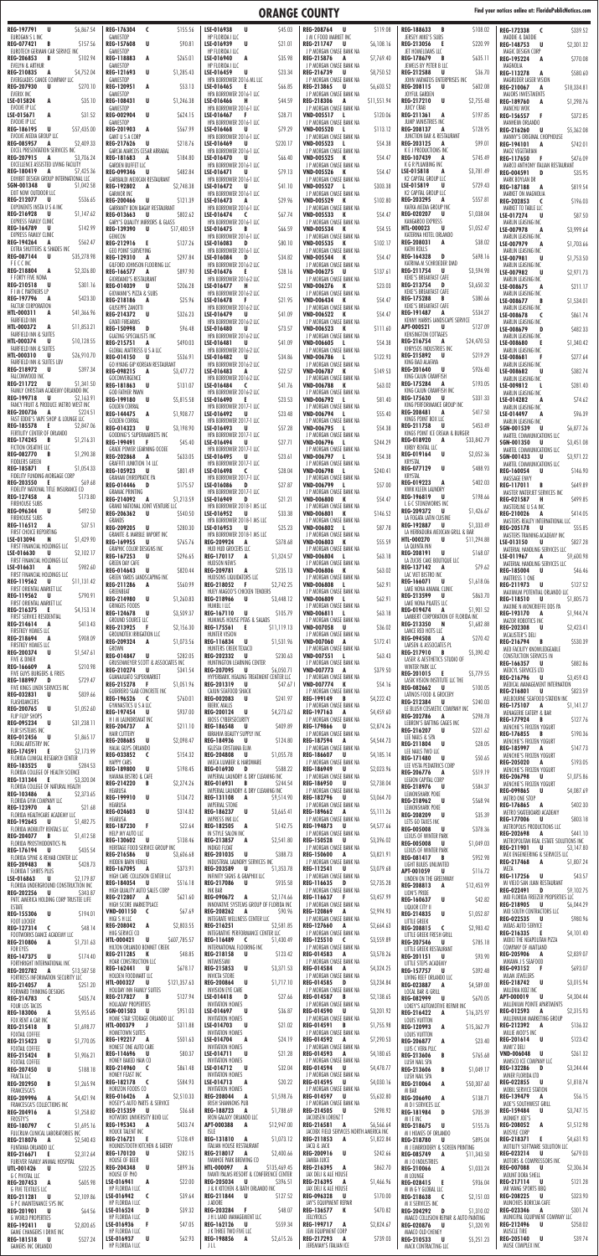## **ORANGE COUNTY Find your notices online at: FloridaPublicNotices.com**

| EUROGAN S L INC                                                                     | <b>REG-176304</b><br>$\epsilon$<br>\$155.56                                     | LSE-016938<br><b>U</b><br>S45.03                                                 | REG-208764 U<br>S119.08                                                      | <b>REG-188633</b><br>\$108.02<br>B                                           | \$339.52<br>REG-172338 C                                                             |
|-------------------------------------------------------------------------------------|---------------------------------------------------------------------------------|----------------------------------------------------------------------------------|------------------------------------------------------------------------------|------------------------------------------------------------------------------|--------------------------------------------------------------------------------------|
| <b>REG-077421</b><br>\$157.56<br>B                                                  | GAMESTOP<br><b>REG-157608</b><br>U<br>\$90.81                                   | HP FLORIDA I LLC<br>LSE-016939<br>U<br>\$21.01                                   | J M C FOOD MARKET INC<br>\$6,108.16<br>REG-211747 U                          | JERSEY MIKE'S SUBS<br>\$220.99<br><b>REG-213056</b><br>- E                   | MADDIE & DADDIE<br>\$2,301.32<br>REG-148753<br>U                                     |
| EUROTECH GERMAN CAR SERVICE INC<br><b>REG-206853</b><br>\$102.94<br>B               | GAMESTOP<br>REG-118883<br>A<br>\$265.01                                         | HP FLORIDA I LLC<br>LSE-016940<br>\$35.98<br>A                                   | J P MORGAN CHASE BANK NA<br>REG-215876 A<br>\$7,769.40                       | JET HOMELOANS LLC<br>\$635.11<br>REG-178679<br>B                             | MAGIC DESIGN CORP<br>\$770.08<br><b>REG-195224</b><br>A                              |
| EVELYN & ARTHUR<br><b>REG-210835</b><br>\$4,752.04<br>A                             | GAMESTOP<br>REG-121693<br>U<br>\$1,285.43                                       | HP FLORIDA I LLC<br>\$23.34<br>LSE-016459<br>U                                   | J P MORGAN CHASE BANK NA<br>\$8,750.52<br>REG-216739 U                       | JEWELS BY PETER B LLC<br><b>REG-212588</b><br>U<br>\$36.70                   | MAGNOLIA<br>\$580.60<br>REG-113278<br>A                                              |
| EVERGLADES CANOE COMPANY LLC<br><b>REG-207930</b><br>U<br>\$270.10                  | GAMESTOP<br>REG-120951<br>\$53.13<br>A                                          | HPA BORROWER 2016 ML LLC<br>LSE-016465<br>\$66.85<br>- 6                         | J P MORGAN CHASE BANK NA<br>REG-213865<br>\$6,603.52<br>U                    | JOHN VARVATOS ENTERPRISES INC<br>REG-208115<br>U<br>\$602.08                 | MAGRUDER LASER VISION                                                                |
| EVERIX INC                                                                          | GAMESTOP                                                                        | HPA BORROWER 2016-1 LLC                                                          | J P MORGAN CHASE BANK NA                                                     | JOYFUL GARDEN                                                                | <b>REG-210067</b><br>\$18,334.81<br>A<br>MAJORS INVESTMENTS                          |
| LSE-015824<br>A<br>\$35.10<br>EVOLVE IP LLC                                         | U<br>REG-108431<br>\$1,246.38<br>GAMESTOP                                       | \$44.59<br>LSE-016466<br>- н<br>HPA BORROWER 2016-1 LLC                          | REG-218306 A<br>\$11,551.94<br>J P MORGAN CHASE BANK NA                      | <b>REG-217210</b><br>U<br>\$2,755.48<br><b>JUICY CRAB</b>                    | \$1,298.76<br><b>REG-189760</b><br>A<br>MANCHU WOK                                   |
| \$31.52<br>LSE-015671<br>A<br>EVOLVE IP LLC                                         | <b>REG-002904</b><br>U<br>\$624.15<br>GAMESTOP                                  | \$28.71<br>LSE-016467<br>- F<br>HPA BORROWER 2016-1 LLC                          | \$120.06<br>VND-005517 L<br>J P MORGAN CHASE BANK NA                         | \$197.85<br>REG-211361<br>A<br>JUMP MINISTRIES INC                           | \$372.85<br><b>REG-156557</b><br>- F<br>MANHEIM ORLANDO                              |
| REG-186195<br>\$57,435.00<br>U<br>EVOLVE MEDIA GROUP LLC                            | \$567.99<br>REG-201903<br>A<br>GANT U S A CORP                                  | \$79.29<br>LSE-016468<br>IJ<br>HPA BORROWER 2016-1 LLC                           | \$113.12<br><b>VND-005520</b><br>J P MORGAN CHASE BANK NA                    | \$128.95<br><b>REG-208137</b><br>A<br>JUNCTION BAR & RESTAURANT              | <b>REG-216260</b><br>\$5,362.08<br>- U<br>MANNY'S ORIGINAL CHOPHOUSE                 |
| <b>REG-085957</b><br>\$2,409.33<br>A<br>EXCEL PRESENTATION SERVICES INC             | REG-217626<br>U<br>S218.76<br>GARCIA MARCOS CESAR ARRABAL                       | LSE-016469<br>\$220.17<br>U<br>HPA BORROWER 2016-1 LLC                           | \$54.38<br>VND-005523 L<br>J P MORGAN CHASE BANK NA                          | REG-203125 A<br>\$99.01<br>K E J PRODUCTIONS INC                             | REG-194101<br>\$742.01<br>A<br>MAOZ VEGETARIAN                                       |
| REG-207915<br>\$3,706.24<br>A<br>EXCELLENCE ASSISTED LIVING FACILITY                | REG-181683<br>A<br>\$184.80                                                     | \$66.40<br>LSE-016470<br>U                                                       | \$54.47<br>VND-005525 K                                                      | <b>REG-107439</b><br>\$745.49<br>A                                           | <b>REG-117650</b><br>\$476.09<br>- F                                                 |
| <b>REG-180419</b><br>\$7,425.36<br>A                                                | GARDEN BUFFET LLC<br><b>REG-099346</b><br>U<br>\$482.84                         | HPA BORROWER 2016-1 LLC<br>LSE-016471<br>S79.13<br>U                             | J P MORGAN CHASE BANK NA<br>\$54.47<br>VND-005526 K                          | K G R PLUMBING INC<br>LSE-015818<br>A<br>\$3,781.49                          | MARCO ANTHONY ITALIAN RESTAURANT<br>REG-004591 D<br>\$35.95                          |
| EXHIBIT DESIGN GROUP INTERNATIONAL LLC<br>SGN-001348<br>U.<br>\$1,042.58            | GARIBALDI MEXICAN RESTAURANT<br>REG-192802<br>\$2,748.38<br>A                   | HPA BORROWER 2016-1 LLC<br>LSE-016472<br>\$41.10<br>U                            | J P MORGAN CHASE BANK NA<br>VND-005527 L<br>\$303.38                         | K2 CAPITAL GROUP LLC<br>LSE-015819<br>\$729.43<br>U                          | MARK BOYLAN DR<br>\$819.54<br><b>REG-187188</b><br>A                                 |
| EXIT NOW OUTDOOR LLC<br><b>REG-212077</b><br>\$536.65<br>U                          | <b>GARMOR INC</b><br><b>U</b><br><b>REG-200466</b><br>\$121.39                  | HPA BORROWER 2016-1 LLC<br>LSE-016473<br>\$29.96<br>A                            | J P MORGAN CHASE BANK NA<br>\$102.80<br><b>VND-005529 K</b>                  | K2 CAPITAL GROUP LLC<br>\$557.81<br><b>REG-203295</b><br>A                   | MARKET ON MAGNOLIA<br><b>REG-202853</b><br>\$196.03<br>$\epsilon$                    |
| EXPONENTS INSTA U S A INC<br>REG-216928<br>\$1,147.62<br>U                          | GARRANTY BON BAGAY RESTAURANT<br>\$802.62<br><b>REG-013663</b><br><b>U</b>      | HPA BORROWER 2016-1 LLC<br>\$67.74<br>LSE-016474<br>$\epsilon$                   | J P MORGAN CHASE BANK NA<br>\$54.47<br>VND-005533 K                          | KAFKA MEDIA GROUP INC<br><b>REG-020207</b><br>\$1,038.04<br>U                | MARKET TO TABLE LLC<br>\$87.50<br>LSE-017274<br><b>U</b>                             |
| <b>EXPRESS FAMILY CLINIC</b><br>REG-164789<br>\$142.99<br>U                         | GARY'S QUALITY MIRRORS & GLASS                                                  | HPA BORROWER 2016-1 LLC                                                          | J P MORGAN CHASE BANK NA                                                     | KANGAROO EXPRESS<br><b>HTL-000023</b><br>\$1,052.47<br>U                     | MARLIN LEASING INC                                                                   |
| <b>EXPRESS FAMILY CLINIC</b>                                                        | REG-139390<br><b>U</b><br>\$17,480.59<br>GENICON                                | \$66.59<br>LSE-016475<br>B<br>HPA BORROWER 2016-1 LLC                            | \$54.55<br><b>VND-005534</b><br>К<br>J P MORGAN CHASE BANK NA                | KATERINA HOTEL ORLANDO                                                       | \$3,999.64<br>LSE-007978<br>A<br>MARLIN LEASING INC                                  |
| <b>REG-194264</b><br>\$562.47<br>A<br>EXTRA SHUTTERS & SHADES INC                   | REG-212916<br>- E<br>\$127.26<br>GEO POINT SURVEYING                            | LSE-016083<br>\$80.10<br>D<br>HPA BORROWER 2016-1 LLC                            | \$102.17<br>VND-005535 K<br>J P MORGAN CHASE BANK NA                         | \$38.02<br><b>REG-208031</b><br>A<br>KATHI ROLLS                             | LSE-007979<br>\$1,703.66<br>A<br>MARLIN LEASING INC                                  |
| <b>REG-087144</b><br>U<br>\$35,278.98<br>FECCINC                                    | REG-129310<br>\$297.84<br>A<br>GILFORD JOHNSON FLOORING LLC                     | LSE-016084<br>\$34.82<br>D<br>HPA BORROWER 2016-2 LLC                            | \$54.47<br><b>VND-005544 K</b><br>J P MORGAN CHASE BANK NA                   | <b>REG-164328</b><br>\$698.16<br>D<br>KATRINA M SCHROEDER DMD                | LSE-007981<br>\$1,753.50<br>IJ<br>MARLIN LEASING INC                                 |
| <b>REG-218804</b><br>\$2,326.80<br>A<br>F FORTY FIVE NONA                           | <b>REG-166577</b><br>A<br>\$897.90<br>GIORDANO'S RESTAURANT                     | LSE-016476<br>S <sub>28</sub> .16<br>- E<br>HPA BORROWER 2016-2 LLC              | VND-006275 U<br>\$137.61<br>J P MORGAN CHASE BANK NA                         | REG-211754<br>U<br>\$3,594.98<br>KEKE'S BREAKFAST CAFE                       | LSE-007982<br>\$2,971.73<br>U<br>MARLIN LEASING INC                                  |
| REG-210518<br>\$301.16<br>U<br>F I M C PARTNERS LP                                  | <b>REG-014039</b><br>U<br>\$206.28<br>GIOVANNI'S PIZZA & SUBS                   | LSE-016477<br>\$22.51<br>— н<br>HPA BORROWER 2016-2 LLC                          | \$23.03<br>VND-006276 K<br>J P MORGAN CHASE BANK NA                          | REG-213754<br>\$3,650.32<br>D<br>KEKE'S BREAKFAST CAFE                       | \$211.17<br>LSE-008675<br>A                                                          |
| REG-197796<br>\$423.30<br>A<br>FACTUR CORPORATION                                   | REG-218186<br>\$25.96<br>A                                                      | \$21.95<br>LSE-016478<br>- F                                                     | \$54.47<br>VND-006434 K                                                      | \$380.66<br><b>REG-175288</b><br>B<br>KEKE'S BREAKFAST CAFE                  | MARLIN LEASING INC<br>\$1,534.01<br>LSE-008677<br>B                                  |
| HTL-000311<br>\$41,366.96<br>A                                                      | GIUSEPPE ZANOTTI<br>REG-214372 U<br>\$326.23                                    | HPA BORROWER 2016-2 LLC<br>\$41.09<br>LSE-016479<br>U                            | J P MORGAN CHASE BANK NA<br>\$54.47<br>VND-006522 K                          | REG-191487<br>\$534.27<br>A                                                  | MARLIN LEASING INC<br>\$861.74<br>LSE-008678<br><b>C</b>                             |
| <b>FAIRFIELD INN</b><br>\$11,853.21<br><b>HTL-000372</b><br>A                       | GIVATI FIREARMS<br><b>REG-150998</b><br>\$96.48<br>D                            | HPA BORROWER 2016-2 LLC<br>\$73.57<br>LSE-016480<br>U                            | J P MORGAN CHASE BANK NA<br>\$111.60<br>VND-006523 K                         | KENNY HARRIS LANDSCAPE SERVICE<br>\$127.09<br>APT-000521<br><b>U</b>         | MARLIN LEASING INC<br>\$482.33<br>LSE-008679<br>D                                    |
| FAIRFIELD INN & SUITES<br><b>HTL-000374</b><br>\$10,128.55<br>U                     | GLAZING SPECIALISTS INC<br>\$490.03<br><b>REG-215751</b><br>A                   | HPA BORROWER 2016-2 LLC<br>\$41.09<br>LSE-016481<br>U                            | J P MORGAN CHASE BANK NA<br>\$54.38<br>VND-006605 L                          | KENSINGTON COTTAGES<br>REG-216754<br>\$24,470.53<br>A                        | MARLIN LEASING INC<br><b>LSE-008680</b><br>\$1,340.42<br>-E                          |
| FAIRFIELD INN & SUITES<br><b>HTL-000310</b><br>U<br>\$26,910.70                     | <b>GLOBAL MATTRESS U S A LLC</b><br><b>REG-014150</b><br>U<br>\$536.91          | HPA BORROWER 2016-2 LLC<br>LSE-016482<br>\$34.86<br>U                            | J P MORGAN CHASE BANK NA<br>VND-006786 L<br>\$122.93                         | KHRYSOS INDUSTRIES INC<br>REG-215892<br>U<br>\$219.29                        | MARLIN LEASING INC<br>\$277.64<br>LSE-008681<br>-F                                   |
| <b>FAIRFIELD INN &amp; SUITES LBV</b><br>REG-218972 U<br>\$397.34                   | GO HYANG GIP KOREAN RESTAURANT                                                  | HPA BORROWER 2016-2 LLC                                                          | J P MORGAN CHASE BANK NA                                                     | KING BAO ALAFAYA<br>REG-201640 U<br>\$926.40                                 | MARLIN LEASING INC                                                                   |
| FALCONWOOD INC<br>\$1,341.50<br>REG-211722<br>U                                     | <b>REG-098215</b><br>A<br>\$3,477.72<br>GOCONVERGENCE                           | \$22.57<br>LSE-016483<br>A<br>HPA BORROWER 2016-2 LLC                            | \$149.53<br>VND-006787 K<br>J P MORGAN CHASE BANK NA                         | KING CAJUN CRAWFISH<br>\$193.05<br><b>REG-175284</b><br>A                    | \$382.74<br>LSE-008682<br>U<br>MARLIN LEASING INC                                    |
| FAMILY CHRISTIAN ACADEMY ORLANDO INC                                                | REG-181863<br>\$131.07<br><b>U</b><br>GOD FATHER PAWN                           | \$41.76<br>LSE-016484<br>$\overline{\mathbf{C}}$<br>HPA BORROWER 2016-2 LLC      | \$63.02<br>VND-006788 K<br>J P MORGAN CHASE BANK NA                          | KING CAJUN CRAWFISH INC                                                      | \$281.40<br>LSE-009812<br>-L<br>MARLIN LEASING INC                                   |
| REG-199718 U<br>\$2,163.91<br>FANCY FRUIT & PRODUCE METRO WEST INC                  | REG-199180 U<br>\$5,815.58<br><b>GOLDEN CORRAL</b>                              | \$23.53<br>LSE-016490 E<br>HPA BORROWER 2017-1 LLC                               | \$81.40<br>VND-006792 L<br>J P MORGAN CHASE BANK NA                          | \$331.33<br>REG-175630 U<br>KING PERFORMANCE GROUP INC                       | \$74.62<br>LSE-014282<br>A<br>MARLIN LEASING INC                                     |
| <b>REG-200736</b><br>A<br>\$224.51<br>FAST EDDIE'S VAPE SHOP & LOUNGE LLC           | REG-144475 A<br>\$1,908.77<br>GOLDEN CORRAL                                     | \$23.48<br>LSE-016492<br>. U<br>HPA BORROWER 2017-1 LLC                          | \$55.40<br>VND-006794 L<br>J P MORGAN CHASE BANK NA                          | \$417.50<br><b>REG-208481</b><br>A<br>KINGS POINT BOX LLC                    | \$96.39<br>LSE-014497<br>A<br>MARLIN LEASING INC                                     |
| REG-185578 E<br>\$2,847.06<br>FERTILITY CENTER OF ORLANDO                           | <b>REG-014323</b><br><b>U</b><br>\$3,198.90<br>GOODING'S SUPERMARKETS INC       | \$57.28<br>LSE-016493<br>U<br>HPA BORROWER 2017-1 LLC                            | \$54.38<br>VND-006795 L<br>J P MORGAN CHASE BANK NA                          | \$453.49<br>REG-211758 U<br>KINGS POINT ICE CREAM & BURGER                   | \$6,877.26<br>SGN-001539<br>U<br>MARTEL COMMUNICATIONS LLC                           |
| \$1,216.31<br><b>REG-174245</b><br><b>B</b><br>FICTION CREATIVE LLC                 | REG-199491<br>\$45.40<br>- F<br><b>GRADE POWER LEARNING OCOEE</b>               | \$27.71<br>LSE-016494<br>U                                                       | \$244.29<br>VND-006796 L                                                     | REG-018920<br>A<br>\$33,842.79<br>KIRBY RENTAL LLC                           | SGN-001350<br>\$3,451.08<br>U                                                        |
| REG-082770 B<br>\$1,290.38<br><b>FIDDLERS GREEN</b>                                 | <b>REG-202868</b><br>\$633.05<br>A                                              | HPA BORROWER 2017-1 LLC<br>LSE-016495<br>S <sub>23.6</sub> 1<br>U                | J P MORGAN CHASE BANK NA<br>\$54.38<br>VND-006797 L                          | REG-019164 U<br>\$2,052.36<br>KRYSTAL                                        | MARTEL COMMUNICATIONS LLC<br>\$3,971.22<br>SGN-001433<br><b>U</b>                    |
| REG-185871 E<br>\$1,054.33                                                          | <b>GRAFFITI JUNKTION 14 LLC</b><br>\$801.49<br>REG-105923<br>U                  | HPA BORROWER 2017-1 LLC<br>LSE-016498<br>\$28.04<br>$\epsilon$                   | J P MORGAN CHASE BANK NA<br>\$240.41<br>VND-006798 L                         | U<br>\$488.93<br>REG-077129                                                  | MARTEL COMMUNICATIONS LLC<br>\$146.90<br><b>REG-160054</b><br>U.                     |
| FIDELITY FUNDING MORGAGE CORP<br><b>REG-203550</b><br>\$69.68<br>- E                | GRAHAM CHIROPRATIC PA<br>REG-014446<br><b>D</b><br>\$175.57                     | HPA BORROWER 2017-1 LLC<br>LSE-016086<br>\$27.87<br>D.                           | J P MORGAN CHASE BANK NA<br>\$57.00<br>VND-006799 L                          | KRYSTAL<br>\$402.03<br><b>REG-019223</b><br>A                                | MASSAGE ENVY<br>\$649.89<br>REG-117011<br>$\overline{B}$                             |
| FIDELITY NATIONAL TITLE INSURANCE CO<br><b>REG-127458</b><br>A<br>\$173.80          | <b>GRAMAC PRINTING</b><br>REG-214092 A<br>\$1,213.59                            | HPA BORROWER 2017-1 LLC<br>\$21.21<br>LSE-016949<br>D D                          | J P MORGAN CHASE BANK NA<br>\$54.47<br>VND-006800 K                          | KWIK KLEEN LAUNDRY<br>\$198.66<br>REG-196819<br>U                            | MASTER WATERJET SERVICES INC<br>\$499.85<br>REG-021587 H                             |
| <b>FIREHOUSE SUBS</b><br>\$492.50<br><b>REG-096344</b><br>U.                        | GRAND NATIONAL JOINT VENTURE LLC                                                | HPA BORROWER 2018-1 MS LLC<br>\$33.38                                            | J P MORGAN CHASE BANK NA                                                     | L G C STONEWORKS INC<br>\$1,426.67<br><b>REG-209372 U</b>                    | MASTERLINE U S A INC                                                                 |
| <b>FIREHOUSE SUBS</b><br>REG-116512<br>\$37.51<br>A                                 | REG-206362 U<br>\$540.50<br>GRANDS                                              | LSE-016952<br>U<br>HPA BORROWER 2018-1 MS LLC                                    | \$146.52<br>VND-006801 K<br>J P MORGAN CHASE BANK NA                         | LA FOGATA LATIN CUISINE<br>REG-192887<br>\$1,333.49<br>U                     | \$414.05<br><b>REG-210026</b><br>A<br>MASTERS REALTY INTERNATIONAL LLC               |
| FIRST CHOICE REPORTING<br>LSE-013094<br>\$1,429.90<br>N                             | REG-209205 U<br>\$280.30<br><b>GRANITE &amp; MARBLE IMPORT INC</b>              | \$25.23<br>LSE-016953<br>U<br>HPA BORROWER 2018-1 MS LLC                         | \$87.78<br>VND-006802 L<br>J P MORGAN CHASE BANK NA                          | LA HERRADURA MEXICAN GRILL & BAR<br><b>HTL-000270</b><br>U<br>\$11,294.88    | \$55.85<br><b>REG-205178</b><br>U.<br>MASTERS TRAINING ACADEMY INC                   |
| FIRST FINANCIAL HOLDINGS LLC                                                        | REG-169955<br><b>U</b><br>\$765.76<br>GRAPHIC COLOR DESIGNS INC                 | \$378.68<br>REG-209924 A<br>HUD HUD GROCERS LLC                                  | \$55.59<br>VND-006803 K<br>J P MORGAN CHASE BANK NA                          | LA QUINTA INN                                                                | \$827.28<br>LSE-013150<br>U<br>MATERIAL HANDLING SERVICES LLC                        |
| LSE-016630<br>U<br>\$2,102.17<br>FIRST FINANCIAL HOLDINGS LLC                       | <b>REG-167253</b><br>U<br>\$296.65<br>GREEN DAY CAFE                            | REG-170117 A<br>\$1,324.57<br>HUDSON NEWS                                        | \$63.18<br>VND-006804 L<br>J P MORGAN CHASE BANK NA                          | REG-208191<br>U<br>\$168.07<br>LA ZUCRE CAKE BOUTIQUE LLC                    | LSE-011967<br>A<br>\$9,600.98<br>MATERIAL HANDLING SERVICES LLC                      |
| \$982.60<br>LSE-016631<br>A<br>FIRST FINANCIAL HOLDINGS LLC                         | \$820.44<br><b>REG-014643</b><br><b>U</b><br>GREEN YARDS LANDSCAPING INC        | \$235.13<br>REG-209781 A<br>HUDSONS LIQUIDATORS LLC                              | \$63.02<br>VND-006806 K<br>J P MORGAN CHASE BANK NA                          | \$79.62<br>REG-137142<br>A<br>LAC VIET BISTRO INC                            | \$46.46<br><b>REG-185004</b><br><b>U</b><br>MATTRESS 1 ONE                           |
| REG-119562<br>\$11,131.42<br>U<br>FIRST ORIENTAL MARKET LLC                         | REG-211286<br>A<br>\$560.99<br>GREENBEAT                                        | REG-218052 F<br>\$2,742.25<br>HUEY MAGOO'S CHICKEN TENDERS                       | \$62.91<br>VND-006808 L<br>J P MORGAN CHASE BANK NA                          | REG-166071<br>\$1,618.06<br>U<br>LAKE NONA ANIMAL CLINIC                     | \$127.52<br>REG-211973 U<br>MAXIMUM POTENTIAL ORLANDO LLC                            |
| REG-119562<br>\$790.91<br>U<br>FIRST ORIENTAL MARKET LLC                            | REG-214980 U<br>\$1,260.83<br>GRINGOS FOODS                                     | REG-218966 U<br>\$3,448.12<br>HUMBL I LLC                                        | \$62.91<br>VND-006809 L<br>J P MORGAN CHASE BANK NA                          | REG-213599 U<br>\$863.70<br>LAKE NONA PILATES LLC                            | <b>REG-118510</b><br>\$1,805.73<br>– U<br>MAXINE N MONCRIEFFE DDS PA                 |
| \$4,153.14<br>REG-216375<br>- 6<br>FIRST SERVICE RESIDENTIAL                        | REG-124678<br>– U<br>\$3,509.37<br>GROUND SOURCE LLC                            | \$105.79<br>REG-167110 U<br>HUMMUS HOUSE PITAS & SALADS                          | \$63.18<br>VND-006811 L<br>J P MORGAN CHASE BANK NA                          | \$1,901.52<br>REG-019474 A<br>LAMBERT CORPORATION OF FLORIDA INC             | \$1,944.74<br>REG-193170<br>A<br>MAZOR ROBOTICS INC                                  |
| REG-214614<br>\$413.43<br>A<br>FIRSTKEY HOMES LLC                                   | REG-213925<br>- F<br>\$2,156.30<br>GROUNDTEK IRRIGATION LLC                     | REG-175561 E<br>\$11,119.13<br>HUNTER VISION                                     | VND-007058 U<br>\$36.02<br>J P MORGAN CHASE BANK NA                          | REG-213350 N<br>\$1,682.88<br>LANCE RED HOTS LLC                             | \$2,423.41<br><b>REG-202308</b><br>U<br>MCALISTER'S DELI                             |
| \$908.09<br>REG-218694<br>A<br>FIRSTKEY HOMES LLC                                   | <b>REG-209324</b><br>A<br>\$1,073.56<br>GROWN                                   | \$1,531.96<br><b>REG-116834</b><br>U<br>HUNTERS CREEK TEXACO                     | \$172.41<br>VND-007060 A<br>J P MORGAN CHASE BANK NA                         | \$270.42<br>REG-094508<br>A<br>LARSEN & ASSOCIATES PL                        | \$530.39<br>REG-216794<br>$\overline{B}$<br>MED FACILITY KNOWLEDGEABLE               |
| <b>REG-200374</b><br>U<br>\$1,547.61<br>FIVE & DINER                                | REG-014847 U<br>\$282.05                                                        | REG-202332 U<br>\$230.63                                                         | \$63.43<br>VND-007551 L                                                      | \$5,390.42<br>REG-217910<br>B<br>LASER & AESTHETICS STUDIO OF                | CONSTUCTION SERVICES IN                                                              |
| \$210.98<br>REG-166609<br>A                                                         | GRUSENMEYER SCOTT & ASSOCIATES INC<br><b>REG-210274</b><br><b>U</b><br>\$341.54 | HUNTINGTON LEARNING CENTER<br>REG-207095 U<br>\$6,050.71                         | J P MORGAN CHASE BANK NA<br>VND-007773 A<br>\$379.50                         | WINTER PARK LLC<br>REG-201015 E<br>\$5,779.55                                | \$882.86<br>REG-166357 U<br>MEDCYL SERVICES LTD                                      |
|                                                                                     |                                                                                 | HYPERBARIC HEALING TREATMENT CENTER LLC                                          | J P MORGAN CHASE BANK NA                                                     | LASIK VISION INSTITUTE LLC THE                                               | REG-216796<br>\$3,459.43<br><b>U</b>                                                 |
| FIVE GUYS BURGERS & FRIES<br>\$729.47<br>REG-188997<br>D                            | GUANAJUATO SUPERMARKET<br>REG-215278 F<br>\$1,051.96                            | REG-201319 U<br>S47.67 I                                                         | \$54.16<br>VND-007774 K                                                      |                                                                              | MEDICAL MANAGEMENT INTERNATION                                                       |
| FIVE KINGS LINEN SERVICES INC<br>REG-032831<br>\$839.66<br>U                        | GUERRERO SLAB CONCRETE INC<br>\$760.01<br>REG-196526 C                          | CAJUN SEAFOOD SHACK<br>\$241.97<br>REG-002083 U                                  | J P MORGAN CHASE BANK NA<br>\$4,222.42<br>REG-199149 B                       | <b>REG-082662</b><br>\$100.05<br>U<br>LATINOS FOOD & GROCERY                 | \$823.59<br>REG-216801<br>– U<br>MELBOURNE SEAFOOD STATION INC                       |
| FLASHDANCERS<br><b>REG-200765</b><br><b>U</b><br>\$1,052.60                         | GYMNASTICS U S A LLC<br>\$937.00<br><b>REG-197454</b><br>U                      | <b>IBERIC MALLS</b><br>\$4,273.62<br><b>REG-200124</b><br><b>U</b>               | J P MORGAN CHASE BANK NA<br>\$4,459.60<br>REG-197163<br>A                    | \$240.03<br>REG-212384<br>U<br>LE BLUSH COSMETIC COMPANY INC                 | \$1,141.27<br>REG-175107<br>A<br>MENAGERIE EATERY & BAR                              |
| FLIP FLOP SHOPS<br>\$31,238.11<br>REG-095234 U                                      | H I M LAUNDROMAT INC<br><b>REG-204737</b><br>A<br>\$211.10                      | <b>IBOSS CYBERSECURITY</b><br><b>REG-186548</b><br>U<br>\$409.89                 | J P MORGAN CHASE BANK NA<br>\$2,874.26<br>REG-179866 U                       | <b>REG-202786</b><br>\$298.78<br>A<br>LEBRON'S BATTING CAGES INC             | <b>REG-177924</b><br>\$127.76<br>B<br>MENCHIE'S FROZEN YOGURT                        |
| FLIR SYSTEMS INC<br><b>REG-012456</b><br>\$1,865.17<br>U                            | <b>HAIR CUTTERY</b><br>REG-208685<br><b>U</b><br>\$2,098.47                     | <b>IBRAHIM BEAUTY SUPPLY INC</b><br><b>REG-184936</b><br><b>U</b><br>\$124.80    | J P MORGAN CHASE BANK NA<br>\$4,544.73<br>REG-187594 A                       | REG-216207<br>U<br>\$221.62<br>LEE NAILS & SPA                               | \$190.36<br><b>REG-176855</b><br><b>B</b><br>MENCHIE'S FROZEN YOGURT                 |
| FLORAL ARTISTRY INC<br>\$2,173.99<br>REG-174591 E                                   | HALAL GUYS ORLANDO<br>\$154.32<br><b>REG-033852</b><br>$\epsilon$               | IGLESIA CRISTIANA ELIM<br>REG-204808 U<br>\$1,055.78                             | J P MORGAN CHASE BANK NA<br>REG-186607<br>U                                  | <b>REG-211804</b><br><b>U</b><br>\$28.05<br>LEE NAILS TWO LLC                | \$147.73<br>REG-185997 A<br>MENCHIE'S FROZEN YOGURT                                  |
| FLORIDA CLINICAL RESEARCH CENTER<br>REG-183525 U<br>\$284.53                        | <b>HAPPY CARS</b>                                                               | IMECA LUMBER & HARDWARE                                                          | \$4,185.14<br>J P MORGAN CHASE BANK NA                                       | \$50.65<br>REG-171480<br>U<br>LEE VISTA PEDIATRICS CORP                      | <b>REG-205020</b><br>\$193.05<br>A                                                   |
| FLORIDA COLLEGE OF HEALTH SCIENCE<br>REG-131344 E<br>\$3,320.04                     | REG-189800 U<br>\$198.45<br>HAVANA BISTRO & CAFE                                | REG-016930 D<br>\$588.22<br>IMPERIAL LAUNDRY & DRY CLEANING INC                  | REG-186949 U<br>\$2,023.96<br>J P MORGAN CHASE BANK NA                       | \$519.19<br>REG-206776 A<br>LEGION CAPITAL CORP                              | MENCHIE'S FROZEN YOGURT<br>\$1,075.86<br><b>REG-206798</b><br><b>U</b>               |
| FLORIDA COLLEGE OF NATURAL HEALTH<br>\$2,373.65<br>REG-103486 A                     | REG-214220 B<br>\$2,274.26<br>HEARUSA                                           | REG-016931 B<br>\$244.54<br>IMPERIAL LAUNDRY & DRY CLEANING INC                  | \$2,738.04<br>REG-186950 U<br>J P MORGAN CHASE BANK NA                       | REG-218976 U<br>\$584.37<br>LEMONSHARK POKE                                  | MENCHIE'S FROZEN YOGURT<br><b>REG-099865</b><br><b>U</b><br>\$4,087.69               |
| FLORIDA GYM COMPANY LLC<br>REG-123970 A<br>\$21.68                                  | REG-199910 U<br>\$134.72<br>HEARUSA                                             | REG-131108 A<br>\$9,514.90<br><b>IMPERIAL STONE</b>                              | REG-182796 U<br>\$3,064.70<br>J P MORGAN CHASE BANK NA                       | REG-218962 U<br>\$568.94<br>LEMONSHARK POKE                                  | METRO ONE STOP<br>\$402.30<br>REG-176865 A                                           |
| FLORIDA HEALTHCARE ACADEMY LLC<br><b>REG-192645</b><br>\$1,482.75<br>U              | <b>REG-024603</b><br><b>U</b><br>\$314.82<br>HEARUSA                            | REG-186237 U<br>\$3,665.41<br>IMPRESS INK LLC                                    | REG-189662 A<br>\$5,111.26<br>J P MORGAN CHASE BANK NA                       | REG-208209 U<br>\$35.39<br>LETS GO TAXES INC                                 | METRO SKATEBOARD ACADEMY<br>\$803.18<br><b>REG-177006</b><br><b>U</b>                |
| FLORIDA MOBILITY RENTALS LLC                                                        | REG-187230 F<br>\$22.64<br>HELP MY AUTO LLC                                     | REG-182505 A<br>\$142.75<br>IN STYLE SALON INC                                   | REG-194873 U<br>\$4,577.66<br>J P MORGAN CHASE BANK NA                       | REG-005008 U<br>\$378.36                                                     | METROPOLIS PRODUCTIONS LLC<br>\$441.10<br><b>REG-202698</b><br>A                     |
| <b>REG-204077</b><br>\$1,412.58<br>B<br>FLORIDA PROSTHODONTICS PA                   | REG-130602 U<br>\$138.46<br>HERITAGE FOOD SERVICE GROUP INC                     | REG-213857 A<br>\$2,541.80<br>INDIGO FLOAT                                       | REG-150528 U<br>\$3,396.02<br>J P MORGAN CHASE BANK NA                       | LEXUS OF WINTER PARK<br><b>REG-005008</b><br>\$1,049.03<br>U                 | METROPOLITAN REAL ESTATE SOLUTIONS INC<br>REG-211901 U                               |
| REG-176194<br>\$435.54<br>U<br>FLORIDA SPINE & REHAB CENTER LLC                     | <b>REG-216586</b><br><b>U</b><br>\$3,606.68<br>HIDDEN BARN VENUE                | REG-201035 U<br>\$388.73<br>INDUSTRIAL LAUNDRY SERVICES INC                      | \$3,821.91<br>REG-150600 A<br>J P MORGAN CHASE BANK NA                       | LEXUS OF WINTER PARK<br>\$952.98<br>REG-081417<br>B                          | \$3,147.80<br>MEX ENGENEERING & SERVICES LLC<br><b>REG-217468</b><br>\$1,807.24<br>A |
| <b>REG-209483</b><br>\$428.73<br><b>N</b><br>FLORIDA T SHIRTS PLUS                  | \$373.91<br>REG-167095<br>A<br>HIGH CARE COLLISION CENTER LLC                   | REG-203589 U<br>\$1,353.78<br>INFINITY SIGNS & GRAPHIX LLC                       | REG-112541 U<br>\$3,079.68<br>J P MORGAN CHASE BANK NA                       | LIGHT BULBS UNLIMITED<br>APT-001059<br>\$116.72<br>U                         | MEZA<br><b>REG-117256</b><br><b>U</b>                                                |
| LSE-016863<br>\$2,179.87<br>U<br>FLORIDA UNDERGROUND CONSTRUCTION INC               | <b>REG-184054</b><br><b>U</b><br>\$516.18                                       | REG-217086 U<br>\$935.58                                                         | \$2,735.28<br>REG-116635 D                                                   | LINDEN ON THE GREENWAY<br><b>REG-208813</b><br>\$12,453.99<br>A              | \$43.57<br>MI VIEJO SAN JUAN RESTAURANT                                              |
| REG-202256 U<br>\$343.87<br>FNTC AMERICA HOLDING CORP TRUSTEE LIFE                  | HIGH QUALITY AUTO SALES CORP<br>\$621.60<br>REG-212807 A                        | INK BAR<br>REG-090672 A<br>\$2,174.66                                            | J P MORGAN CHASE BANK NA<br>\$3,457.99<br>REG-116637 F                       | LION'S PRIDE<br><b>REG-160637</b><br>U<br>\$42.82                            | REG-022491 D<br>\$9,102.75<br>MID FLORIDA FREEZER PROPERTIES LLC                     |
| ESTATE<br>REG-155306 U<br>\$194.01                                                  | HIGH SCORE MARKETPLACE<br>VND-001150 C<br>\$67.69                               | INNOVATIVE SYSTEMS GROUP OF FLORIDA INC<br>REG-208262 A<br>\$90.96               | J P MORGAN CHASE BANK NA<br>REG-120869 A<br>\$2,994.93                       | LIQUOR CITY II<br>REG-214835<br>U<br>\$1,052.87                              | \$6,044.29<br><b>REG-218905</b><br><b>U</b><br>MID SOUTH CONTRACTORS LLC             |
| <b>FOOT LOCKER</b><br>\$48.14<br>REG-127314 C                                       | HIGI S H LLC<br>REG-208042 A<br>\$2,803.55                                      | INTEGRATE WELLNESS CENTER LLC<br>REG-216251<br>\$2,581.85                        | J P MORGAN CHASE BANK NA<br>REG-127660 A<br>\$2,664.63                       | LITTLE GREEK<br><b>REG-208815</b><br>\$2,983.42<br>$\mathsf{C}$              | \$980.96<br><b>REG-022535</b><br><b>U</b><br>MIDAS AUTO SERVICE                      |
| FOOTWORKS DANCE ACADEMY LLC                                                         | HIIG SERVICE CO<br>HTL-000421 U<br>\$607,785.57                                 | INTEGRATIVE PERFORMANCE CENTER LLC<br>REG-116489 C<br>\$1,430.49                 | J P MORGAN CHASE BANK NA<br>\$3,559.89<br>REG-125510 C                       | LITTLE GREEK FRESH GRILL                                                     | \$4,101.40<br>REG-216335 E<br>MIDICI THE NEAPOLITAN PIZZA                            |
| REG-210806 A<br>\$1,731.63<br><b>FOR EYES</b>                                       | HILTON ORLANDO BONNET CREEK<br>REG-211285 K<br>\$48.85                          | INTERNATIONAL FLOORING INC<br>REG-218158 U<br>\$123.42                           | J P MORGAN CHASE BANK NA<br>REG-014583 A<br>\$3,578.26                       | <b>REG-207546</b><br>\$785.18<br>U<br>LITTLE GREEK RESTAURANT                | COMPANY OF MAITLAND<br><b>REG-205906</b><br>A                                        |
| \$174.40<br>REG-147375<br>U<br>FORTHRIGHT INTERNATIONAL INC                         | HOAR CONSTRUCTION LLC                                                           | INTIMISSIMI                                                                      | J P MORGAN CHASE BANK NA                                                     | REG-201151<br>\$93.90<br>U<br>LITTLE STEPS ACADEMY                           | \$2,839.07<br>MIKAWA J S SEAFOOD                                                     |
| <b>REG-202782</b><br>\$13,587.58<br>A<br>FORTRESS INFORMATION SECURITY LLC          | REG-162441 U<br>\$678.17<br>HOLDEN FOODMART LLC                                 | REG-215853 U<br>\$3,371.53<br>INVICTA STORE                                      | REG-014584 A<br>\$4,324.25<br>J P MORGAN CHASE BANK NA                       | \$392.48<br>REG-157757 U<br>LIVING REEF ORLANDO LLC                          | \$693.07<br>REG-093152 F<br>MILAN JEWELERS                                           |
| REG-214057 A<br>\$251.20<br>FORWARD THINKING DESIGNS                                | \$121,357.63<br>HTL-000327 U<br>HOLIDAY INN FAMILY SUITES                       | REG-200864 U<br>\$1,717.10<br>INVISION EYE CARE                                  | \$3,234.84<br>REG-014585 D<br>J P MORGAN CHASE BANK NA                       | \$4,589.00<br>REG-023887<br>A<br>LOCAL BAR & GRILL                           | \$3,015.94<br>REG-218742 U<br>MILLENIA KIDZ INC                                      |
| \$435.74<br>REG-214783<br>$\epsilon$<br>FOUR LOS TACOS                              | \$127.94<br><b>REG-217827</b><br>$\overline{B}$<br><b>HOLLADAY PROPERTIES</b>   | \$27.66<br>LSE-014418<br>$\mathbf{D}$<br>INVITATION HOMES                        | \$2,138.65<br>REG-014587<br>B<br>J P MORGAN CHASE BANK NA                    | REG-082999 U<br>\$670.05<br>LOKEY'S AUTOMOTIVE REPAIR INC                    | \$4,304.44<br>APT-000019<br>U<br>MILLENIUM POINTE APARTMENTS                         |
| REG-183006 A<br>\$5,955.65<br>FOX RENT A CAR INC                                    | SGN-001503 U<br>\$951.03<br>HOME STAR STORAGE ORLANDO LLC                       | LSE-014697<br><b>U</b><br>\$36.87<br>INVITATION HOMES                            | REG-014590 U<br>\$3,201.92<br>J P MORGAN CHASE BANK NA                       | REG-216422 A<br>\$16,375.97<br><b>LOUIS VUITTON</b>                          | \$2,315.93<br><b>REG-012593</b><br>A<br>MILLENNIUM MARKETING GROUP                   |
| REG-215418 B<br>\$1,698.77<br><b>FOXTAIL COFFEE</b>                                 | \$311.88<br><b>HTL-000379</b><br>- 1<br>HOMETOWN SUITES                         | <b>U</b><br>LSE-014703<br>\$21.02<br><b>INVITATION HOMES</b>                     | \$1,755.98<br>REG-014591 B<br>J P MORGAN CHASE BANK NA                       | REG-120993<br>A<br>\$15,362.79<br>LOUIS VUITTON                              | \$136.32<br>REG-212392 A<br>MILLIE MOO'S INC                                         |
| <b>REG-215423</b><br><b>U</b><br>\$1,770.05<br><b>FOXTAIL COFFEE</b>                | REG-192217 A<br>\$501.63<br>HONEST ONE AUTO CARE                                | LSE-014704<br>A<br>\$24.19<br>INVITATION HOMES                                   | REG-014592 A<br>\$7,290.53<br>J P MORGAN CHASE BANK NA                       | REG-206877 A<br>\$23.40<br>LUIS C VERA PLLC                                  | \$123.42<br>REG-201614 U<br>MIMI'Z DELI                                              |
| \$1,906.21<br><b>REG-215424</b><br>B                                                | \$80.37<br>REG-114696<br><b>U</b><br>HONEY BAKED HAM CO                         | LSE-014711<br><b>U</b><br>\$21.28<br>INVITATION HOMES                            | REG-014593 A<br>\$4,180.65<br>J P MORGAN CHASE BANK NA                       | REG-213606<br>B<br>\$765.68                                                  | \$261.32<br>VND-006048 U<br>MIMSCO ICE COMPANY LLC                                   |
| <b>FOXTAIL COFFEE</b><br><b>REG-207450</b><br>\$188.18<br>U.                        | REG-214960 C<br>\$861.48<br>HONEY FEAST INC                                     | LSE-014712<br>U U<br>\$32.04<br><b>INVITATION HOMES</b>                          | REG-014594 U<br>\$4,478.77<br>J P MORGAN CHASE BANK NA                       | LUSH NAIL SPA<br><b>REG-213606</b><br>B<br>\$1,049.17                        | <b>REG-132286</b><br>\$3,244.44<br><b>D</b>                                          |
| FRACTA LLC<br>\$1,265.94<br><b>REG-202950</b><br>$\overline{B}$                     | \$584.93<br>REG-182178 C                                                        | \$20.22<br>LSE-014713<br>A                                                       | \$4,030.16<br>REG-014595 U                                                   | LUSH NAIL SPA<br><b>REG-210064</b><br>A<br>\$50,307.60                       | MINER FLORIDA LTD<br><b>REG-022855</b><br>\$1,818.74<br>U U                          |
| <b>FRANCESCA'S</b><br><b>REG-209996</b><br>\$4,421.94<br>A                          | HORIZON FOODS CO<br>REG-016426 A<br>\$2,510.33                                  | INVITATION HOMES<br>REG-208044 A<br>\$1,598.76                                   | J P MORGAN CHASE BANK NA<br>\$5,632.80<br><b>REG-014597 U</b>                | M BAR<br>REG-206690 A<br>\$138.71                                            | MOBIL SERVICE STATION<br>\$56.15<br>REG-139479<br>A                                  |
| FRANCESCA'S COLLECTIONS INC<br>REG-204916<br>\$1,258.82<br>A                        | HOSEY'S AUTO PARTS & SERVICE<br>\$36.68<br>REG-215359 U                         | IRISH SHANNONS PUB<br>REG-188723 A<br>\$1,788.69                                 | J P MORGAN CHASE BANK NA<br>\$298.92<br>REG-214505 U                         | M D I SERVICES LLC<br>REG-181984 D<br>\$705.39                               | MOE'S SOUTHWEST GRILL<br><b>REG-159484</b><br>\$3,747.15<br>U                        |
| FROSTY'S<br><b>REG-180797</b><br>$\epsilon$<br>\$1,695.16                           | HOTWORX UNIVERSITY BLVD LLC<br>REG-195343 A<br>\$433.74                         | IRON GALAXY ORLANDO LLC<br>\$12,947.00<br>APT-000388 A                           | JACOBSEN LORENZ T<br>REG-216581 A<br>\$6,566.64                              | M I E INC<br>\$155.76<br>REG-218675<br>U                                     | MONKEY JOE'S<br>$\overline{A}$<br>\$1,512.98<br><b>REG-208052</b>                    |
| FULCRUM CLINICAL LABORATORIES INC<br>REG-218076 A<br>\$2,540.43                     | HOUCK TALENT INC<br>\$128.49<br>REG-216721 E                                    | isle<br>REG-131810 A<br>\$1,073.12                                               | JACOBX FIELD SERVICES NORTH AMERICA INC<br>REG-211853 A<br>\$1,822.84        | M I HOMES OF ORLANDO<br>REG-218780 U<br>\$895.04                             | MOSYLE CORP<br>REG-218371 E<br>\$4,631.93                                            |
| FUNTANIA ORLANDO LLC<br>REG-216671 E<br>\$2,312.64                                  | HOUNDSTOOTH KITCHEN & EATERY<br>REG-170120 U<br>\$282.15                        | ITALIAN HOUSE RESTAURANT<br>REG-218017 A<br>\$2,400.66                           | JACQ & JACK<br>REG-200916 U<br>\$242.66                                      | M J EMBROIDERY & SCREEN PRINTING<br>REG-085749 A<br>\$11,343.50              | MOTILITY SOFTWARE SOLUTION LLC<br>\$679.03<br><b>REG-023214</b><br><b>U</b>          |
| FUREVER FAMILY ANIMAL HOSPITAL                                                      | HOUSE OF BEER<br>REG-204348 U<br>\$899.36                                       | IVANHOE PARK BREWING CO<br>\$135,469.45<br>HTL-000097 A                          | JAMBA JUICE<br>REG-216395 A<br>\$862.70                                      | M J O INDUSTRIES                                                             | MOTORS & COMPRESSORS INC<br>REG-007088 U<br>\$2,306.34                               |
| \$232.25<br>UTL-001426 U<br>G C PIVOTAL LLC                                         | HOUSE OF PHO                                                                    | IVANTI PALMS RESORT & CONFERENCE CENTER                                          | JAX DELI & ALE HOUSE                                                         | REG-210066 A<br>\$1,033.24<br>M LOUNGE                                       | MOUNT DORA SHELL                                                                     |
| REG-207453 A<br>\$605.98<br>G FIVE TEXTILES LLC                                     | LSE-016941 A<br>\$22.00<br>HP FLORIDA I LLC                                     | REG-205034 U<br>\$396.51<br>J & K KITCHEN & BATH ORLANDO INC                     | REG-216395 A<br>\$1,466.96<br>JAX DELI & ALE HOUSE                           | REG-028415 E<br>\$936.04<br>M M G Y GLOBAL LLC                               | REG-217114 U<br>\$121.28<br>MR WANG SPORTS BBQ                                       |
| REG-211281 U<br>\$2,109.86<br>G P C MAINTENANCE SYS INC                             | LSE-016942<br>$\epsilon$<br>\$39.64<br>HP FLORIDA I LLC                         | \$127.52<br>REG-211844 U<br>J ADORE                                              | REG-096328 U<br>\$170.00<br>JAY'S EQUIPMENT REPAIR                           | REG-218638 C<br>\$2,151.03<br>M X SERVICES INC                               | \$323.90<br>REG-208225 U<br>MUNCHIES BORICUA CAFE                                    |
| REG-201901<br>\$64.56<br>U<br>G WORLD PROPERTIES                                    | LSE-016524<br>\$39.32<br>D<br>HP FLORIDA I LLC                                  | REG-203284 F<br>\$48.07<br>J H L LAND MANAGEMENT LLC                             | REG-136577 K<br>\$470.82<br>JELLYROLLS                                       | REG-204292 D<br>\$1,310.02<br>MAACO COLLISION REPAIR & AUTO PAINTING         | <b>REG-023346</b><br>\$301.74<br>A<br>MUNICIPAL EQUIPMENT COMPANY LLC                |
| REG-192411 U<br>\$2,820.65<br>GAME CHANGERS I DRIVE INC<br>REG-181518 U<br>\$527.24 | LSE-016936<br>- F<br>\$47.05<br>HP FLORIDA I LLC<br>\$62.93<br>LSE-016937 U     | REG-162126 U<br>\$559.34<br>J K THREE TWO FIVE LLC<br>REG-198856 A<br>\$2,615.26 | REG-199717 A<br>\$2,824.67<br>JEM EQUIPMENT CORP<br>REG-217293 A<br>\$739.03 | REG-020876 U<br>\$1,320.90<br>MAACO OLD CHENEY<br>REG-210533 U<br>\$5,251.23 | REG-212496<br>U.<br>\$258.02<br>MUSCLE TIRE<br>REG-205140 U<br>\$39.74               |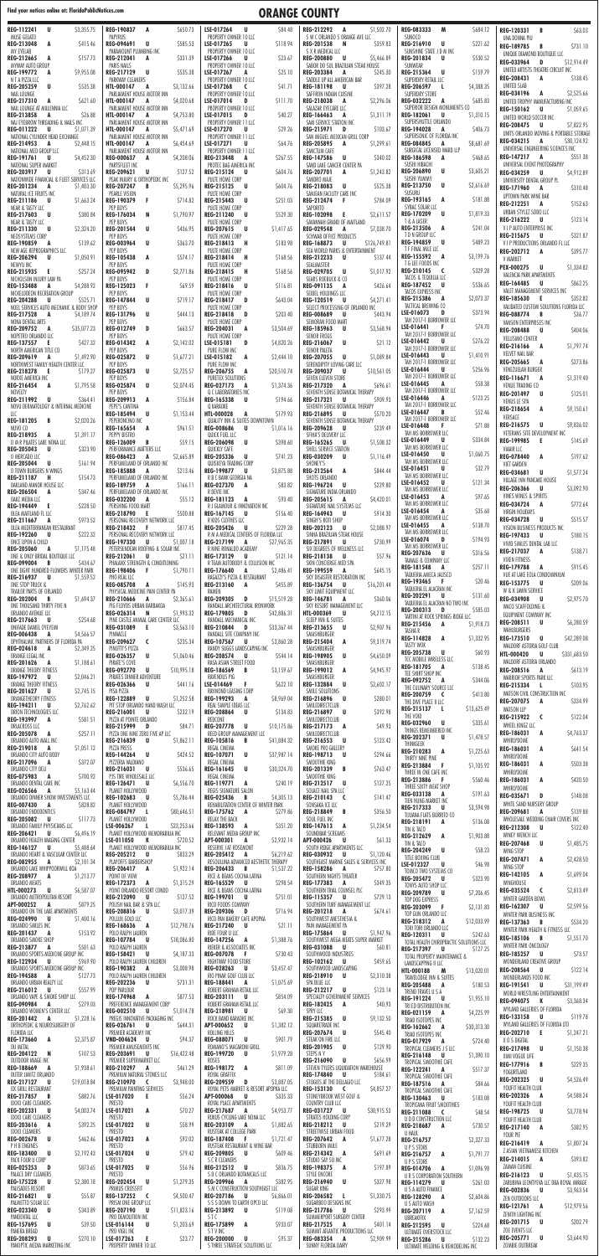## Find your notices online at: FloridaPublicNotices.com **COUNTY**

| REG-112241<br>U<br>\$3,355.75<br>MUSE GELATO                                | REG-190837<br>A<br>\$650.73<br>PAPYRUS                               | LSE-017264<br>U<br>\$84.48<br>PROPERTY OWNER 10 LLC                          | REG-212292 A<br>\$1,502.70<br>S W C ORLANDO S ORANGE AVE LLC                      | <b>REG-083333</b><br>M<br>\$684.12<br>SUNOCO                       | REG-120331<br>\$63.03<br>B<br>UNA DONNA PIU                           |
|-----------------------------------------------------------------------------|----------------------------------------------------------------------|------------------------------------------------------------------------------|-----------------------------------------------------------------------------------|--------------------------------------------------------------------|-----------------------------------------------------------------------|
| REG-213048<br>\$415.46<br>A                                                 | REG-094691 U<br>\$585.53                                             | LSE-017265<br>\$118.94<br>U                                                  | REG-201538 N<br>S359.83                                                           | REG-216910<br>\$221.62<br>U                                        | <b>REG-189785</b><br>\$731.10<br>B                                    |
| MY EYELAB                                                                   | PARAMOUNT PLUMBING INC                                               | PROPERTY OWNER 10 LLC                                                        | S X R MEDICAL LLC                                                                 | SUNSHINE STATE J D M INC                                           | UNIQUE DIAMOND BOUTIQUE LLC                                           |
| REG-212665<br>\$157.73<br>A<br>MYWAY AUTO GROUP                             | \$331.39<br>REG-212041<br>A<br><b>PARIS NAILS</b>                    | \$23.67<br>LSE-017266<br>U<br>PROPERTY OWNER 10 LLC                          | <b>REG-200880</b><br>\$5,466.89<br><b>U</b><br>SABOR DO SUL BRAZILIAN STEAK HOUSE | <b>REG-201834</b><br>\$530.52<br>U.<br>SUNWEAR                     | <b>REG-033964</b><br>D<br>\$12,914.49                                 |
| REG-199772<br>A<br>\$9,955.08                                               | REG-217129<br><b>U</b><br>\$535.38                                   | LSE-017267<br>\$25.10<br>A                                                   | <b>REG-203384</b><br>A<br>S245.30                                                 | \$159.79<br>REG-215364<br>U.                                       | UNITED ARTISTS THEATRE CIRCUIT INC                                    |
| N T A PIZZA LLC                                                             | PARKWAY CLEANERS                                                     | PROPERTY OWNER 10 LLC                                                        | SADDLE UP ALL AMERICAN BAR                                                        | SUPERDRY RETAIL LLC                                                | <b>REG-208431</b><br>A<br>\$138.45                                    |
| <b>REG-205259</b><br>U<br>\$535.38                                          | \$3,132.66<br><b>HTL-000147</b><br>A                                 | LSE-017268<br>\$41.71<br><b>C</b>                                            | REG-181198<br>\$397.28<br><b>U</b>                                                | \$4,388.35<br><b>REG-206597</b><br>L.                              | UNITED SLAB                                                           |
| NAIL LOUNGE<br><b>REG-217310</b><br>\$621.60<br>A                           | PARLIAMENT HOUSE MOTOR INN<br>HTL-000147<br>\$4,020.68<br>A          | PROPERTY OWNER 10 LLC<br>LSE-017014<br>D<br>S111.70                          | SAFFRON INDIAN CUISINE<br><b>REG-218038</b><br>\$2,296.06<br>A                    | SUPERDRY STORE<br><b>REG-032222</b><br>\$685.83<br>A               | REG-034196 A<br>\$2,525.66<br>UNITED TROPHY MANUFACTURING INC         |
| NAIL LOUNGE AT MILLENNIA LLC                                                | PARLIAMENT HOUSE MOTOR INN                                           | PROPERTY OWNER 10 LLC                                                        | SALAZAR EYECARE LLC                                                               | SUPERIOR DESIGN MONUMENTS CO                                       | REG-150162 U<br>\$1,059.65                                            |
| <b>REG-213858</b><br>\$26.88<br>A                                           | \$4,753.80<br><b>HTL-000147</b><br>A                                 | LSE-017015<br>\$40.27<br>D                                                   | REG-166463<br>A<br>\$1,311.19                                                     | <b>REG-182061</b><br>U<br>\$1,310.15<br>SUPERSHUTTLE ORLANDO       | UNITED WORLD SOCCER INC                                               |
| NAJ EYEBROW THREADING & NAILS INC<br>REG-011222<br><b>U</b><br>\$1,071.39   | PARLIAMENT HOUSE MOTOR INN<br>\$5,471.69<br><b>HTL-000147</b><br>A   | PROPERTY OWNER 11 LLC<br>LSE-017270<br>\$29.26<br>U                          | SAM SERVICE STATION INC<br>REG-215971 D<br>\$103.67                               | REG-194028<br>\$406.73<br>A                                        | REG-208475 U<br>\$7,822.95                                            |
| NATIONAL CYLINDER HEAD EXCHANGE                                             | PARLIAMENT HOUSE MOTOR INN                                           | PROPERTY OWNER 11 LLC                                                        | SAN MIGUEL MEXICAN GRILL CORP                                                     | SUPERSONIC OF FLORIDA INC                                          | UNITS ORLANDO MOVING & PORTABLE STORAGE                               |
| REG-214953<br>\$2,448.15<br>A                                               | \$6,454.69<br>HTL-000147<br>A                                        | LSE-017271<br>\$64.76<br>U                                                   | <b>REG-205895</b><br>\$1,299.61<br>A                                              | \$8,681.69<br><b>REG-084845</b><br>A                               | REG-034215 A<br>\$30,124.92<br>UNIVERSAL ENGINEERING SCIENCES INC     |
| NATIONAL MED GROUP LLC<br>REG-191761<br>\$4,452.30<br>U                     | PARLIAMENT HOUSE MOTOR INN<br><b>REG-000637</b><br>\$4,208.06<br>A   | PROPERTY OWNER 11 LLC<br>\$267.55<br>REG-213448<br>A                         | SANCTUM CAFE<br>REG-147586<br>U<br>\$340.02                                       | SURGICAL LICENSED WARD LLP<br><b>REG-186598</b><br>A<br>\$468.65   | REG-147217 A<br>\$551.38                                              |
| NATIONAL SUPER MARKET                                                       | PARTSFLEET INC                                                       | PROTEC BAG AMERICA INC                                                       | SAND LAKE CANCER CENTER PA                                                        | SUSHI HIBACHI                                                      | UNIVERSAL EVENT PHOTOGRAPHY                                           |
| <b>REG-203917</b><br>\$313.69<br>U                                          | <b>REG-209621</b><br>U<br>\$127.52                                   | REG-215124<br>\$604.76<br>U                                                  | <b>REG-207701</b><br>A<br>\$1,243.82                                              | <b>REG-206890</b><br>U<br>\$3,605.21                               | REG-034259 U<br>\$4,912.89                                            |
| NATIONWIDE FINANCIAL & FLEET SERVICES LLC<br>REG-201234<br>\$1,403.30<br>A  | PEAK INJURY & ORTHOPEDIC INC<br><b>REG-207247</b><br>B<br>\$5,295.96 | PULTE HOME CORP<br>REG-215125<br>\$604.76<br>U                               | SANDRO MAJE<br>REG-218083<br>U<br>\$525.38                                        | SUSHI YUMMY<br><b>REG-213750</b><br>U<br>\$2,616.69                | UNIVERSITY DENTAL GROUP PL                                            |
| NATURAL ICE FRUITS INC                                                      | PEARLE VISION                                                        | PULTE HOME CORP                                                              | SANJEAN FACILITY CARE INC                                                         | SUSURU                                                             | \$310.48<br>REG-171960 A                                              |
| REG-211186<br>U<br>\$1,663.24                                               | \$714.82<br>REG-190379<br>-F                                         | \$251.03<br><b>REG-215443</b><br>U                                           | REG-212474<br>S784.09<br>- F                                                      | REG-193165<br>\$181.88<br>A                                        | UPTOWN PARK WINE BAR<br>REG-212251 A<br>\$152.63                      |
| NEAR & TASTY LLC<br><b>REG-217603</b><br>U<br>\$380.84                      | PEP BOYS<br>N<br><b>REG-176034</b><br>\$1,790.97                     | PULTE HOME CORP<br>REG-211240<br>\$529.30<br>U                               | SAPORITO<br>REG-102098 E<br>\$2,611.57                                            | SYBAC SOLAR LLC<br><b>REG-170209</b><br><b>U</b><br>\$1,819.33     | URBAN STYLEZ SODO LLC                                                 |
| NEAR & TASTY LLC                                                            | PEP BOYS                                                             | PULTE HOME CORP                                                              | SAVANNAH GRAND OF MAITLAND                                                        | T & A LASER                                                        | REG-216222 U<br>\$123.14                                              |
| <b>REG-211330</b><br>\$2,324.20<br>U                                        | U<br>\$436.95<br><b>REG-201544</b>                                   | REG-207615<br>\$1,417.65<br><b>U</b>                                         | <b>REG-029548</b><br>\$7,038.70<br>A                                              | REG-213506<br>\$241.04<br>A                                        | V I P AUTO ENTERPRISE INC                                             |
| NEOSYSTEMS CORP<br><b>REG-190859</b><br>\$139.62<br>A                       | PEP BOYS<br><b>REG-003964</b><br>U<br>\$363.70                       | PULTE HOME CORP<br>\$183.98<br>REG-218413<br>H                               | <b>SCHWAB OFFICE PRODUCTS</b><br>REG-168873<br><b>U</b><br>\$126,749.81           | T D N GROUP LLC<br>REG-194859<br><b>U</b><br>\$489.23              | \$321.87<br>REG-215675 U<br>V I P PRODUCTIONS ORLANDO FL LLC          |
| NEW AGE REPROGRAPHICS LLC                                                   | PEP BOYS                                                             | PULTE HOME CORP                                                              | SEA WORLD PARKS & ENTERTAINMENT                                                   | T F FINAL MILE LLC                                                 | REG-202712 A<br>\$395.77                                              |
| <b>REG-206294</b><br>\$1,050.91<br>U                                        | \$574.17<br><b>REG-105438</b><br>A                                   | REG-218414<br>\$168.56<br>H                                                  | REG-212233 U<br>\$137.44                                                          | <b>REG-155592</b><br>\$3,199.76<br>A                               | <b>V MARKET</b>                                                       |
| NEWYU INC                                                                   | PEP BOYS<br>D                                                        | PULTE HOME CORP                                                              | SEALMASTER                                                                        | T G LEE FOODS INC<br>\$329.28<br>REG-210145<br>$\epsilon$          | \$1,334.82<br>PEX-000275<br>– U                                       |
| REG-215935<br>E.<br>\$257.24<br>NICHOLSON INJURY LAW PA                     | <b>REG-095942</b><br>\$2,771.86<br>PEP BOYS                          | REG-218415<br>\$168.56<br>H<br>PULTE HOME CORP                               | <b>REG-029705</b><br>U<br>\$1,017.92<br>SEARS ROEBUCK & CO                        | TACOS & TEQUILLA LLC                                               | VALENCIA PARK APARTMENTS                                              |
| REG-153488<br>\$4,288.92<br>A                                               | REG-125023<br>\$69.59<br>-F                                          | \$116.81<br>REG-218416<br>U                                                  | \$426.64<br>REG-091135<br>A                                                       | <b>REG-187452</b><br>\$536.65<br>U.                                | \$862.25<br>REG-164485 U<br>VALET MANAGEMENT SERVICES INC             |
| NICKELODEON RECREATION GROUP<br><b>REG-204288</b><br>\$525.71<br>U          | PEP BOYS<br>U<br>\$719.17<br><b>REG-147844</b>                       | PULTE HOME CORP<br>\$643.04<br>REG-218417<br>D                               | SEIDEL HOLDINGS LLC<br>REG-120519<br>\$4,271.41<br>– U                            | TACOS EXPRESS INC<br>REG-215386<br>\$2,073.37<br>A                 | REG-185630 E<br>\$352.82                                              |
| NOEL SERVICES AUTO MECHANIC & BODY SHOP                                     | PEP BOYS                                                             | PULTE HOME CORP                                                              | SELECT PROCESSING OF ORLANDO INC                                                  | TACTICAL BREWING CO                                                | VALIDATED CUSTOM SOLUTIONS FLORIDA LLC                                |
| REG-217528<br>A<br>\$4,189.74                                               | REG-131796<br>U<br>S444.13                                           | <b>REG-218418</b><br>\$203.40<br>D                                           | <b>REG-008689</b><br>– U<br>S443.94                                               | \$373.94<br>LSE-016073<br>D                                        | REG-088774 B<br>\$36.77                                               |
| NONA DENTAL ARTS<br><b>REG-209752</b><br>\$35,077.23<br>A                   | PEP BOYS<br><b>REG-012749</b><br>\$663.57<br>D                       | PULTE HOME CORP<br><b>REG-204031</b><br>\$3,504.69<br>A                      | SEMORAN FOOD MART<br><b>REG-185963</b><br>\$3,568.94<br>U                         | TAH 2017-1 BORROWER LLC<br>LSE-016441<br>\$74.70                   | VANSON ENTERPRISES INC                                                |
| NOPETRO ORLANDO LLC                                                         | PEP BOYS                                                             | PULTE HOME CORP                                                              | <b>SENOR FROGS</b>                                                                | TAH 2017-1 BORROWER LLC                                            | <b>REG-208488</b><br>– U<br>\$404.06<br>VELLISIMO CENTER              |
| <b>REG-137557</b><br>\$427.32<br>-E,                                        | REG-014342<br>\$2,142.02<br>A                                        | \$4,820.26<br>LSE-015181<br>D                                                | \$21.12<br>REG-216067<br>U                                                        | \$276.22<br>LSE-016442<br>U<br>TAH 2017-1 BORROWER LLC             | REG-216166<br>\$1,797.74<br>A                                         |
| NORTH AMERICAN TITLE CO<br>REG-209619<br>\$1,492.90<br>A                    | PEP BOYS<br><b>REG-025872</b><br>U<br>\$1,677.2]                     | PURE FLOW INC<br>\$2,444.10<br>LSE-015182<br>A                               | <b>SENOR PALETA</b><br><b>REG-207055</b><br>U<br>\$1,089.84                       | LSE-016443<br>U<br>\$1,410.91                                      | VELVET NAIL BAR                                                       |
| NORTHWEST FAMILY HEALTH CENTER LLC                                          | PEP BOYS                                                             | PURE FLOW INC                                                                | SERENDIPITY LOVING CARE LLC                                                       | TAH 2017-1 BORROWER LLC                                            | <b>REG-205665</b><br>\$273.86<br>A                                    |
| REG-218278<br>-E.<br>\$179.27                                               | U<br><b>REG-025873</b><br>\$2,725.57                                 | <b>REG-206755</b><br>A<br>\$20,510.74                                        | <b>REG-209037</b><br>U<br>\$10,561.05                                             | LSE-016444<br>U<br>\$256.96<br>TAH 2017-1 BORROWER LLC             | VENEZUELAN BURGER<br>\$1,319.40<br>REG-116671 A                       |
| NORXE AMERICA INC<br>\$1,795.58<br><b>REG-216454</b><br>A                   | PEP BOYS<br>U<br>\$2,074.45<br><b>REG-025874</b>                     | PURETEX SOLUTIONS<br>\$1,374.36<br>REG-027173<br>A                           | SEVEN ELEVEN STORE<br>\$696.61<br><b>REG-217320</b><br>A                          | \$58.38<br>LSE-016445<br>A                                         | VENUE TRADING CO                                                      |
| NOVELTY                                                                     | PEP BOYS                                                             | Q C LABORATORIES INC                                                         | SEVENTH SENSE BOTANICAL THERAPY                                                   | TAH 2017-1 BORROWER LLC                                            | U<br>\$125.01<br><b>REG-201497</b>                                    |
| REG-211992 U<br>\$364.41<br>NOVU DERMATOLOGY & INTERNAL MEDICINE            | REG-209913 A<br>\$156.84<br>PEPE'S CANTINA                           | <b>REG-165338</b><br>\$194.66<br>U<br>Q KARAOKE                              | REG-217321 U<br>\$909.93<br>SEVENTH SENSE BOTANICAL THERAPY                       | \$123.25<br>LSE-016446<br>A<br>TAH 2017-1 BORROWER LLC             | VENUS LE SPA                                                          |
| LLC                                                                         | <b>U</b><br><b>REG-185494</b><br>\$1,153.44                          | \$179.93<br><b>HTL-000028</b><br>A                                           | REG-216895 U<br>\$570.20                                                          | LSE-016447<br>\$52.46<br>B                                         | REG-218654 A<br>\$9,150.61                                            |
| REG-181205 B<br>\$2,020.26                                                  | PEPERONCINO INC                                                      | QUALITY INN & SUITES DOWNTOWN                                                | SEVENTH SENSE BOTANICAL THERAPY                                                   | TAH 2017-1 BORROWER LLC<br>LSE-016448<br>\$71.88<br>.F             | VERSACE<br>REG-216575 U<br>\$9,836.02                                 |
| NUVO CO<br>REG-218935 A<br>\$1,391.17                                       | REG-165654 A<br>\$961.51<br>PEPPY BISTRO                             | <b>REG-008686</b><br>U<br>\$1,016.16<br>QUICK FUEL LLC                       | REG-209628 U<br>\$239.49<br>SFIHA'S DELIVERY LLC                                  | TAH MS BORROWER LLC                                                | VETERANS SITE DEVELOPMENT INC                                         |
| O M R PILATES LAKE NONA LLC                                                 | \$59.15<br>REG-126009<br>B                                           | \$398.60<br><b>REG-206098</b><br>U                                           | \$1,508.32<br><b>REG-165265</b><br>U                                              | LSE-016449<br>\$334.84<br>U                                        | REG-199985 E<br>\$145.69                                              |
| <b>REG-205043</b><br>\$323.90<br>U                                          | PERFORMANCE MATTERS LLC                                              | QUICKLY CAFE                                                                 | SHELL SERVICE STATION                                                             | TAH MS BORROWER LLC<br>LSE-016450                                  | VIAAIR LLC                                                            |
| O MERCADO LLC                                                               | <b>REG-086423</b><br>\$2,665.89<br>A<br>PERFUMELAND OF ORLANDO INC   | <b>REG-205336</b><br>U<br>\$741.23                                           | <b>REG-030209</b><br>\$1,116.49<br>U                                              | U<br>\$1,060.75<br>TAH MS BORROWER LLC                             | <b>REG-078440</b><br>\$197.62<br>A                                    |
| <b>REG-205044</b><br>U<br>\$161.94<br>O TOWN BURGERS N WINGS                | <b>REG-185888</b><br>\$213.46<br>A                                   | QUISKEYA TRADING CORP<br>REG-199877<br><b>U</b><br>\$3,875.88                | SHONEY'S<br><b>REG-212564</b><br>A<br>\$844.44                                    | \$32.79<br>LSE-016451<br>U                                         | VIET GARDEN<br><b>REG-034681</b><br>\$1,577.24<br>U                   |
| REG-211187 H<br>\$154.73                                                    | PERFUMELAND OF ORLANDO INC                                           | R B C BANK GEORGIA NA                                                        | SHOTS ORLANDO                                                                     | TAH MS BORROWER LLC<br>LSE-016452<br>\$121.34<br>U                 | VILLAGE INN PANCAKE HOUSE                                             |
| OAKLAND MANOR HOUSE LLC<br><b>REG-206504</b><br>\$347.46<br>A               | \$166.11<br>REG-189759 A<br>PERFUMELAND OF ORLANDO INC               | <b>REG-027370</b><br>\$83.82<br>A<br>R DEVIE INC                             | \$229.80<br>REG-196724<br>U<br>SIGNATURE INDIA ORLANDO                            | TAH MS BORROWER LLC                                                | REG-206366 U<br>\$3,092.90                                            |
| OAKZ MEDIA LLC                                                              | REG-032200 A<br>\$55.12                                              | REG-181123 A<br>\$93.40                                                      | REG-205615 A<br>\$4,420.01                                                        | \$97.65<br>LSE-016453<br>A                                         | VINES WINES & SPIRITS                                                 |
| <b>REG-194449</b><br>\$228.50<br>- E                                        | PERSHING FOOD MART                                                   | R J GLAMOUR & INNOVATION INC                                                 | SIGNATURE NAIL SYSTEMS LLC                                                        | TAH MS BORROWER LLC<br>LSE-016454<br>\$35.68<br>A                  | REG-034724 A<br>\$772.64<br><b>VIRGIN HOLIDAYS</b>                    |
| OLEA MAITLAND FL LLC<br>REG-211667<br>\$973.52<br>A                         | REG-218790 E<br>\$500.88<br>PERSONAL RECOVERY NETWORK LLC            | REG-167145<br>\$156.40<br><b>U</b><br>R KIDS CLOTHES LLC                     | \$914.30<br>REG-164943 U<br>SINGH'S ROTI SHOP                                     | TAH MS BORROWER LLC                                                | \$515.57<br>REG-034728 U                                              |
| OLEA MEDITERRANEAN RESTAURANT                                               | REG-218432 F<br>\$817.45                                             | <b>REG-205426</b><br>\$229.28<br><b>U</b>                                    | REG-202123 U<br>\$2,088.97                                                        | LSE-016455<br>A<br>\$138.70                                        | VISION BUSINESS PRODUCTS INC                                          |
| <b>REG-192260</b><br>\$222.32<br>U<br>ONCE UPON A CHILD                     | PERSONAL RECOVERY NETWORK LLC                                        | R M A MEDICAL CENTERS OF FLORIDA LLC                                         | SINHA BRAZILIAN STEAK HOUSE                                                       | TAH MS BORROWER LLC<br>\$194.93<br>LSE-016074<br>D                 | REG-197433 U<br>\$180.15                                              |
| <b>REG-205060</b><br>\$1,175.48<br>A                                        | REG-197330 U<br>\$1,007.18<br>PETERSENDEAN ROOFING & SOLAR INC       | REG-217199<br>\$27,965.35<br>A<br>R NINE RONALDO ACADEMY                     | REG-217891 U<br>\$730.99<br>SIX DEGREES OF WELLNESS LLC                           | TAH MS BORROWER LLC                                                | VIVID SMILES DENTAL LAB LLC<br>\$138.71<br>REG-217037 A               |
| ONE & ONLY BRIDAL BOUTIQUE LLC                                              | REG-212061 U<br>\$21.11                                              | REG-173129<br>\$121.14<br>U                                                  | <b>REG-218138</b><br>\$57.96<br><b>U</b>                                          | <b>REG-207636</b><br>U.<br>\$316.56<br>TAMALE & COMPANY LLC        | <b>VIXEN FITNESS</b>                                                  |
| <b>REG-099004</b><br>\$434.67<br>B<br>ONE EIGHT HUNDRED FLOWERS WINTER PARK | PHALANX STRENGTH & CONDITIONING<br>REG-198406 F<br>\$1,790.11        | R TEAM AUTOBODY & COLLISION INC<br>REG-176640 A<br>\$2,486.41                | SKIN CONCIERGE MED SPA<br>REG-199559 A<br>\$645.15                                | REG-181548<br>\$257.11<br>A                                        | \$915.45<br>REG-179788 A                                              |
| REG-216937 U<br>\$1,559.52                                                  | PHO REAL LLC                                                         | RAGAZZI'S PIZZA & RESTAURANT                                                 | SKY DISASTER RESTORATION INC                                                      | TAQUERIA AMECA JALISCO<br>\$20.46<br>REG-193465<br>-F.             | VUE AT LAKE EOLA CONDOMINIUM                                          |
| ONE STOP TRUCK &<br>TRAILER PARTS OF ORLANDO                                | REG-085708 A<br>\$145.93                                             | REG-213160 A<br>\$455.89                                                     | REG-136754 U<br>\$16,201.44                                                       | TAQUERIA EL ALACRAN INC                                            | REG-153775 U<br>\$209.06<br>W & K LAWN SERVICE                        |
| <b>REG-202004</b><br>\$1,694.37<br>B                                        | PHYSICAL MEDICINE PAIN CENTER PA<br>REG-210666<br>A<br>\$2,365.61    | RAMEN<br>REG-209305 D<br>\$15,519.28                                         | SKY LIMIT EQUIPMENT LLC<br>REG-146781 A<br>\$360.06                               | REG-202291<br>U<br>\$131.60                                        | REG-034908 U<br>\$2,975.70                                            |
| ONE THOUSAND THIRTY FIVE N                                                  | PIG FLOYDS URBAN BARBAKOA                                            | RANDALL ARCHITECTURAL IRONWORK                                               | SKY RESORT MANAGEMENT LLC                                                         | TAQUERIA EL ALACRAN NO TWO INC<br>\$585.03<br>REG-200313<br>D      | WACO SCAFFOLDING &                                                    |
| ORLANDO AVENUE LLC<br>REG-217663<br>\$254.68<br>U                           | REG-026314 N<br>\$1,993.32<br>PINE CASTLE ANIMAL CARE CENTER LLC     | <b>REG-179805</b><br>\$42,886.31<br><b>D</b><br>RANDALL MECHANICAL INC       | <b>HTL-000369</b><br>\$4,212.15<br>– U<br>SLEEP INN & SUITES                      | TARTINI AT ROCK SPRINGS RIDGE LLC                                  | EQUIPMENT COMPANY INC                                                 |
| ONIFADE DANIEL OYEYEMI                                                      | REG-031089 E<br>\$3,563.10                                           | <b>REG-210844</b><br>\$33,367.44<br>D                                        | REG-213655 U<br>\$2,907.96                                                        | REG-215456<br>\$1,918.73<br>A<br>TASHA R                           | REG-208511 U<br>\$6,280.59<br>WAHLBURGERS                             |
| <b>REG-006438</b><br>\$4,566.57<br>A                                        | PINNACLE                                                             | RANDALL SITE COMPANY INC                                                     | SMASHBURGER                                                                       | REG-114828 A<br>\$1,332.95                                         | REG-173510 U<br>\$42,289.08                                           |
| OPHTHALMIC PARTNERS OF FLORIDA PA<br><b>REG-024618</b><br>\$2,349.25<br>A   | REG-209627 C<br>\$235.34<br>PINOTTI'S PIZZA                          | <b>REG-107567</b><br>\$3,860.28<br>U<br>RANDY SUGGS LANDSCAPING INC          | REG-215404<br>\$9,319.74<br>A<br>SMASHBURGER                                      | <b>TASTY WOK</b>                                                   | WALDORF ASTORIA GOLF CLUB                                             |
| ORANGE LEGAL INC                                                            | <b>REG-026357</b><br>U<br>\$1,060.46                                 | <b>REG-208574</b><br>\$544.14<br>U                                           | REG-198905<br>U<br>\$4,650.09                                                     | <b>REG-205738</b><br>- U<br>\$60.93<br>TCC MOBILE WIRELESS LLC     | <b>HTL-000420</b><br><b>U</b><br>\$331,683.50                         |
| <b>REG-201626</b><br>\$1,188.61<br>A<br>ORANGE THEORY FITNESS               | PIRATE'S COVE<br><b>REG-092770</b><br>U<br>\$10,995.18               | RASA ASIAN STREET FOOD<br><b>REG-186569</b><br>B<br>\$3,159.67               | SMASHBURGER<br>REG-199012<br>\$4,945.97<br>A                                      | \$138.45<br>REG-181705<br>A                                        | WALDORF ASTORIA ORLANDO<br>REG-208516 A<br>\$613.19                   |
| REG-197972<br>\$2,046.21<br>U                                               | PIRATES DINNER ADVENTURE                                             | RAVENOUS PIG                                                                 | SMASHBURGER                                                                       | TEE SHIRT SHOP INC<br>\$344.06<br>REG-092752<br>A                  | WARRIOR SPORTS PARK LLC                                               |
| ORANGE THEORY FITNESS<br>REG-201627<br>\$2,745.15<br>U                      | <b>REG-026366</b><br>\$441.16<br>U<br>PISA PIZZA                     | \$622.10<br>LSE-014469<br>- F<br>RAYMOND LEASING CORP                        | <b>REG-132884</b><br>\$2,602.17<br>U<br>SMILE SOLUTIONS                           | THE CULINARY SOURCE LLC                                            | REG-215334 L<br>\$103.95                                              |
| ORANGETHEORY FITNESS                                                        | REG-122889 U<br>\$1,252.58                                           | REG-199293<br>\$8,969.04<br>A                                                | REG-216896<br>\$280.01<br><b>U</b>                                                | <b>REG-200759</b><br>\$413.80<br>$\epsilon$                        | WATSON CIVIL CONSTRUCTION INC                                         |
| REG-194211<br>U<br>\$2,762.62                                               | PIT STOP ORLANDO HAND WASH LLC                                       | REAL SIMPLE IDEAS LLC                                                        | SMILEDIRECTCLUB                                                                   | THE DIVE PLACE II LLC<br>REG-215137<br>-1<br>\$13,625.49           | REG-207075 A<br>\$334.99<br><b>WATSON LLP</b>                         |
| ORION TECHNOLOGIES LLC<br>REG-193997<br>\$581.51<br>A                       | REG-216001<br>\$232.19<br><b>U</b><br>PIZZA AT POINTE ORLANDO        | <b>REG-208864</b><br>\$134.83<br><b>U</b><br>REDCONE                         | REG-216897 U<br>\$392.98<br>SMILEDIRECTCLUB                                       | THE VOID                                                           | REG-215922 C<br>\$122.04                                              |
| ORLACROSS LLC                                                               | REG-215999 D<br>\$84.71                                              | REG-207778 U<br>\$10,175.86                                                  | REG-217173 A<br>\$49.93                                                           | REG-032960 U<br>\$335.61<br>THINGS REMEMBERED INC                  | WHEEL KINGZ LLC                                                       |
| <b>REG-205078</b><br>\$257.11<br>A<br>ORLANDO AUTO MALL INC                 | PIZZA ONE NINE ZERO FIVE AP LLC<br>REG-216839 U<br>\$1,862.11        | REED GROUP MANAGEMENT LLC<br>REG-105816<br>\$41,884.32<br>B                  | SMILEDIRECTCLUB<br><b>REG-216553</b><br>\$123.42<br>U                             | REG-202371 U<br>\$1,478.57                                         | REG-186031 A<br>\$4,763.37<br>WHIRLYDOME                              |
| REG-219018<br>A<br>\$1,051.12                                               | <b>PIZZA PRESS</b>                                                   | REGAL CINEMA                                                                 | SMOKE PRO GALLERY                                                                 | THINKGEEK<br>\$1,225.63<br><b>REG-210283</b><br>A                  | \$641.54<br>REG-186031<br>A                                           |
| ORLANDO CITY AUTO BODY                                                      | $\overline{\mathsf{U}}$<br><b>REG-144264</b><br>\$424.52             | U<br>\$37,987.14<br><b>REG-107071</b>                                        | REG-198713 U<br>\$294.66                                                          | THIRTY NINE PINE                                                   | WHIRLYDOME                                                            |
| \$372.07<br>REG-217096<br>A<br>ORLANDO CITY DELI                            | PIZZERIA VALDIANO<br>REG-216031 U<br>\$536.65                        | REGAL CINEMA<br>REG-161645<br><b>U</b><br>\$30,324.70                        | SMOOTHIE KING<br>REG-201339 B<br>\$763.47                                         | \$1,105.92<br>REG-213884<br>- F                                    | \$503.38<br>REG-186031 A                                              |
| \$700.92<br>REG-075983 A                                                    | PJS TIRE WHOLESALE LLC                                               | REGAL CINEMA                                                                 | SMOOTHIE KING                                                                     | THREE IN ONE CAFE INC<br>REG-213886 F<br>\$560.46                  | WHIRLYDOME<br>REG-186031<br>A<br>\$420.50                             |
| ORLANDO DENTAL CARE INC<br><b>REG-026566</b><br>\$5,163.44                  | \$6,556.70<br>REG-126471 U<br>PLANET HOLLYWOOD                       | \$240.19<br>REG-119771 A<br>REGIS SIGNATURE SALON                            | \$127.25<br>REG-212517 U<br>SOLACE NAIL SPA LLC                                   | THREE SIXTY MEAT SHOP                                              | WHIRLYDOME                                                            |
| A<br>ORLANDO DINNER SHOW INVESTMENTS LLC                                    | REG-102683 U<br>\$5,786.44                                           | <b>REG-025436</b><br>\$4,305.13<br>B                                         | REG-210143 C<br>\$141.47                                                          | \$191.63<br>REG-033138<br>A<br>TIEN HUNG MARKET INC                | REG-035671<br>D<br>\$148.08                                           |
| <b>REG-007430</b><br>\$828.82<br>A                                          | PLANET HOLLYWOOD                                                     | REHABILITATION CENTER OF WINTER PARK                                         | SONSAKA ICE LLC                                                                   | REG-217333<br>\$3,594.98<br>U.                                     | WHITE SAND NURSERY GROUP<br>\$139.88                                  |
| ORLANDO ENDODONTICS<br><b>REG-205082 U</b><br>\$117.73                      | REG-084797 L<br>\$80,646.51<br>PLANET HOLLYWOOD                      | REG-175762 A<br>\$279.86<br>RELAX THE BACK                                   | REG-218849 B<br>\$356.50<br>SOUL FUEL INC                                         | TIJUANA FLATS BURRITO CO                                           | REG-209681 A<br>WHOLESALE WEDDING CHAIR COVERS INC                    |
| ORLANDO FAMILY PHYSICIANS LLC                                               | \$23,253.66<br>LSE-006267<br>- 1                                     | \$351.20<br>REG-138593 A                                                     | REG-147613 A<br>\$1,234.54                                                        | REG-218191 A<br>\$136.08<br>TIN & TACO                             | REG-212308 U<br>\$122.40                                              |
| <b>REG-206421</b><br>\$6,496.19<br>U<br>ORLANDO HEALTH IMAGING CENTER       | PLANET HOLLYWOOD MEMORABILIA INC<br>LSE-011050<br>\$720.52<br>K      | RELEVANT MEDIA GROUP INC<br><b>APT-000301</b><br>\$2,932.14<br>A             | SOUNDBAR SCREAMS<br><b>APT-000426</b><br><b>U</b><br>\$61.33                      | REG-212629 A<br>\$1,903.88                                         | WINEY WENCH LLC                                                       |
| REG-146127<br><b>U</b><br>\$5,488.64                                        | PLANET HOLLYWOOD MEMORABILIA INC                                     | RESERVE I AT ROSEMONT                                                        | SOUTH RIDGE APARTMENTS LLC                                                        | TIN & TACO                                                         | REG-207468 U<br>\$1,485.75                                            |
| ORLANDO HEART & VASCULAR CENTER LLC                                         | REG-205212 U<br>\$833.29                                             | REG-205412 A<br>\$6,219.62                                                   | REG-030932 U<br>\$1,120.46                                                        | <b>REG-204249</b><br><b>U</b><br>\$58.23<br>TITLE BOXING CLUB      | WING STOP<br>REG-207471 A<br>\$2,428.50                               |
| REG-082955 A<br>\$2,101.34<br>ORLANDO LAKE WHIPPOORWILL KOA                 | PLAYOFFS BARBERSHOP<br>REG-206417 A<br>\$1,922.14                    | RESOULUNA ADVANCED AESTHETIC THERAPY<br><b>REG-206433</b><br>\$1,537.22<br>B | SOUTHEAST MARINE SALES & SERVICES INC<br>REG-158286 A<br>\$757.80                 | LSE-012327<br>\$46.98<br>U.                                        | WING STOP                                                             |
| REG-208977 A<br>\$1,213.77                                                  | POINT OF VIEW                                                        | RICE & BEANS COCINA LATINA                                                   | SOUTHERN NIGHTS THEATER                                                           | TOMCO TWO SYSTEMS CO<br><b>REG-205472</b><br>\$323.90<br><b>U</b>  | REG-142105 A<br>\$1,699.04                                            |
| ORLANDO MEATS                                                               | <b>REG-172373</b><br>\$1,315.29<br>A                                 | <b>REG-165529</b><br>\$298.54<br>U<br>RICE & BEANS COCINA LATINA             | REG-177383 A<br>\$349.35                                                          | TONYS AUTO SHOP LLC                                                | WINGHOUSE                                                             |
| <b>HTL-000273</b><br>U<br>\$6,587.07<br>ORLANDO METROPOLITAN RESORT         | POINT ORLANDO RESORT CONDO<br>REG-212090 U<br>\$127.52               | REG-199701<br>\$751.01<br><b>U</b>                                           | SOUTHERN TRIAL COUNSEL PLC<br>REG-115357 U<br>\$729.13                            | REG-209789 U<br>\$7,206.45                                         | REG-035524 C<br>\$2,813.49<br>WINTER GARDEN BOWL                      |
| APT-000252<br>\$879.25<br>A                                                 | POLISH NAIL BAR & SPA LLC                                            | RICO FOODS COMPANY                                                           | SOUTHERN TURF MANAGEMENT LLC                                                      | TOP DOG EXPRESS<br>REG-203099 F<br>\$2,131.83                      | REG-162307 U<br>\$2,599.56                                            |
| ORLANDO ON THE LAKE APARTMENTS<br><b>REG-024990</b><br>U<br>\$1,400.16      | REG-208816 U<br>\$3,017.39<br>POLLUX GOLD LLC                        | <b>REG-209306</b><br>\$716.94<br>D<br>RICO PAN BAKERY CAFE APOPKA            | REG-201218 A<br>\$674.61<br>SOUTHWEST ANESTHESIA &                                | TOP GUN ORLANDO LLC                                                | WINTER PARK BUSINESS INC                                              |
| ORLANDO SMILES INC                                                          | \$12,798.76<br>REG-168636 A                                          | REG-217240 U<br>\$21.11                                                      | PAIN MANAGEMENT PA                                                                | REG-218312<br>\$12,033.99<br>A<br>TORI TORI ORLANDO LLC            | REG-137363 B<br>\$534.20                                              |
| REG-201437 A<br>\$153.92                                                    | POLO RALPH LAUREN                                                    | RIDE FOUR U LLC                                                              | REG-175864 U<br>\$1,947.96                                                        | REG-120311<br>U.<br>\$242.63                                       | WINTER PARK HEALTH & FITNESS LLC<br>REG-185106 B<br>\$1,551.70        |
| ORLANDO SMOKE SHOP<br>REG-213877 A<br>\$501.63                              | <b>REG-107784</b><br><b>U</b><br>\$18,086.80<br>POLO RALPH LAUREN    | <b>REG-147256</b><br>\$1,388.76<br>A<br>RIEKER & ASSOCIATES INC              | SOUTHWEST MEGA MEATS SUPER MARKET<br>REG-031088 U<br>\$60.81                      | TOTAL HEALTH CHIROPRACTIC SOLUTIONS LLC                            | WINTER PARK ONCOLOGY                                                  |
| ORLANDO SPORTS MEDICINE GROUP INC                                           | REG-158421 U<br>\$4,187.33                                           | <b>REG-007078</b><br>\$730.43<br>- F                                         | SOUTHWOOD INDUSTRIES                                                              | REG-217397<br><b>U</b><br>\$127.25<br>TOTAL PROPERTY MAINTENANCE & | REG-185257 U<br>\$73.57                                               |
| REG-122934<br>\$969.90<br><b>U</b><br>ORLANDO SPORTS MEDICINE GROUP INC     | POLO RALPH LAUREN CHILDREN<br>REG-190382 A<br>\$3,008.98             | RIGHTWAY FOOD STORE<br><b>REG-028263</b><br>U<br>\$3,457.47                  | REG-102162 U<br>\$459.65<br>SOUTHWOOD LANDSCAPING                                 | LANDSCAPPING II LLC                                                | WONDERLAND CREATIVE GROUP<br>REG-208564 U                             |
| <b>REG-194588</b><br>\$127.73<br>A                                          | POLO RALPH LAUREN CHILDREN                                           | RIO PINAR GOLF CLUB LLC                                                      | REG-218910 U<br>\$2,310.38                                                        | <b>HTL-000188</b><br>\$13,020.01<br>M<br>TRAVELODGE INN & SUITES   | \$122.14<br>WONDERLANDS FOOD INC                                      |
| ORLANDO URBAN REALTY LLC                                                    | REG-202236 U<br>\$731.31                                             | REG-188441<br>\$1,075.69<br>A                                                | SPA BLUE LLC                                                                      | <b>REG-205488</b><br>A<br>\$180.53                                 | REG-191541 U<br>\$31,199.49                                           |
| REG-216012<br>\$557.99<br><b>U</b><br>ORLANDO VAPE & SMOKE SHOP LLC         | POP PARLOUR<br>\$877.53<br>REG-174968 A                              | ROBERT GRAHAM RETAIL LLC<br>REG-203111 U<br>\$854.09                         | REG-212217 U<br>\$123.14<br>SPECIALTY GOVERNMENT SERVICES                         | TREND TRAVEL U S A                                                 | WORLD WRESTLING ENTERTAINMENT                                         |
| <b>REG-090984</b><br>\$279.03<br>A                                          | PREFERENCE MANAGEMENT CORP                                           | ROBERT GRAHAM RETAIL LLC                                                     | REG-182425 A<br>\$40.93                                                           | REG-191224 U<br>\$1,955.10<br>TRI ED DISTRIBUTION INC              | REG-094075 K<br>\$3,368.34                                            |
| ORLANDO WOMEN'S CENTER LLC                                                  | REG-002510 U<br>\$1,014.78                                           | REG-218981 U<br>\$69.30                                                      | SPRY LLC                                                                          | REG-021159<br>\$4,225.99<br>A                                      | WYLAND GALLERIES OF FLORIDA<br>REG-133158 U<br>\$119.78               |
| REG-201442 A<br>\$1,228.16<br>ORTHOPEDIC & NEUROSURGERY OF                  | PREGIS INNOVATIVE PACKAGING INC<br>REG-026761 U<br>\$644.31          | ROCK BAND KARAOKE INC<br>APT-000652<br>\$1,382.12<br>U                       | REG-215385 U<br>\$9,132.50<br>SQUARETRADE INC                                     | TRIAD ISOTOPES INC<br>REG-162662<br>A<br>\$30,313.30               | WYLAND GALLERIES OF FLORIDA LTD                                       |
| FLORIDA LLC                                                                 | PREMIER ACADEMY INC                                                  | <b>ROLLING HILLS</b>                                                         | REG-207674 U<br>\$545.40                                                          | TRIAD ISOTOPES INC                                                 | REG-202710 E<br>\$1,247.21                                            |
| REG-173660 A<br>\$2,375.87<br>OU METAL                                      | VND-004624 U<br>\$94.37<br>PREMIER AMUSEMENTS INC                    | <b>REG-088071</b><br>U<br>\$901.79<br>ROMANO'S MACARONI GRILL                | STEAK ON FIRE LLC<br>REG-201905 U<br>\$129.90                                     | REG-017929<br>\$724.40<br>A                                        | X O S DIGITAL                                                         |
| <b>REG-204122</b><br>\$107.53<br>$\blacksquare$                             | REG-203691 U<br>\$16,422.48                                          | REG-199720 U<br>\$1,979.28                                                   | <b>STEPS N Y</b>                                                                  | TROPICAL CLEANERS J S LLC<br>REG-216148<br>\$1,390.10<br>U         | REG-217498 U<br>\$1,150.38<br>XIMI VOGUE LIFE                         |
| OUTDOOR IMAGE INC                                                           | PREMIER SUPERMARKET LLC                                              | ROSES                                                                        | REG-216090 U<br>\$656.99                                                          | TROPICAL SMOOTHIE CAFE                                             | REG-177916<br>\$229.35<br>B                                           |
| <b>REG-188669</b><br>\$1,938.61<br>A<br>OUTER LIMITZ ORLANDO                | REG-210297 A<br>\$461.29<br>PREMIUM NATURAL STONES LLC               | REG-198172 A<br>\$811.09<br>ROYAL GRAFFIX                                    | STEVEN TYLERS LIQUIDATION WAREHOUSE<br>REG-174840 U<br>\$184.61                   | REG-122241<br>A<br>\$517.37<br>TROPICAL SMOOTHIE CAFE              | YOGURTLAND                                                            |
| REG-217127<br>\$19,018.84<br>U                                              | REG-210970 C<br>\$3,948.00                                           | <b>REG-209559</b><br>D<br>\$3,887.05                                         | STOGIES AT THE DELLAGIO LLC                                                       | REG-187516<br>\$84.66<br>A                                         | REG-202325 U<br>\$4,526.49                                            |
| OX GRILL RESTAURANT                                                         | PREMIUM PAINTING SERVICES                                            | ROYAL PETS MARKET & RESORT APOPKA LLC                                        | REG-153130 C<br>\$4,857.27                                                        | TROPICAL SMOOTHIE CAFE                                             | YOUFIT HEALTH CLUB<br>REG-202326 A<br>\$4,588.24                      |
| <b>REG-217857</b><br>\$882.76<br>B<br>OXXO CARE CLEANERS                    | LSE-017020<br>\$56.24<br>- E<br><b>PRESTO</b>                        | \$335.33<br>APT-000068<br>U<br>ROYAL PLACE APARTMENTS                        | STONEYBROOK WEST GOLF &<br>COUNTRY CLUB LLC                                       | <b>REG-130463</b><br>\$183.08<br>U<br>TROPICANA FRUIT SMOOTHIES    | YOUFIT HEALTH CLUB                                                    |
| <b>REG-202331</b><br>U<br>\$4,003.74                                        | \$70.27<br>LSE-017021<br>A                                           | \$4,953.77<br>REG-217687<br>A                                                | \$30,915.53<br>REG-031727 U                                                       | REG-211088<br>\$48.54<br>$\epsilon$                                | REG-198725 U<br>\$3,778.94                                            |
| OXXO CARE CLEANERS<br>REG-203616<br>\$392.25                                | <b>PRESTO</b><br>U<br>LSE-017022<br>\$58.99                          | RUKUS CYCLING LAKE NONA LLC<br>REG-203109<br>\$1,882.65                      | STRATES HOLDING CORP<br>REG-218212<br>\$219.29<br><b>U</b>                        | U D D CONSTRUCTION LLC                                             | YOUFIT HEALTH CLUB                                                    |
| A<br>OXXO CLEANERS                                                          | PRESTO                                                               | A<br>RUSTEAK AT COLLEGE PARK                                                 | STREETWISE URBAN FOOD                                                             | REG-218687 A<br>\$730.57<br>U HAUL                                 | \$382.95<br>REG-217140 A                                              |
| \$462.46<br><b>REG-002678</b><br>U                                          | LSE-017023 A<br>\$92.02                                              | \$1,721.47<br>REG-187408 F                                                   | REG-207642 A<br>\$1,677.28                                                        | \$2,327.33<br>REG-216757                                           | YOUR PIE<br>REG-216419 A<br>\$1,807.24                                |
| P H B ENGINES<br><b>REG-183400</b><br><b>U</b><br>\$2,192.43                | <b>PRESTO</b><br>LSE-017024<br>U<br>\$79.42                          | RUSTEAK RESTAURANT & WINE BAR<br>\$609.46<br>REG-209805<br>U                 | STUBBORN MULE<br>REG-214342 A<br>\$691.69                                         | <b>UPS STORE</b><br>REG-216757<br>\$1,791.77<br>A                  | Z ASIAN VIETNAMESE KITCHEN                                            |
| PACK FOUR U CORP                                                            | <b>PRESTO</b>                                                        | S C R CLEANERS                                                               | STUDIO SAY SO INC                                                                 | <b>UPS STORE</b>                                                   | REG-214015 A<br>\$393.82                                              |
| REG-025253 D<br>\$873.65                                                    | LSE-017025<br>U<br>\$56.96                                           | REG-212512 U<br>\$836.75                                                     | REG-198375 A<br>\$197.89                                                          | <b>REG-014706</b><br>\$1,096.98<br>A                               | ZAMAN CUISINE                                                         |
| PALACE DRY CLEANERS<br><b>REG-175228</b><br>U<br>\$2,380.18                 | <b>PRESTO</b><br>REG-202454 U<br>\$1,279.35                          | S D C ORLANDO BOTANICALS LLC<br>REG-209966 A<br>\$382.95                     | <b>STYLE ENCORE</b><br>REG-216940<br>U<br>\$327.98                                | U R S CORPORATION SOUTHERN<br>REG-114279<br>U<br>\$261.03          | REG-216123 U<br>\$1,435.15<br>ZARUBINA LEONTYEVA LLC DBA ROYAL MIRAGE |
| PALISADES RESORT                                                            | PRIMUS CROSSFIT                                                      | S M C CONSTRUCTION SOUTHEAST LLC                                             | SUGAR KING                                                                        | U S A AUTO FINANCE                                                 | REG-002836 U<br>\$3,963.54                                            |
| REG-216821 U<br>\$55.87<br>PALMETTO SOLAR LLC                               | REG-137252 C<br>\$4,500.47<br>PRISM ONE GROUP LLC                    | REG-207186 U<br>\$6,866.01<br>S S S DOWN TO EARTH OPCO LLC                   | REG-206582 L<br>\$1,330.75<br>SUGARBOO DESIGNS INC                                | REG-128290<br>\$2,604.86<br>A<br>U S AUTO WASH                     | ZEN OUTDOORS LLC                                                      |
| <b>REG-023340</b><br>\$343.89<br>U                                          | REG-207190 U<br>\$11,823.16                                          | REG-213892 U<br>\$119.08                                                     | REG-217786 U<br>\$293.99                                                          | REG-207119 A<br>\$7,162.59                                         | REG-121761 A<br>\$12,979.56                                           |
| PANDENTAL LLC                                                               | PRO DEMOLITION INC                                                   | STC                                                                          | SUMMERPORT SURGERY CENTER                                                         | UBREAKIFIX                                                         | ZENITH LIGHTING INC<br>REG-201715 U<br>\$202.79                       |
| REG-157695<br>\$39.50<br>U<br>PANERA BREAD                                  | LSE-016144<br>U<br>\$1,203.69<br>PRO VIGIL INC                       | REG-175899 A<br>\$933.07<br>S T V INC                                        | \$401.14<br>REG-217525 A<br>SUMMIT ATLANTIC PRODUCTIONS LLC                       | REG-212595<br><b>U</b><br>\$224.68<br>ULTIMATE OVERSTOCK LLC       | ZOE EVENTS LLC                                                        |
| REG-208293<br>\$270.10<br>U<br>PANOPTIC MEDIA MARKETING INC                 | LSE-017263<br>-E<br>\$23.77                                          | REG-200000 U<br>\$95.37                                                      | REG-083354 A<br>\$2,909.99                                                        | REG-215286<br>\$132.23<br>U                                        | REG-205771 U<br>\$3,644.90                                            |
|                                                                             | PROPERTY OWNER 10 LLC                                                | S THREE STRATEGIC SOLUTIONS LLC                                              | SUNNY FLORIDA DAIRY                                                               | ULTIMATE WELDING & REMODELING INC                                  | ZOMBIE OUTBREAK                                                       |